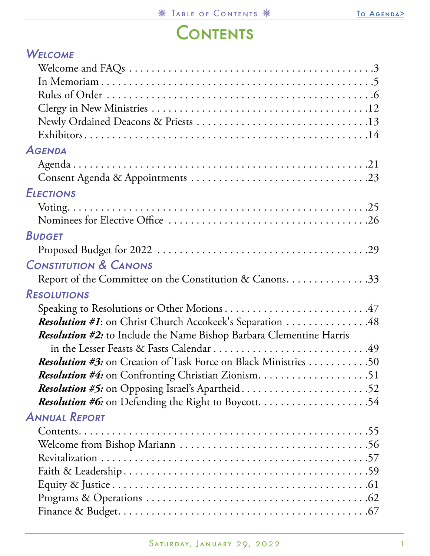## **CONTENTS**

<span id="page-0-0"></span>

| <b>WELCOME</b>                                                             |
|----------------------------------------------------------------------------|
|                                                                            |
|                                                                            |
|                                                                            |
|                                                                            |
|                                                                            |
|                                                                            |
| <b>AGENDA</b>                                                              |
|                                                                            |
|                                                                            |
| <b>ELECTIONS</b>                                                           |
|                                                                            |
|                                                                            |
| <b>BUDGET</b>                                                              |
|                                                                            |
| <b>CONSTITUTION &amp; CANONS</b>                                           |
| Report of the Committee on the Constitution & Canons33                     |
| <b>RESOLUTIONS</b>                                                         |
| Speaking to Resolutions or Other Motions47                                 |
| <b>Resolution #1:</b> on Christ Church Accokeek's Separation 48            |
| <b>Resolution #2:</b> to Include the Name Bishop Barbara Clementine Harris |
|                                                                            |
| <b>Resolution #3:</b> on Creation of Task Force on Black Ministries 50     |
|                                                                            |
| Resolution #5: on Opposing Israel's Apartheid52                            |
|                                                                            |
| <b>ANNUAL REPORT</b>                                                       |
|                                                                            |
|                                                                            |
|                                                                            |
|                                                                            |
|                                                                            |
|                                                                            |
|                                                                            |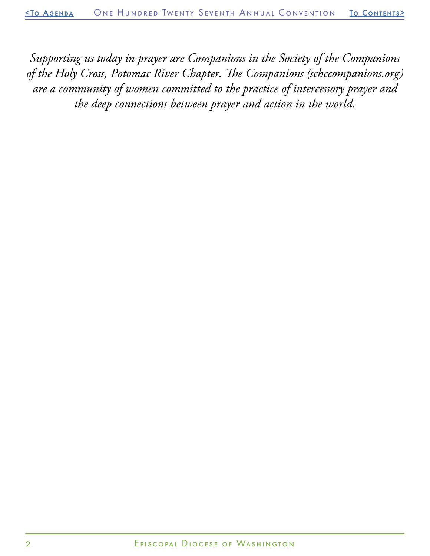*Supporting us today in prayer are Companions in the Society of the Companions of the Holy Cross, Potomac River Chapter. The Companions (schccompanions.org) are a community of women committed to the practice of intercessory prayer and the deep connections between prayer and action in the world.*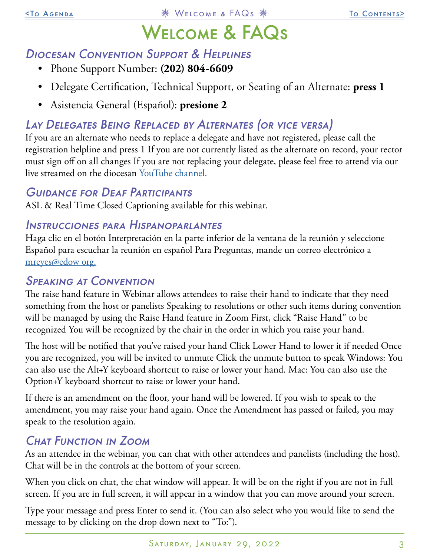# Welcome & FAQs

## <span id="page-2-0"></span>Diocesan Convention Support & Helplines

- Phone Support Number: **(202) 804-6609**
- Delegate Certification, Technical Support, or Seating of an Alternate: **press 1**
- Asistencia General (Español): **presione 2**

## Lay Delegates Being Replaced by Alternates (or vice versa)

If you are an alternate who needs to replace a delegate and have not registered, please call the registration helpline and press 1 If you are not currently listed as the alternate on record, your rector must sign off on all changes If you are not replacing your delegate, please feel free to attend via our live streamed on the diocesan [YouTube channel](https://www.youtube.com/user/edowvideos/featured).

## Guidance for Deaf Participants

ASL & Real Time Closed Captioning available for this webinar.

## Instrucciones para Hispanoparlantes

Haga clic en el botón Interpretación en la parte inferior de la ventana de la reunión y seleccione Español para escuchar la reunión en español Para Preguntas, mande un correo electrónico a [mreyes@edow org.](mailto:mreyes%40edow%20org?subject=Instructions%20for%20Convention)

## Speaking at Convention

The raise hand feature in Webinar allows attendees to raise their hand to indicate that they need something from the host or panelists Speaking to resolutions or other such items during convention will be managed by using the Raise Hand feature in Zoom First, click "Raise Hand" to be recognized You will be recognized by the chair in the order in which you raise your hand.

The host will be notified that you've raised your hand Click Lower Hand to lower it if needed Once you are recognized, you will be invited to unmute Click the unmute button to speak Windows: You can also use the Alt+Y keyboard shortcut to raise or lower your hand. Mac: You can also use the Option+Y keyboard shortcut to raise or lower your hand.

If there is an amendment on the floor, your hand will be lowered. If you wish to speak to the amendment, you may raise your hand again. Once the Amendment has passed or failed, you may speak to the resolution again.

## Chat Function in Zoom

As an attendee in the webinar, you can chat with other attendees and panelists (including the host). Chat will be in the controls at the bottom of your screen.

When you click on chat, the chat window will appear. It will be on the right if you are not in full screen. If you are in full screen, it will appear in a window that you can move around your screen.

Type your message and press Enter to send it. (You can also select who you would like to send the message to by clicking on the drop down next to "To:").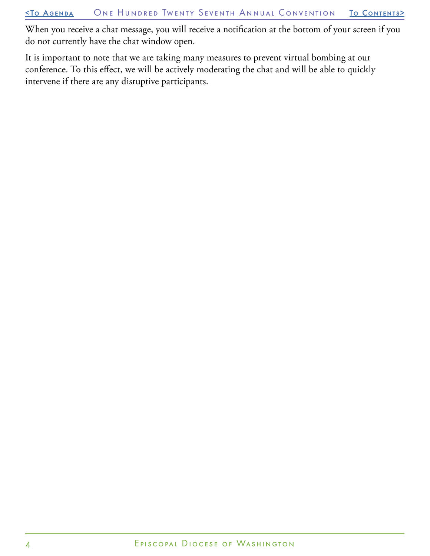When you receive a chat message, you will receive a notification at the bottom of your screen if you do not currently have the chat window open.

It is important to note that we are taking many measures to prevent virtual bombing at our conference. To this effect, we will be actively moderating the chat and will be able to quickly intervene if there are any disruptive participants.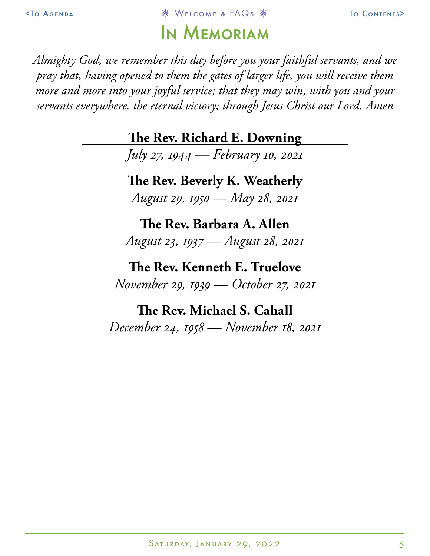## In Memoriam

<span id="page-4-0"></span>*Almighty God, we remember this day before you your faithful servants, and we pray that, having opened to them the gates of larger life, you will receive them more and more into your joyful service; that they may win, with you and your servants everywhere, the eternal victory; through Jesus Christ our Lord. Amen*

**The Rev. Richard E. Downing**

*July 27, 1944 — February 10, 2021*

**The Rev. Beverly K. Weatherly**

*August 29, 1950 — May 28, 2021*

**The Rev. Barbara A. Allen**

*August 23, 1937 — August 28, 2021*

**The Rev. Kenneth E. Truelove**

*November 29, 1939 — October 27, 2021*

**The Rev. Michael S. Cahall**

*December 24, 1958 — November 18, 2021*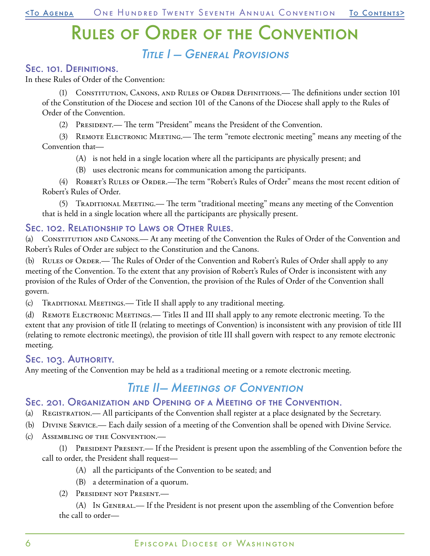# Rules of Order of the Convention

## Title I — General Provisions

#### <span id="page-5-0"></span>Sec. 101. Definitions.

In these Rules of Order of the Convention:

(1) Constitution, Canons, and Rules of Order Definitions.— The definitions under section 101 of the Constitution of the Diocese and section 101 of the Canons of the Diocese shall apply to the Rules of Order of the Convention.

(2) President.— The term "President" means the President of the Convention.

(3) REMOTE ELECTRONIC MEETING.— The term "remote electronic meeting" means any meeting of the Convention that—

- (A) is not held in a single location where all the participants are physically present; and
- (B) uses electronic means for communication among the participants.

(4) ROBERT's RULES OF ORDER.—The term "Robert's Rules of Order" means the most recent edition of Robert's Rules of Order.

(5) Traditional Meeting.— The term "traditional meeting" means any meeting of the Convention that is held in a single location where all the participants are physically present.

#### Sec. 102. Relationship to Laws or Other Rules.

(a) CONSTITUTION AND CANONS.— At any meeting of the Convention the Rules of Order of the Convention and Robert's Rules of Order are subject to the Constitution and the Canons.

(b) Rules of Order.— The Rules of Order of the Convention and Robert's Rules of Order shall apply to any meeting of the Convention. To the extent that any provision of Robert's Rules of Order is inconsistent with any provision of the Rules of Order of the Convention, the provision of the Rules of Order of the Convention shall govern.

(c) Traditional Meetings.— Title II shall apply to any traditional meeting.

(d) REMOTE ELECTRONIC MEETINGS.— Titles II and III shall apply to any remote electronic meeting. To the extent that any provision of title II (relating to meetings of Convention) is inconsistent with any provision of title III (relating to remote electronic meetings), the provision of title III shall govern with respect to any remote electronic meeting.

#### Sec. 103. AUTHORITY.

Any meeting of the Convention may be held as a traditional meeting or a remote electronic meeting.

## Title II— Meetings of Convention

#### Sec. 201. Organization and Opening of a Meeting of the Convention.

- (a) Registration.— All participants of the Convention shall register at a place designated by the Secretary.
- (b) Divine Service.— Each daily session of a meeting of the Convention shall be opened with Divine Service.
- (c) Assembling of the Convention.—

(1) President Present.— If the President is present upon the assembling of the Convention before the call to order, the President shall request—

- (A) all the participants of the Convention to be seated; and
- (B) a determination of a quorum.
- (2) President not Present.—

(A) In General.— If the President is not present upon the assembling of the Convention before the call to order—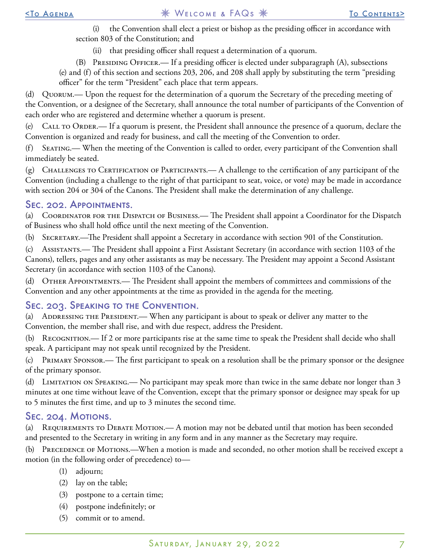(i) the Convention shall elect a priest or bishop as the presiding officer in accordance with section 803 of the Constitution; and

(ii) that presiding officer shall request a determination of a quorum.

(B) Presiding Officer.— If a presiding officer is elected under subparagraph (A), subsections

(e) and (f) of this section and sections 203, 206, and 208 shall apply by substituting the term "presiding officer" for the term "President" each place that term appears.

(d) Quorum.— Upon the request for the determination of a quorum the Secretary of the preceding meeting of the Convention, or a designee of the Secretary, shall announce the total number of participants of the Convention of each order who are registered and determine whether a quorum is present.

(e) Call to Order.— If a quorum is present, the President shall announce the presence of a quorum, declare the Convention is organized and ready for business, and call the meeting of the Convention to order.

(f) Seating.— When the meeting of the Convention is called to order, every participant of the Convention shall immediately be seated.

 $(g)$  Challenges to Certification of Participants.— A challenge to the certification of any participant of the Convention (including a challenge to the right of that participant to seat, voice, or vote) may be made in accordance with section 204 or 304 of the Canons. The President shall make the determination of any challenge.

#### Sec. 202. Appointments.

(a) Coordinator for the Dispatch of Business.— The President shall appoint a Coordinator for the Dispatch of Business who shall hold office until the next meeting of the Convention.

(b) Secretary.—The President shall appoint a Secretary in accordance with section 901 of the Constitution.

(c) Assistants.— The President shall appoint a First Assistant Secretary (in accordance with section 1103 of the Canons), tellers, pages and any other assistants as may be necessary. The President may appoint a Second Assistant Secretary (in accordance with section 1103 of the Canons).

(d) Other Appointments.— The President shall appoint the members of committees and commissions of the Convention and any other appointments at the time as provided in the agenda for the meeting.

#### Sec. 203. Speaking to the Convention.

(a) ADDRESSING THE PRESIDENT.— When any participant is about to speak or deliver any matter to the Convention, the member shall rise, and with due respect, address the President.

(b) Recognition.— If 2 or more participants rise at the same time to speak the President shall decide who shall speak. A participant may not speak until recognized by the President.

(c) Primary Sponsor.— The first participant to speak on a resolution shall be the primary sponsor or the designee of the primary sponsor.

(d) LIMITATION ON SPEAKING.— No participant may speak more than twice in the same debate nor longer than 3 minutes at one time without leave of the Convention, except that the primary sponsor or designee may speak for up to 5 minutes the first time, and up to 3 minutes the second time.

#### Sec. 204. Motions.

(a) REQUIREMENTS TO DEBATE MOTION.— A motion may not be debated until that motion has been seconded and presented to the Secretary in writing in any form and in any manner as the Secretary may require.

(b) PRECEDENCE OF MOTIONS.—When a motion is made and seconded, no other motion shall be received except a motion (in the following order of precedence) to—

- (1) adjourn;
- (2) lay on the table;
- (3) postpone to a certain time;
- (4) postpone indefinitely; or
- (5) commit or to amend.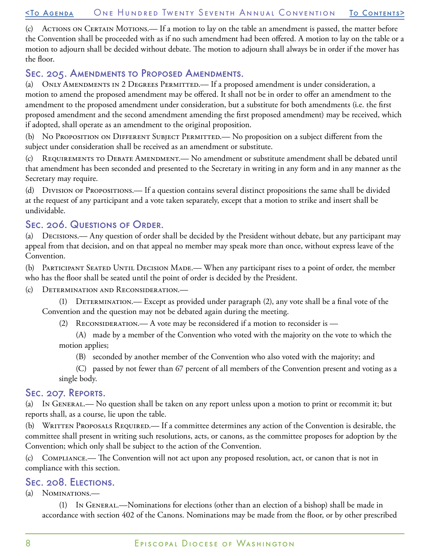#### [<To Agenda](#page-20-0) One Hundred Twenty Seventh Annual Convention [To Contents](#page-0-0)>

(c) ACTIONS ON CERTAIN MOTIONS.— If a motion to lay on the table an amendment is passed, the matter before the Convention shall be proceeded with as if no such amendment had been offered. A motion to lay on the table or a motion to adjourn shall be decided without debate. The motion to adjourn shall always be in order if the mover has the floor.

#### Sec. 205. Amendments to Proposed Amendments.

(a) ONLY AMENDMENTS IN 2 DEGREES PERMITTED.— If a proposed amendment is under consideration, a motion to amend the proposed amendment may be offered. It shall not be in order to offer an amendment to the amendment to the proposed amendment under consideration, but a substitute for both amendments (i.e. the first proposed amendment and the second amendment amending the first proposed amendment) may be received, which if adopted, shall operate as an amendment to the original proposition.

(b) No PROPOSITION ON DIFFERENT SUBJECT PERMITTED.— No proposition on a subject different from the subject under consideration shall be received as an amendment or substitute.

(c) REQUIREMENTS TO DEBATE AMENDMENT.— No amendment or substitute amendment shall be debated until that amendment has been seconded and presented to the Secretary in writing in any form and in any manner as the Secretary may require.

(d) Division of Propositions.— If a question contains several distinct propositions the same shall be divided at the request of any participant and a vote taken separately, except that a motion to strike and insert shall be undividable.

#### Sec. 206. Questions of Order.

(a) Decisions.— Any question of order shall be decided by the President without debate, but any participant may appeal from that decision, and on that appeal no member may speak more than once, without express leave of the Convention.

(b) Participant Seated Until Decision Made.— When any participant rises to a point of order, the member who has the floor shall be seated until the point of order is decided by the President.

(c) Determination and Reconsideration.—

(1) Determination.— Except as provided under paragraph (2), any vote shall be a final vote of the Convention and the question may not be debated again during the meeting.

(2) RECONSIDERATION.— A vote may be reconsidered if a motion to reconsider is —

(A) made by a member of the Convention who voted with the majority on the vote to which the motion applies;

(B) seconded by another member of the Convention who also voted with the majority; and

(C) passed by not fewer than 67 percent of all members of the Convention present and voting as a single body.

#### Sec. 207. Reports.

(a) In General.— No question shall be taken on any report unless upon a motion to print or recommit it; but reports shall, as a course, lie upon the table.

(b) WRITTEN PROPOSALS REQUIRED.— If a committee determines any action of the Convention is desirable, the committee shall present in writing such resolutions, acts, or canons, as the committee proposes for adoption by the Convention; which only shall be subject to the action of the Convention.

(c) Compliance.— The Convention will not act upon any proposed resolution, act, or canon that is not in compliance with this section.

#### Sec. 208. Elections.

(a) Nominations.—

(1) In General.—Nominations for elections (other than an election of a bishop) shall be made in accordance with section 402 of the Canons. Nominations may be made from the floor, or by other prescribed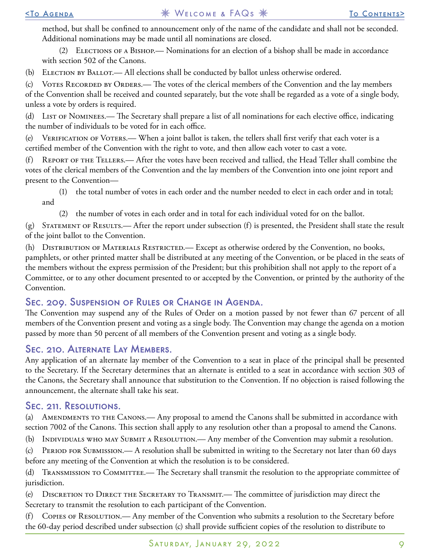method, but shall be confined to announcement only of the name of the candidate and shall not be seconded. Additional nominations may be made until all nominations are closed.

(2) Elections of a Bishop.— Nominations for an election of a bishop shall be made in accordance with section 502 of the Canons.

(b) ELECTION BY BALLOT.— All elections shall be conducted by ballot unless otherwise ordered.

(c) VOTES RECORDED BY ORDERS.— The votes of the clerical members of the Convention and the lay members of the Convention shall be received and counted separately, but the vote shall be regarded as a vote of a single body, unless a vote by orders is required.

(d) LIST OF NOMINEES.— The Secretary shall prepare a list of all nominations for each elective office, indicating the number of individuals to be voted for in each office.

(e) VERIFICATION OF VOTERS.— When a joint ballot is taken, the tellers shall first verify that each voter is a certified member of the Convention with the right to vote, and then allow each voter to cast a vote.

(f) Report of the Tellers.— After the votes have been received and tallied, the Head Teller shall combine the votes of the clerical members of the Convention and the lay members of the Convention into one joint report and present to the Convention—

- (1) the total number of votes in each order and the number needed to elect in each order and in total; and
	- (2) the number of votes in each order and in total for each individual voted for on the ballot.

(g) Statement of Results.— After the report under subsection (f) is presented, the President shall state the result of the joint ballot to the Convention.

(h) DISTRIBUTION OF MATERIALS RESTRICTED.— Except as otherwise ordered by the Convention, no books, pamphlets, or other printed matter shall be distributed at any meeting of the Convention, or be placed in the seats of the members without the express permission of the President; but this prohibition shall not apply to the report of a Committee, or to any other document presented to or accepted by the Convention, or printed by the authority of the Convention.

#### Sec. 209. Suspension of Rules or Change in Agenda.

The Convention may suspend any of the Rules of Order on a motion passed by not fewer than 67 percent of all members of the Convention present and voting as a single body. The Convention may change the agenda on a motion passed by more than 50 percent of all members of the Convention present and voting as a single body.

#### Sec. 210. Alternate Lay Members.

Any application of an alternate lay member of the Convention to a seat in place of the principal shall be presented to the Secretary. If the Secretary determines that an alternate is entitled to a seat in accordance with section 303 of the Canons, the Secretary shall announce that substitution to the Convention. If no objection is raised following the announcement, the alternate shall take his seat.

#### Sec. 211. Resolutions.

(a) AMENDMENTS TO THE CANONS.— Any proposal to amend the Canons shall be submitted in accordance with section 7002 of the Canons. This section shall apply to any resolution other than a proposal to amend the Canons.

(b) INDIVIDUALS WHO MAY SUBMIT A RESOLUTION.— Any member of the Convention may submit a resolution.

(c) Period for Submission.— A resolution shall be submitted in writing to the Secretary not later than 60 days before any meeting of the Convention at which the resolution is to be considered.

(d) Transmission to Committee.— The Secretary shall transmit the resolution to the appropriate committee of jurisdiction.

(e) Discretion to Direct the Secretary to Transmit.— The committee of jurisdiction may direct the Secretary to transmit the resolution to each participant of the Convention.

(f) Copies of Resolution.— Any member of the Convention who submits a resolution to the Secretary before the 60-day period described under subsection (c) shall provide sufficient copies of the resolution to distribute to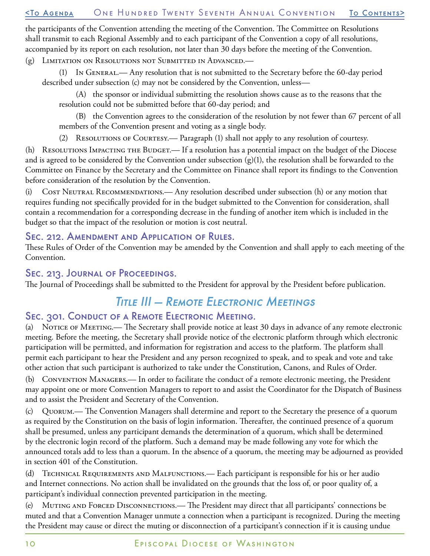#### [<To Agenda](#page-20-0) One Hundred Twenty Seventh Annual Convention [To Contents](#page-0-0)>

the participants of the Convention attending the meeting of the Convention. The Committee on Resolutions shall transmit to each Regional Assembly and to each participant of the Convention a copy of all resolutions, accompanied by its report on each resolution, not later than 30 days before the meeting of the Convention.

(g) Limitation on Resolutions not Submitted in Advanced.—

(1) In General.— Any resolution that is not submitted to the Secretary before the 60-day period described under subsection (c) may not be considered by the Convention, unless—

(A) the sponsor or individual submitting the resolution shows cause as to the reasons that the resolution could not be submitted before that 60-day period; and

(B) the Convention agrees to the consideration of the resolution by not fewer than 67 percent of all members of the Convention present and voting as a single body.

(2) Resolutions of Courtesy.— Paragraph (1) shall not apply to any resolution of courtesy.

(h) RESOLUTIONS IMPACTING THE BUDGET.— If a resolution has a potential impact on the budget of the Diocese and is agreed to be considered by the Convention under subsection  $(g)(1)$ , the resolution shall be forwarded to the Committee on Finance by the Secretary and the Committee on Finance shall report its findings to the Convention before consideration of the resolution by the Convention.

(i) Cost Neutral Recommendations.— Any resolution described under subsection (h) or any motion that requires funding not specifically provided for in the budget submitted to the Convention for consideration, shall contain a recommendation for a corresponding decrease in the funding of another item which is included in the budget so that the impact of the resolution or motion is cost neutral.

#### Sec. 212. Amendment and Application of Rules.

These Rules of Order of the Convention may be amended by the Convention and shall apply to each meeting of the Convention.

#### Sec. 213. Journal of Proceedings.

The Journal of Proceedings shall be submitted to the President for approval by the President before publication.

## Title III — Remote Electronic Meetings

#### Sec. 301. Conduct of a Remote Electronic Meeting.

(a) Notice of Meeting.— The Secretary shall provide notice at least 30 days in advance of any remote electronic meeting. Before the meeting, the Secretary shall provide notice of the electronic platform through which electronic participation will be permitted, and information for registration and access to the platform. The platform shall permit each participant to hear the President and any person recognized to speak, and to speak and vote and take other action that such participant is authorized to take under the Constitution, Canons, and Rules of Order.

(b) Convention Managers.— In order to facilitate the conduct of a remote electronic meeting, the President may appoint one or more Convention Managers to report to and assist the Coordinator for the Dispatch of Business and to assist the President and Secretary of the Convention.

(c) Quorum.— The Convention Managers shall determine and report to the Secretary the presence of a quorum as required by the Constitution on the basis of login information. Thereafter, the continued presence of a quorum shall be presumed, unless any participant demands the determination of a quorum, which shall be determined by the electronic login record of the platform. Such a demand may be made following any vote for which the announced totals add to less than a quorum. In the absence of a quorum, the meeting may be adjourned as provided in section 401 of the Constitution.

(d) Technical Requirements and Malfunctions.— Each participant is responsible for his or her audio and Internet connections. No action shall be invalidated on the grounds that the loss of, or poor quality of, a participant's individual connection prevented participation in the meeting.

(e) MUTING AND FORCED DISCONNECTIONS.— The President may direct that all participants' connections be muted and that a Convention Manager unmute a connection when a participant is recognized. During the meeting the President may cause or direct the muting or disconnection of a participant's connection if it is causing undue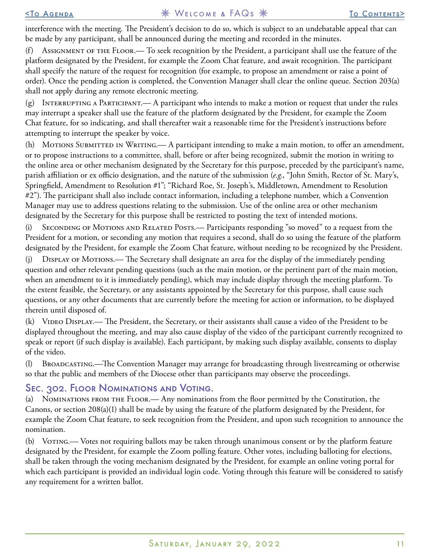interference with the meeting. The President's decision to do so, which is subject to an undebatable appeal that can be made by any participant, shall be announced during the meeting and recorded in the minutes.

(f) Assignment of the Floor.— To seek recognition by the President, a participant shall use the feature of the platform designated by the President, for example the Zoom Chat feature, and await recognition. The participant shall specify the nature of the request for recognition (for example, to propose an amendment or raise a point of order). Once the pending action is completed, the Convention Manager shall clear the online queue. Section 203(a) shall not apply during any remote electronic meeting.

(g) INTERRUPTING A PARTICIPANT.— A participant who intends to make a motion or request that under the rules may interrupt a speaker shall use the feature of the platform designated by the President, for example the Zoom Chat feature, for so indicating, and shall thereafter wait a reasonable time for the President's instructions before attempting to interrupt the speaker by voice.

(h) MOTIONS SUBMITTED IN WRITING.— A participant intending to make a main motion, to offer an amendment, or to propose instructions to a committee, shall, before or after being recognized, submit the motion in writing to the online area or other mechanism designated by the Secretary for this purpose, preceded by the participant's name, parish affiliation or ex officio designation, and the nature of the submission (*e.g.*, "John Smith, Rector of St. Mary's, Springfield, Amendment to Resolution #1"; "Richard Roe, St. Joseph's, Middletown, Amendment to Resolution #2"). The participant shall also include contact information, including a telephone number, which a Convention Manager may use to address questions relating to the submission. Use of the online area or other mechanism designated by the Secretary for this purpose shall be restricted to posting the text of intended motions.

(i) Seconding of Motions and Related Posts.— Participants responding "so moved" to a request from the President for a motion, or seconding any motion that requires a second, shall do so using the feature of the platform designated by the President, for example the Zoom Chat feature, without needing to be recognized by the President.

(j) Display of Motions.— The Secretary shall designate an area for the display of the immediately pending question and other relevant pending questions (such as the main motion, or the pertinent part of the main motion, when an amendment to it is immediately pending), which may include display through the meeting platform. To the extent feasible, the Secretary, or any assistants appointed by the Secretary for this purpose, shall cause such questions, or any other documents that are currently before the meeting for action or information, to be displayed therein until disposed of.

(k) Video Display.— The President, the Secretary, or their assistants shall cause a video of the President to be displayed throughout the meeting, and may also cause display of the video of the participant currently recognized to speak or report (if such display is available). Each participant, by making such display available, consents to display of the video.

(l) Broadcasting.—The Convention Manager may arrange for broadcasting through livestreaming or otherwise so that the public and members of the Diocese other than participants may observe the proceedings.

#### Sec. 302. Floor Nominations and Voting.

(a) Nominations from the Floor.— Any nominations from the floor permitted by the Constitution, the Canons, or section 208(a)(1) shall be made by using the feature of the platform designated by the President, for example the Zoom Chat feature, to seek recognition from the President, and upon such recognition to announce the nomination.

(b) Voting.— Votes not requiring ballots may be taken through unanimous consent or by the platform feature designated by the President, for example the Zoom polling feature. Other votes, including balloting for elections, shall be taken through the voting mechanism designated by the President, for example an online voting portal for which each participant is provided an individual login code. Voting through this feature will be considered to satisfy any requirement for a written ballot.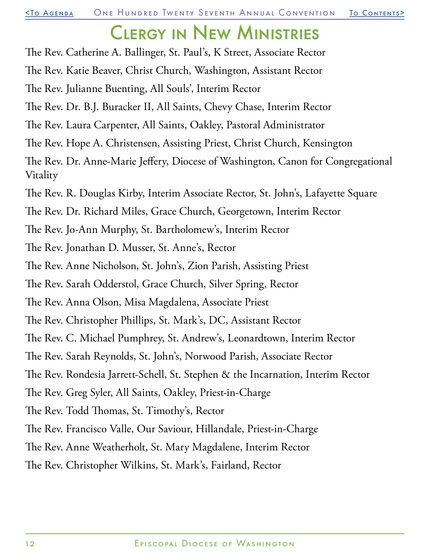## Clergy in New Ministries

- <span id="page-11-0"></span>The Rev. Catherine A. Ballinger, St. Paul's, K Street, Associate Rector
- The Rev. Katie Beaver, Christ Church, Washington, Assistant Rector
- The Rev. Julianne Buenting, All Souls', Interim Rector
- The Rev. Dr. B.J. Buracker II, All Saints, Chevy Chase, Interim Rector
- The Rev. Laura Carpenter, All Saints, Oakley, Pastoral Administrator
- The Rev. Hope A. Christensen, Assisting Priest, Christ Church, Kensington
- The Rev. Dr. Anne-Marie Jeffery, Diocese of Washington, Canon for Congregational Vitality
- The Rev. R. Douglas Kirby, Interim Associate Rector, St. John's, Lafayette Square
- The Rev. Dr. Richard Miles, Grace Church, Georgetown, Interim Rector
- The Rev. Jo-Ann Murphy, St. Bartholomew's, Interim Rector
- The Rev. Jonathan D. Musser, St. Anne's, Rector
- The Rev. Anne Nicholson, St. John's, Zion Parish, Assisting Priest
- The Rev. Sarah Odderstol, Grace Church, Silver Spring, Rector
- The Rev. Anna Olson, Misa Magdalena, Associate Priest
- The Rev. Christopher Phillips, St. Mark's, DC, Assistant Rector
- The Rev. C. Michael Pumphrey, St. Andrew's, Leonardtown, Interim Rector
- The Rev. Sarah Reynolds, St. John's, Norwood Parish, Associate Rector
- The Rev. Rondesia Jarrett-Schell, St. Stephen & the Incarnation, Interim Rector
- The Rev. Greg Syler, All Saints, Oakley, Priest-in-Charge
- The Rev. Todd Thomas, St. Timothy's, Rector
- The Rev. Francisco Valle, Our Saviour, Hillandale, Priest-in-Charge
- The Rev. Anne Weatherholt, St. Mary Magdalene, Interim Rector
- The Rev. Christopher Wilkins, St. Mark's, Fairland, Rector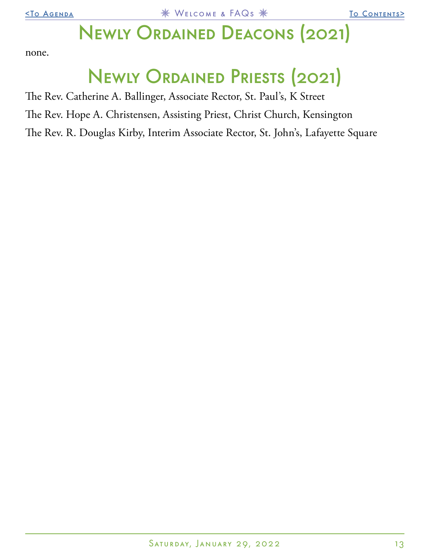## Newly Ordained Deacons (2021)

<span id="page-12-0"></span>none.

# Newly Ordained Priests (2021)

The Rev. Catherine A. Ballinger, Associate Rector, St. Paul's, K Street

The Rev. Hope A. Christensen, Assisting Priest, Christ Church, Kensington

The Rev. R. Douglas Kirby, Interim Associate Rector, St. John's, Lafayette Square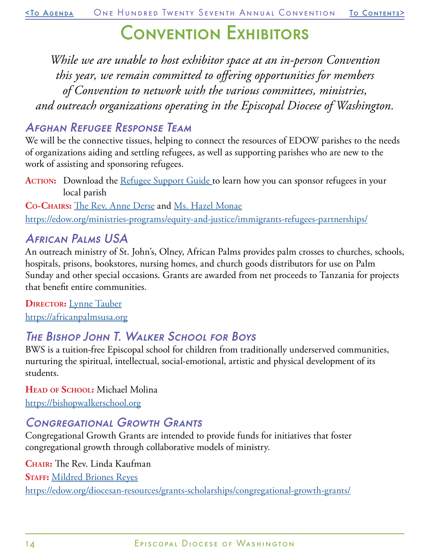## Convention Exhibitors

<span id="page-13-0"></span>*While we are unable to host exhibitor space at an in-person Convention this year, we remain committed to offering opportunities for members of Convention to network with the various committees, ministries, and outreach organizations operating in the Episcopal Diocese of Washington.*

## Afghan Refugee Response Team

We will be the connective tissues, helping to connect the resources of EDOW parishes to the needs of organizations aiding and settling refugees, as well as supporting parishes who are new to the work of assisting and sponsoring refugees.

**ACTION:** Download the <u>Refugee Support Guide</u> to learn how you can sponsor refugees in your local parish

**Co-Chairs:** [The Rev. Anne Derse](mailto:aderse%40stjohnsnorwood.org?subject=Afghan%20Refugee%20Response%20Team) and [Ms. Hazel Monae](mailto:hmonae%40edow.org?subject=) <https://edow.org/ministries-programs/equity-and-justice/immigrants-refugees-partnerships/>

## African Palms USA

An outreach ministry of St. John's, Olney, African Palms provides palm crosses to churches, schools, hospitals, prisons, bookstores, nursing homes, and church goods distributors for use on Palm Sunday and other special occasions. Grants are awarded from net proceeds to Tanzania for projects that benefit entire communities.

**DIRECTOR:** [Lynne Tauber](mailto:africanpalms%40stjec.org?subject=African%20Palms%20USA) <https://africanpalmsusa.org>

## The Bishop John T. Walker School for Boys

BWS is a tuition-free Episcopal school for children from traditionally underserved communities, nurturing the spiritual, intellectual, social-emotional, artistic and physical development of its students.

**Head of School:** Michael Molina <https://bishopwalkerschool.org>

## Congregational Growth Grants

Congregational Growth Grants are intended to provide funds for initiatives that foster congregational growth through collaborative models of ministry.

**Chair:** The Rev. Linda Kaufman **STAFF: [Mildred Briones Reyes](mailto:mreyes%40edow.org?subject=Congregational%20Growth%20Grants)** <https://edow.org/diocesan-resources/grants-scholarships/congregational-growth-grants/>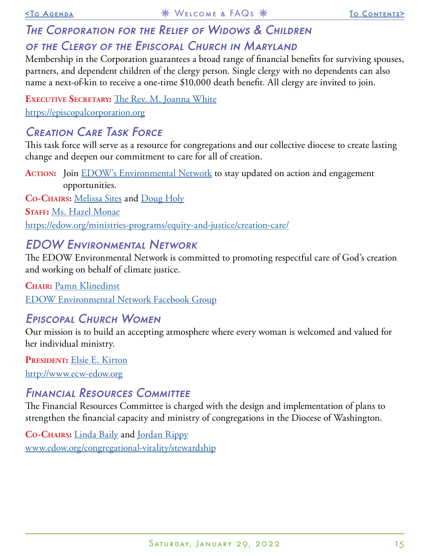## The Corporation for the Relief of Widows & Children OF THE CLERGY OF THE EPISCOPAL CHURCH IN MARYLAND

Membership in the Corporation guarantees a broad range of financial benefits for surviving spouses, partners, and dependent children of the clergy person. Single clergy with no dependents can also name a next-of-kin to receive a one-time \$10,000 death benefit. All clergy are invited to join.

**Executive Secretary:** [The Rev. M. Joanna White](mailto:admin%40episcopalcorporation.org?subject=Corp%20for%20the%20Relief%20of%20Widows%20%26%20Children) <https://episcopalcorporation.org>

## Creation Care Task Force

This task force will serve as a resource for congregations and our collective diocese to create lasting change and deepen our commitment to care for all of creation.

ACTION: Join **EDOW's Environmental Network** to stay updated on action and engagement opportunities.

**Co-Chairs:** [Melissa Sites](mailto:mailto:melissa.j.sites%40gmail.com?subject=) and [Doug Holy](mailto:mailto:dwholy%40msn.com?subject=) **Staff:** [Ms. Hazel Monae](mailto:hmonae%40edow.org?subject=) <https://edow.org/ministries-programs/equity-and-justice/creation-care/>

## EDOW Environmental Network

The EDOW Environmental Network is committed to promoting respectful care of God's creation and working on behalf of climate justice.

**Chair:** [Pamn Klinedinst](mailto:pklinedinst%40cathedral.org?subject=EDOW%20Environmental%20Network) [EDOW Environmental Network Facebook Group](https://www.facebook.com/groups/302958873194527/)

## Episcopal Church Women

Our mission is to build an accepting atmosphere where every woman is welcomed and valued for her individual ministry.

PRESIDENT: [Elsie E. Kirton](mailto:ecw.edow%40gmail.com?subject=ECW) <http://www.ecw-edow.org>

### Financial Resources Committee

The Financial Resources Committee is charged with the design and implementation of plans to strengthen the financial capacity and ministry of congregations in the Diocese of Washington.

**Co-Chairs:** [Linda Baily](mailto:stewardship%40edow.org?subject=Financial%20Resources%20Committee) and [Jordan Rippy](mailto:stewardship%40edow.org?subject=Financial%20Resources%20Committee) [www.edow.org/congregational-vitality/stewardship](http://www.edow.org/congregational-vitality/stewardship)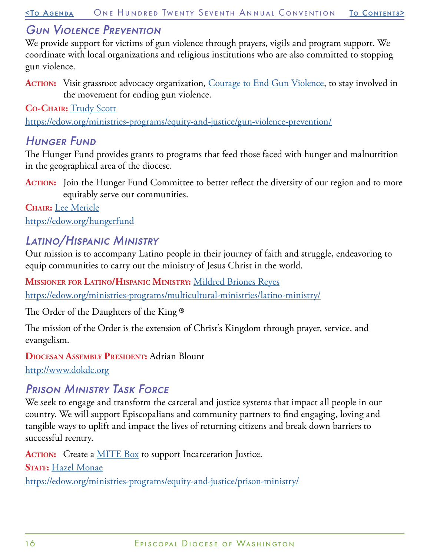## Gun Violence Prevention

We provide support for victims of gun violence through prayers, vigils and program support. We coordinate with local organizations and religious institutions who are also committed to stopping gun violence.

ACTION: Visit grassroot advocacy organization, [Courage to End Gun Violence](https://giffords.org/), to stay involved in the movement for ending gun violence.

**Co-Chair:** [Trudy Scott](mailto:congregation%40cathedral.org?subject=Gun%20Violence%20Prevention)

<https://edow.org/ministries-programs/equity-and-justice/gun-violence-prevention/>

## **HUNGER FUND**

The Hunger Fund provides grants to programs that feed those faced with hunger and malnutrition in the geographical area of the diocese.

ACTION: Join the Hunger Fund Committee to better reflect the diversity of our region and to more equitably serve our communities.

**Chair:** [Lee Mericle](mailto:hungerfundgrants%40edow.org?subject=Hunger%20Fund) <https://edow.org/hungerfund>

## Latino/Hispanic Ministry

Our mission is to accompany Latino people in their journey of faith and struggle, endeavoring to equip communities to carry out the ministry of Jesus Christ in the world.

**Missioner for Latino/Hispanic Ministry:** [Mildred Briones Reyes](mailto:mreyes%40edow.org?subject=Latino/Hispanic%20Ministry) <https://edow.org/ministries-programs/multicultural-ministries/latino-ministry/>

The Order of the Daughters of the King ®

The mission of the Order is the extension of Christ's Kingdom through prayer, service, and evangelism.

**Diocesan Assembly President:** Adrian Blount

[http://www.dokdc.org](http://www.dokdc.org )

## Prison Ministry Task Force

We seek to engage and transform the carceral and justice systems that impact all people in our country. We will support Episcopalians and community partners to find engaging, loving and tangible ways to uplift and impact the lives of returning citizens and break down barriers to successful reentry.

ACTION: Create a **MITE Box** to support Incarceration Justice. **STAFF: [Hazel Monae](mailto:hmonae%40edow.org?subject=Prison%20Ministry%20Task%20Force)** <https://edow.org/ministries-programs/equity-and-justice/prison-ministry/>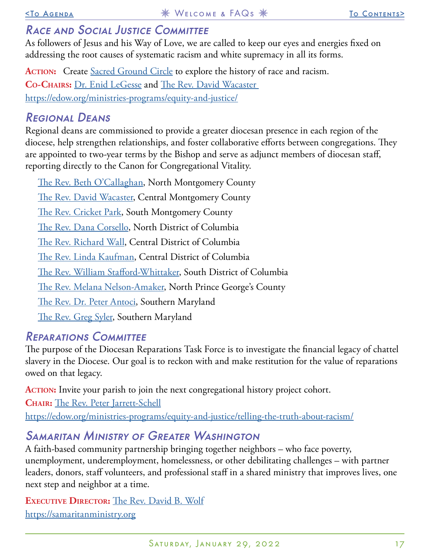## RACE AND SOCIAL JUSTICE COMMITTEE

As followers of Jesus and his Way of Love, we are called to keep our eyes and energies fixed on addressing the root causes of systematic racism and white supremacy in all its forms.

ACTION: Create [Sacred Ground Circle](https://www.episcopalchurch.org/sacred-ground/) to explore the history of race and racism. **Co-Chairs:** [Dr. Enid LeGesse](mailto:raceandjustice%40edow.org?subject=Race%20%26%20Social%20Justice%20Committee) and [The Rev. David Wacaster](mailto:raceandjustice%40edow.org?subject=Race%20%26%20Social%20Justice%20Committee) <https://edow.org/ministries-programs/equity-and-justice/>

### Regional Deans

Regional deans are commissioned to provide a greater diocesan presence in each region of the diocese, help strengthen relationships, and foster collaborative efforts between congregations. They are appointed to two-year terms by the Bishop and serve as adjunct members of diocesan staff, reporting directly to the Canon for Congregational Vitality.

[The Rev. Beth O'Callaghan,](mailto:rector%40saintnicks.com?subject=North%20Montgomery%20County%20Region) North Montgomery County [The Rev. David Wacaster](mailto:rector%40gsecmd.org?subject=Central%20Montgomery%20County%20Region), Central Montgomery County [The Rev. Cricket Park,](mailto:rector%40redeemerbethesda.org?subject=South%20Montgomery%20County%20Region) South Montgomery County [The Rev. Dana Corsello,](mailto:dcorsello%40edow.org?subject=North%20DC%20Region) North District of Columbia [The Rev. Richard Wall](mailto:wall%40stpauls-kst.com?subject=Central%20DC%20Region), Central District of Columbia [The Rev. Linda Kaufman,](mailto:linda.margaret.kaufman%40gmail.com?subject=Central%20DC%20Region) Central District of Columbia [The Rev. William Stafford-Whittaker,](mailto:fatherwilliam%40smjec.org?subject=South%20DC%20Region) South District of Columbia [The Rev. Melana Nelson-Amaker](mailto:rector%40stchrispgc.org?subject=North%20Prince%20George%27s%20County%20Region), North Prince George's County [The Rev. Dr. Peter Antoci](mailto:pmantoci%40gmail.com?subject=Southern%20Maryland%20Region), Southern Maryland [The Rev. Greg Syler,](mailto:greg%40stgeorgesvl.org?subject=Southern%20Maryland%20Region) Southern Maryland

### Reparations Committee

The purpose of the Diocesan Reparations Task Force is to investigate the financial legacy of chattel slavery in the Diocese. Our goal is to reckon with and make restitution for the value of reparations owed on that legacy.

ACTION: Invite your parish to join the next congregational history project cohort. **Chair:** [The Rev. Peter Jarrett-Schell](mailto:reparations%40edow.org?subject=Reparations%20Committee)

<https://edow.org/ministries-programs/equity-and-justice/telling-the-truth-about-racism/>

## Samaritan Ministry of Greater Washington

A faith-based community partnership bringing together neighbors – who face poverty, unemployment, underemployment, homelessness, or other debilitating challenges – with partner leaders, donors, staff volunteers, and professional staff in a shared ministry that improves lives, one next step and neighbor at a time.

**Executive Director:** [The Rev. David B. Wolf](mailto:dwolf%40samaritanministry.org?subject=Samaritan%20Ministries) <https://samaritanministry.org>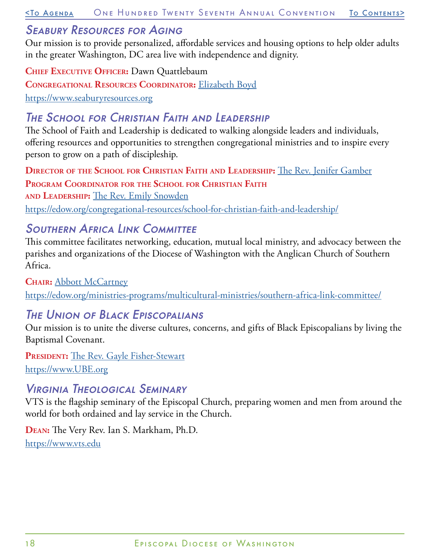[<To Agenda](#page-20-0) One Hundred Twenty Seventh Annual Convention [To Contents](#page-0-0)>

### Seabury Resources for Aging

Our mission is to provide personalized, affordable services and housing options to help older adults in the greater Washington, DC area live with independence and dignity.

**Chief Executive Officer:** Dawn Quattlebaum **Congregational Resources Coordinator:** [Elizabeth Boyd](mailto:eboyd%40seaburyresources.org?subject=Seabury%20Resources%20for%20Aging) <https://www.seaburyresources.org>

## The School for Christian Faith and Leadership

The School of Faith and Leadership is dedicated to walking alongside leaders and individuals, offering resources and opportunities to strengthen congregational ministries and to inspire every person to grow on a path of discipleship.

**Director of the School for Christian Faith and Leadership:** [The Rev. Jenifer Gamber](mailto:jgamber%40edow.org?subject=School%20for%20Christian%20Faith%20%26%20Leadership) **Program Coordinator for the School for Christian Faith and Leadership:** [The Rev. Emily Snowden](mailto:esowden%40edow.org?subject=School%20for%20Christian%20Faith%20%26%20Leadership) <https://edow.org/congregational-resources/school-for-christian-faith-and-leadership/>

## SOUTHERN AFRICA LINK COMMITTEE

This committee facilitates networking, education, mutual local ministry, and advocacy between the parishes and organizations of the Diocese of Washington with the Anglican Church of Southern Africa.

**Chair:** [Abbott McCartney](mailto:abbottmccartney%40verizon.net?subject=South%20Africa%20Link%20Committee)

<https://edow.org/ministries-programs/multicultural-ministries/southern-africa-link-committee/>

## The Union of Black Episcopalians

Our mission is to unite the diverse cultures, concerns, and gifts of Black Episcopalians by living the Baptismal Covenant.

PRESIDENT: [The Rev. Gayle Fisher-Stewart](mailto:gfisher143%40verizon.net?subject=UBE) <https://www.UBE.org>

## Virginia Theological Seminary

VTS is the flagship seminary of the Episcopal Church, preparing women and men from around the world for both ordained and lay service in the Church.

**Dean:** The Very Rev. Ian S. Markham, Ph.D. <https://www.vts.edu>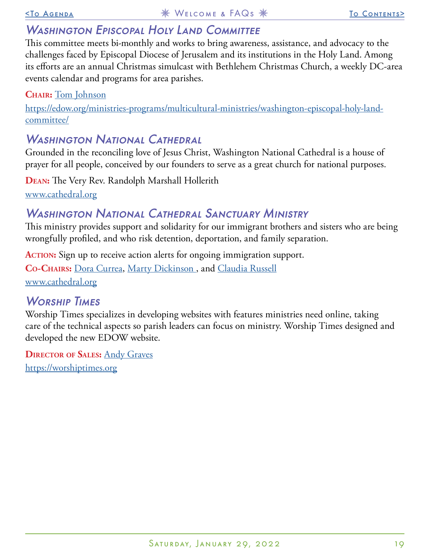## WASHINGTON EPISCOPAL HOLY LAND COMMITTEE

This committee meets bi-monthly and works to bring awareness, assistance, and advocacy to the challenges faced by Episcopal Diocese of Jerusalem and its institutions in the Holy Land. Among its efforts are an annual Christmas simulcast with Bethlehem Christmas Church, a weekly DC-area events calendar and programs for area parishes.

**Chair:** [Tom Johnson](mailto:edowjerusalemevents%40gmail.com?subject=Washington%20Episcopal%20Holy%20Land%20Committee)

[https://edow.org/ministries-programs/multicultural-ministries/washington-episcopal-holy-land](https://edow.org/ministries-programs/multicultural-ministries/washington-episcopal-holy-land-committee/)[committee/](https://edow.org/ministries-programs/multicultural-ministries/washington-episcopal-holy-land-committee/)

## WASHINGTON NATIONAL CATHEDRAL

Grounded in the reconciling love of Jesus Christ, Washington National Cathedral is a house of prayer for all people, conceived by our founders to serve as a great church for national purposes.

**Dean:** The Very Rev. Randolph Marshall Hollerith [www.cathedral.org](http://www.cathedral.org)

## Washington National Cathedral Sanctuary Ministry

This ministry provides support and solidarity for our immigrant brothers and sisters who are being wrongfully profiled, and who risk detention, deportation, and family separation.

ACTION: Sign up to receive action alerts for ongoing immigration support.

**Co-Chairs:** [Dora Currea](mailto:congregation%40cathedral.org?subject=WNC%20Sactuary%20Ministry), [Marty Dickinson](mailto:congregation%40cathedral.org?subject=WNC%20Sactuary%20Ministry) , and [Claudia Russell](mailto:congregation%40cathedral.org?subject=WNC%20Sactuary%20Ministry) [www.cathedral.org](http://www.cathedral.org)

WORSHIP TIMES

Worship Times specializes in developing websites with features ministries need online, taking care of the technical aspects so parish leaders can focus on ministry. Worship Times designed and developed the new EDOW website.

**Director of Sales:** [Andy Graves](mailto:andy%40worshiptimes.org?subject=Worship%20Times) <https://worshiptimes.org>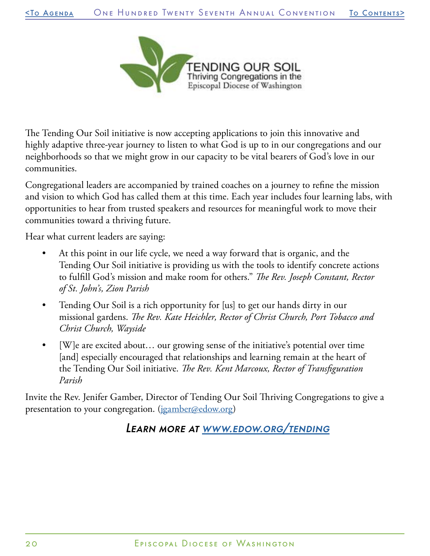

The Tending Our Soil initiative is now accepting applications to join this innovative and highly adaptive three-year journey to listen to what God is up to in our congregations and our neighborhoods so that we might grow in our capacity to be vital bearers of God's love in our communities.

Congregational leaders are accompanied by trained coaches on a journey to refine the mission and vision to which God has called them at this time. Each year includes four learning labs, with opportunities to hear from trusted speakers and resources for meaningful work to move their communities toward a thriving future.

Hear what current leaders are saying:

- At this point in our life cycle, we need a way forward that is organic, and the Tending Our Soil initiative is providing us with the tools to identify concrete actions to fulfill God's mission and make room for others." *The Rev. Joseph Constant, Rector of St. John's, Zion Parish*
- Tending Our Soil is a rich opportunity for [us] to get our hands dirty in our missional gardens. *The Rev. Kate Heichler, Rector of Christ Church, Port Tobacco and Christ Church, Wayside*
- [W]e are excited about... our growing sense of the initiative's potential over time [and] especially encouraged that relationships and learning remain at the heart of the Tending Our Soil initiative. *The Rev. Kent Marcoux, Rector of Transfiguration Parish*

Invite the Rev. Jenifer Gamber, Director of Tending Our Soil Thriving Congregations to give a presentation to your congregation. ([jgamber@edow.org\)](mailto:jgamber%40edow.org?subject=)

Learn more at [www.edow.org/tending](https://edow.org/congregational-resources/tending-our-soil/)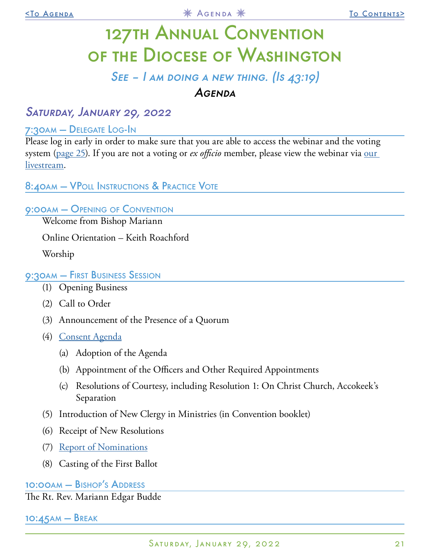# <span id="page-20-0"></span>127th Annual Convention of the Diocese of Washington

## $SE = I$  am doing a new thing. (Is  $43:19$ ) Agenda

## Saturday, January 29, 2022

#### 7:30am — Delegate Log-In

Please log in early in order to make sure that you are able to access the webinar and the voting system [\(page 25](#page-24-0)). If you are not a voting or *ex officio* member, please view the webinar via [our](https://www.youtube.com/user/edowvideos)  [livestream.](https://www.youtube.com/user/edowvideos)

#### 8:40am – VPOLL Instructions & Practice Vote

#### 9:00am — Opening of Convention

Welcome from Bishop Mariann

Online Orientation – Keith Roachford

Worship

#### 9:30am — First Business Session

- (1) Opening Business
- (2) Call to Order
- (3) Announcement of the Presence of a Quorum
- (4) [Consent Agenda](#page-22-0)
	- (a) Adoption of the Agenda
	- (b) Appointment of the Officers and Other Required Appointments
	- (c) Resolutions of Courtesy, including Resolution 1: On Christ Church, Accokeek's Separation
- (5) Introduction of New Clergy in Ministries (in Convention booklet)
- (6) Receipt of New Resolutions
- (7) [Report of Nominations](#page-25-0)
- (8) Casting of the First Ballot

#### 10:00am — Bishop's Address

The Rt. Rev. Mariann Edgar Budde

10:45am — Break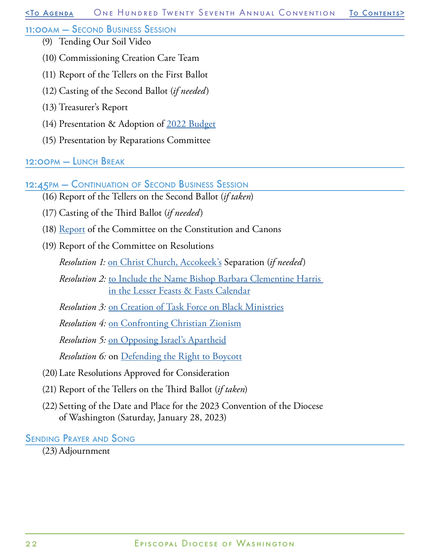#### 11:00am — Second Business Session

- (9) Tending Our Soil Video
- (10) Commissioning Creation Care Team
- (11) Report of the Tellers on the First Ballot
- (12) Casting of the Second Ballot (*if needed*)
- (13) Treasurer's Report
- (14) Presentation & Adoption of [2022 Budget](#page-28-0)
- (15) Presentation by Reparations Committee

#### 12:00pm — Lunch Break

12:45PM – CONTINUATION OF SECOND BUSINESS SESSION

- (16) Report of the Tellers on the Second Ballot (*if taken*)
- (17) Casting of the Third Ballot (*if needed*)
- (18) [Report](#page-32-0) of the Committee on the Constitution and Canons
- (19) Report of the Committee on Resolutions

*Resolution 1:* [on Christ Church, Accokeek's](#page-47-0) Separation (*if needed*)

- *Resolution 2:* [to Include the Name Bishop Barbara Clementine Harris](#page-48-0)  [in the Lesser Feasts & Fasts Calendar](#page-48-0)
- *Resolution 3:* [on Creation of Task Force on Black Ministries](#page-49-0)

*Resolution 4:* [on Confronting Christian Zionism](#page-50-0)

*Resolution 5:* [on Opposing Israel's Apartheid](#page-51-0)

*Resolution 6:* on [Defending the Right to Boycott](#page-53-0)

- (20)Late Resolutions Approved for Consideration
- (21) Report of the Tellers on the Third Ballot (*if taken*)
- (22) Setting of the Date and Place for the 2023 Convention of the Diocese of Washington (Saturday, January 28, 2023)

Sending Prayer and Song

(23)Adjournment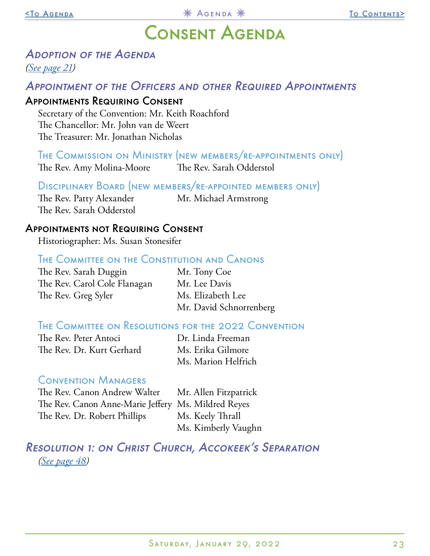## Consent Agenda

## <span id="page-22-0"></span>Adoption of the Agenda

*[\(See page 21\)](#page-20-0)*

### APPOINTMENT OF THE OFFICERS AND OTHER REQUIRED APPOINTMENTS

#### Appointments Requiring Consent

Secretary of the Convention: Mr. Keith Roachford The Chancellor: Mr. John van de Weert The Treasurer: Mr. Jonathan Nicholas

The Commission on Ministry (new members/re-appointments only) The Rev. Amy Molina-Moore The Rev. Sarah Odderstol

#### Disciplinary Board (new members/re-appointed members only)

The Rev. Patty Alexander Mr. Michael Armstrong The Rev. Sarah Odderstol

#### Appointments not Requiring Consent

Historiographer: Ms. Susan Stonesifer

#### The Committee on the Constitution and Canons

The Rev. Sarah Duggin Mr. Tony Coe The Rev. Carol Cole Flanagan Mr. Lee Davis The Rev. Greg Syler Ms. Elizabeth Lee

Mr. David Schnorrenberg

#### The Committee on Resolutions for the 2022 Convention

The Rev. Peter Antoci Dr. Linda Freeman The Rev. Dr. Kurt Gerhard Ms. Erika Gilmore

Ms. Marion Helfrich

#### Convention Managers

The Rev. Canon Andrew Walter Mr. Allen Fitzpatrick The Rev. Canon Anne-Marie Jeffery Ms. Mildred Reyes The Rev. Dr. Robert Phillips Ms. Keely Thrall

Ms. Kimberly Vaughn

Resolution 1: on Christ Church, Accokeek's Separation *[\(See page 48](#page-47-0))*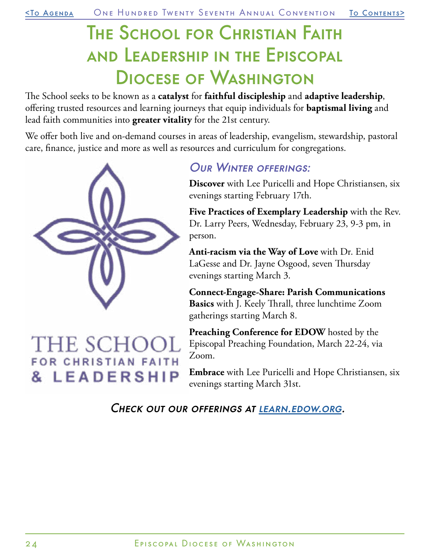# The School for Christian Faith and Leadership in the Episcopal Diocese of Washington

The School seeks to be known as a **catalyst** for **faithful discipleship** and **adaptive leadership**, offering trusted resources and learning journeys that equip individuals for **baptismal living** and lead faith communities into **greater vitality** for the 21st century.

We offer both live and on-demand courses in areas of leadership, evangelism, stewardship, pastoral care, finance, justice and more as well as resources and curriculum for congregations.



## THE SCHO FOR CHRISTIAN FAITH & LEADERSHIP

### Our Winter offerings:

**Discover** with Lee Puricelli and Hope Christiansen, six evenings starting February 17th.

**Five Practices of Exemplary Leadership** with the Rev. Dr. Larry Peers, Wednesday, February 23, 9-3 pm, in person.

**Anti-racism via the Way of Love** with Dr. Enid LaGesse and Dr. Jayne Osgood, seven Thursday evenings starting March 3.

**Connect-Engage-Share: Parish Communications Basics** with J. Keely Thrall, three lunchtime Zoom gatherings starting March 8.

**Preaching Conference for EDOW** hosted by the Episcopal Preaching Foundation, March 22-24, via Zoom.

**Embrace** with Lee Puricelli and Hope Christiansen, six evenings starting March 31st.

CHECK OUT OUR OFFERINGS AT LEARN.EDOW.ORG.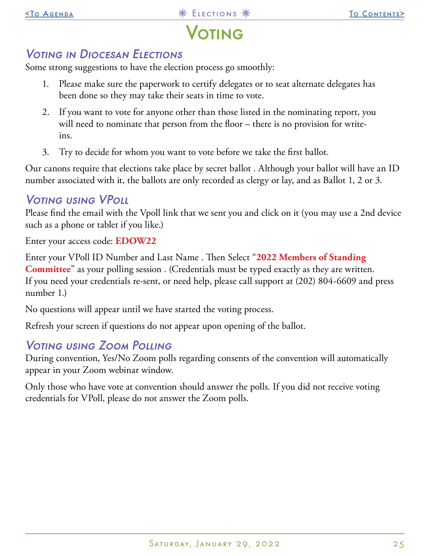## **/OTING**

## <span id="page-24-0"></span>Voting in Diocesan Elections

Some strong suggestions to have the election process go smoothly:

- 1. Please make sure the paperwork to certify delegates or to seat alternate delegates has been done so they may take their seats in time to vote.
- 2. If you want to vote for anyone other than those listed in the nominating report, you will need to nominate that person from the floor – there is no provision for writeins.
- 3. Try to decide for whom you want to vote before we take the first ballot.

Our canons require that elections take place by secret ballot . Although your ballot will have an ID number associated with it, the ballots are only recorded as clergy or lay, and as Ballot 1, 2 or 3.

## Voting using VPoll

Please find the email with the Vpoll link that we sent you and click on it (you may use a 2nd device such as a phone or tablet if you like.)

Enter your access code: **EDOW22**

Enter your VPoll ID Number and Last Name . Then Select "**2022 Members of Standing Committee**" as your polling session . (Credentials must be typed exactly as they are written. If you need your credentials re-sent, or need help, please call support at (202) 804-6609 and press number 1.)

No questions will appear until we have started the voting process.

Refresh your screen if questions do not appear upon opening of the ballot.

## Voting using Zoom Polling

During convention, Yes/No Zoom polls regarding consents of the convention will automatically appear in your Zoom webinar window.

Only those who have vote at convention should answer the polls. If you did not receive voting credentials for VPoll, please do not answer the Zoom polls.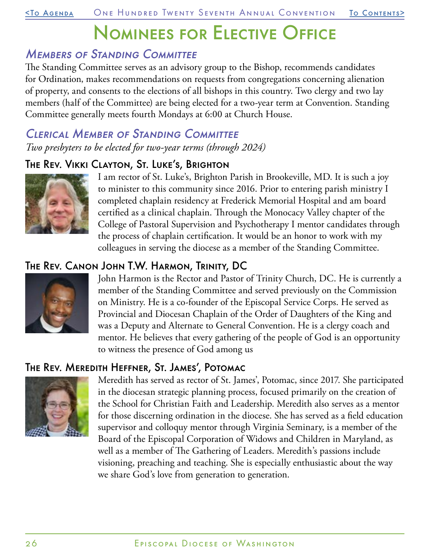# Nominees for Elective Office

## <span id="page-25-0"></span>Members of Standing Committee

The Standing Committee serves as an advisory group to the Bishop, recommends candidates for Ordination, makes recommendations on requests from congregations concerning alienation of property, and consents to the elections of all bishops in this country. Two clergy and two lay members (half of the Committee) are being elected for a two-year term at Convention. Standing Committee generally meets fourth Mondays at 6:00 at Church House.

### Clerical Member of Standing Committee *Two presbyters to be elected for two-year terms (through 2024)*

### The Rev. Vikki Clayton, St. Luke's, Brighton



I am rector of St. Luke's, Brighton Parish in Brookeville, MD. It is such a joy to minister to this community since 2016. Prior to entering parish ministry I completed chaplain residency at Frederick Memorial Hospital and am board certified as a clinical chaplain. Through the Monocacy Valley chapter of the College of Pastoral Supervision and Psychotherapy I mentor candidates through the process of chaplain certification. It would be an honor to work with my colleagues in serving the diocese as a member of the Standing Committee.

## The Rev. Canon John T.W. Harmon, Trinity, DC



John Harmon is the Rector and Pastor of Trinity Church, DC. He is currently a member of the Standing Committee and served previously on the Commission on Ministry. He is a co-founder of the Episcopal Service Corps. He served as Provincial and Diocesan Chaplain of the Order of Daughters of the King and was a Deputy and Alternate to General Convention. He is a clergy coach and mentor. He believes that every gathering of the people of God is an opportunity to witness the presence of God among us

## The Rev. Meredith Heffner, St. James', Potomac



Meredith has served as rector of St. James', Potomac, since 2017. She participated in the diocesan strategic planning process, focused primarily on the creation of the School for Christian Faith and Leadership. Meredith also serves as a mentor for those discerning ordination in the diocese. She has served as a field education supervisor and colloquy mentor through Virginia Seminary, is a member of the Board of the Episcopal Corporation of Widows and Children in Maryland, as well as a member of The Gathering of Leaders. Meredith's passions include visioning, preaching and teaching. She is especially enthusiastic about the way we share God's love from generation to generation.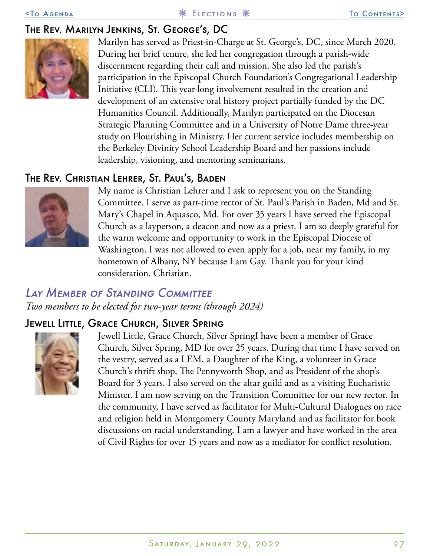## The Rev. Marilyn Jenkins, St. George's, DC



Marilyn has served as Priest-in-Charge at St. George's, DC, since March 2020. During her brief tenure, she led her congregation through a parish-wide discernment regarding their call and mission. She also led the parish's participation in the Episcopal Church Foundation's Congregational Leadership Initiative (CLI). This year-long involvement resulted in the creation and development of an extensive oral history project partially funded by the DC Humanities Council. Additionally, Marilyn participated on the Diocesan Strategic Planning Committee and in a University of Notre Dame three-year study on Flourishing in Ministry. Her current service includes membership on the Berkeley Divinity School Leadership Board and her passions include leadership, visioning, and mentoring seminarians.

### The Rev. Christian Lehrer, St. Paul's, Baden



My name is Christian Lehrer and I ask to represent you on the Standing Committee. I serve as part-time rector of St. Paul's Parish in Baden, Md and St. Mary's Chapel in Aquasco, Md. For over 35 years I have served the Episcopal Church as a layperson, a deacon and now as a priest. I am so deeply grateful for the warm welcome and opportunity to work in the Episcopal Diocese of Washington. I was not allowed to even apply for a job, near my family, in my hometown of Albany, NY because I am Gay. Thank you for your kind consideration. Christian.

## Lay Member of Standing Committee

*Two members to be elected for two-year terms (through 2024)*

## Jewell Little, Grace Church, Silver Spring



Jewell Little, Grace Church, Silver SpringI have been a member of Grace Church, Silver Spring, MD for over 25 years. During that time I have served on the vestry, served as a LEM, a Daughter of the King, a volunteer in Grace Church's thrift shop, The Pennyworth Shop, and as President of the shop's Board for 3 years. I also served on the altar guild and as a visiting Eucharistic Minister. I am now serving on the Transition Committee for our new rector. In the community, I have served as facilitator for Multi-Cultural Dialogues on race and religion held in Montgomery County Maryland and as facilitator for book discussions on racial understanding. I am a lawyer and have worked in the area of Civil Rights for over 15 years and now as a mediator for conflict resolution.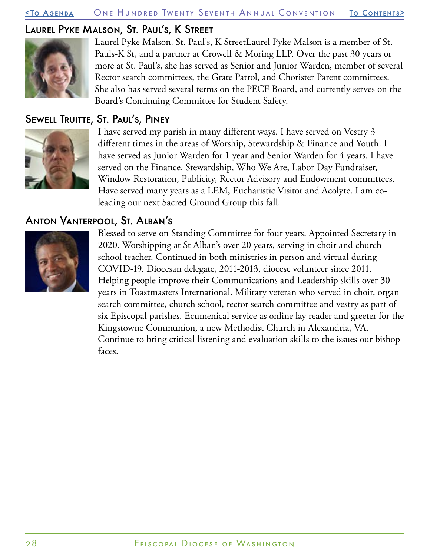#### [<To Agenda](#page-20-0) One Hundred Twenty Seventh Annual Convention [To Contents](#page-0-0)>

#### Laurel Pyke Malson, St. Paul's, K Street



Laurel Pyke Malson, St. Paul's, K StreetLaurel Pyke Malson is a member of St. Pauls-K St, and a partner at Crowell & Moring LLP. Over the past 30 years or more at St. Paul's, she has served as Senior and Junior Warden, member of several Rector search committees, the Grate Patrol, and Chorister Parent committees. She also has served several terms on the PECF Board, and currently serves on the Board's Continuing Committee for Student Safety.

### Sewell Truitte, St. Paul's, Piney



I have served my parish in many different ways. I have served on Vestry 3 different times in the areas of Worship, Stewardship & Finance and Youth. I have served as Junior Warden for 1 year and Senior Warden for 4 years. I have served on the Finance, Stewardship, Who We Are, Labor Day Fundraiser, Window Restoration, Publicity, Rector Advisory and Endowment committees. Have served many years as a LEM, Eucharistic Visitor and Acolyte. I am coleading our next Sacred Ground Group this fall.

### Anton Vanterpool, St. Alban's



Blessed to serve on Standing Committee for four years. Appointed Secretary in 2020. Worshipping at St Alban's over 20 years, serving in choir and church school teacher. Continued in both ministries in person and virtual during COVID-19. Diocesan delegate, 2011-2013, diocese volunteer since 2011. Helping people improve their Communications and Leadership skills over 30 years in Toastmasters International. Military veteran who served in choir, organ search committee, church school, rector search committee and vestry as part of six Episcopal parishes. Ecumenical service as online lay reader and greeter for the Kingstowne Communion, a new Methodist Church in Alexandria, VA. Continue to bring critical listening and evaluation skills to the issues our bishop faces.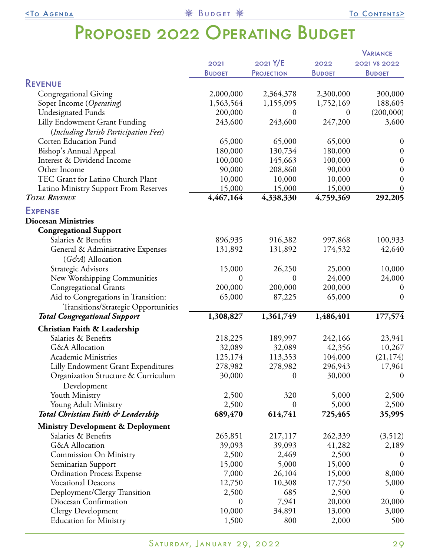## PROPOSED 2022 OPERATING BUDGET

<span id="page-28-0"></span>

|                                              |                  |                   |               | <b>VARIANCE</b>  |
|----------------------------------------------|------------------|-------------------|---------------|------------------|
|                                              | 2021             | 2021 Y/E          | 2022          | 2021 VS 2022     |
|                                              | <b>BUDGET</b>    | <b>PROJECTION</b> | <b>BUDGET</b> | <b>BUDGET</b>    |
| <b>REVENUE</b>                               |                  |                   |               |                  |
| <b>Congregational Giving</b>                 | 2,000,000        | 2,364,378         | 2,300,000     | 300,000          |
| Soper Income (Operating)                     | 1,563,564        | 1,155,095         | 1,752,169     | 188,605          |
| <b>Undesignated Funds</b>                    | 200,000          | $\boldsymbol{0}$  | $\theta$      | (200,000)        |
| Lilly Endowment Grant Funding                | 243,600          | 243,600           | 247,200       | 3,600            |
| (Including Parish Participation Fees)        |                  |                   |               |                  |
| <b>Corten Education Fund</b>                 | 65,000           | 65,000            | 65,000        | $\boldsymbol{0}$ |
| <b>Bishop's Annual Appeal</b>                | 180,000          | 130,734           | 180,000       | $\boldsymbol{0}$ |
| Interest & Dividend Income                   | 100,000          | 145,663           | 100,000       |                  |
| Other Income                                 |                  |                   |               | $\boldsymbol{0}$ |
|                                              | 90,000           | 208,860           | 90,000        | $\boldsymbol{0}$ |
| TEC Grant for Latino Church Plant            | 10,000           | 10,000            | 10,000        | $\boldsymbol{0}$ |
| Latino Ministry Support From Reserves        | 15,000           | 15,000            | 15,000        | $\boldsymbol{0}$ |
| <b>TOTAL REVENUE</b>                         | 4,467,164        | 4,338,330         | 4,759,369     | 292,205          |
| <b>EXPENSE</b>                               |                  |                   |               |                  |
| <b>Diocesan Ministries</b>                   |                  |                   |               |                  |
| <b>Congregational Support</b>                |                  |                   |               |                  |
| Salaries & Benefits                          | 896,935          | 916,382           | 997,868       | 100,933          |
| General & Administrative Expenses            | 131,892          | 131,892           | 174,532       | 42,640           |
| $(G\acute{c}\acute{c}A)$ Allocation          |                  |                   |               |                  |
| Strategic Advisors                           | 15,000           | 26,250            | 25,000        | 10,000           |
| New Worshipping Communities                  | 0                | $\theta$          | 24,000        | 24,000           |
| <b>Congregational Grants</b>                 | 200,000          | 200,000           | 200,000       | $\boldsymbol{0}$ |
| Aid to Congregations in Transition:          | 65,000           | 87,225            | 65,000        | $\boldsymbol{0}$ |
| Transitions/Strategic Opportunities          |                  |                   |               |                  |
| <b>Total Congregational Support</b>          | 1,308,827        | 1,361,749         | 1,486,401     | 177,574          |
| Christian Faith & Leadership                 |                  |                   |               |                  |
| Salaries & Benefits                          | 218,225          | 189,997           | 242,166       | 23,941           |
| <b>G&amp;A</b> Allocation                    | 32,089           | 32,089            | 42,356        | 10,267           |
| <b>Academic Ministries</b>                   | 125,174          | 113,353           | 104,000       | (21, 174)        |
| Lilly Endowment Grant Expenditures           | 278,982          | 278,982           | 296,943       | 17,961           |
| Organization Structure & Curriculum          | 30,000           | 0                 | 30,000        | $\theta$         |
| Development                                  |                  |                   |               |                  |
| Youth Ministry                               | 2,500            | 320               | 5,000         |                  |
| Young Adult Ministry                         | 2,500            | $\overline{0}$    | 5,000         | 2,500<br>2,500   |
| Total Christian Faith & Leadership           | 689,470          | 614,741           | 725,465       | 35,995           |
|                                              |                  |                   |               |                  |
| <b>Ministry Development &amp; Deployment</b> |                  |                   |               |                  |
| Salaries & Benefits                          | 265,851          | 217,117           | 262,339       | (3,512)          |
| G&A Allocation                               | 39,093           | 39,093            | 41,282        | 2,189            |
| Commission On Ministry                       | 2,500            | 2,469             | 2,500         | $\bf{0}$         |
| Seminarian Support                           | 15,000           | 5,000             | 15,000        | $\boldsymbol{0}$ |
| <b>Ordination Process Expense</b>            | 7,000            | 26,104            | 15,000        | 8,000            |
| <b>Vocational Deacons</b>                    | 12,750           | 10,308            | 17,750        | 5,000            |
| Deployment/Clergy Transition                 | 2,500            | 685               | 2,500         | $\boldsymbol{0}$ |
| Diocesan Confirmation                        | $\boldsymbol{0}$ | 7,941             | 20,000        | 20,000           |
| <b>Clergy Development</b>                    | 10,000           | 34,891            | 13,000        | 3,000            |
| <b>Education for Ministry</b>                | 1,500            | 800               | 2,000         | 500              |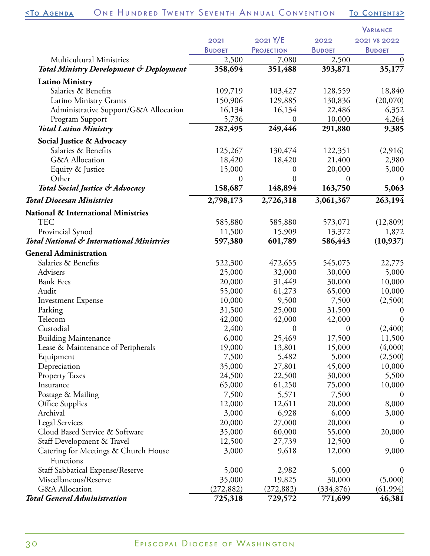|                                                    |               |                   |                  | <b>VARIANCE</b>  |
|----------------------------------------------------|---------------|-------------------|------------------|------------------|
|                                                    | 2021          | 2021 Y/E          | 2022             | 2021 VS 2022     |
|                                                    | <b>BUDGET</b> | <b>PROJECTION</b> | <b>BUDGET</b>    | <b>BUDGET</b>    |
| <b>Multicultural Ministries</b>                    | 2,500         | 7,080             | 2,500            | $\boldsymbol{0}$ |
| <b>Total Ministry Development &amp; Deployment</b> | 358,694       | 351,488           | 393,871          | 35,177           |
| <b>Latino Ministry</b>                             |               |                   |                  |                  |
| Salaries & Benefits                                | 109,719       | 103,427           | 128,559          | 18,840           |
| Latino Ministry Grants                             | 150,906       | 129,885           | 130,836          | (20,070)         |
| Administrative Support/G&A Allocation              | 16,134        | 16,134            | 22,486           | 6,352            |
| Program Support                                    | 5,736         | $\boldsymbol{0}$  | 10,000           | 4,264            |
| <b>Total Latino Ministry</b>                       | 282,495       | 249,446           | 291,880          | 9,385            |
| Social Justice & Advocacy                          |               |                   |                  |                  |
| Salaries & Benefits                                | 125,267       | 130,474           | 122,351          | (2,916)          |
| G&A Allocation                                     | 18,420        | 18,420            | 21,400           | 2,980            |
| Equity & Justice                                   | 15,000        | $\boldsymbol{0}$  | 20,000           | 5,000            |
| Other                                              | 0             | $\Omega$          | $\boldsymbol{0}$ | $\boldsymbol{0}$ |
| Total Social Justice & Advocacy                    | 158,687       | 148,894           | 163,750          | 5,063            |
| <b>Total Diocesan Ministries</b>                   | 2,798,173     | 2,726,318         | 3,061,367        | 263,194          |
|                                                    |               |                   |                  |                  |
| <b>National &amp; International Ministries</b>     |               |                   |                  |                  |
| <b>TEC</b>                                         | 585,880       | 585,880           | 573,071          | (12,809)         |
| Provincial Synod                                   | 11,500        | 15,909            | 13,372           | 1,872            |
| Total National & International Ministries          | 597,380       | 601,789           | 586,443          | (10, 937)        |
| <b>General Administration</b>                      |               |                   |                  |                  |
| Salaries & Benefits                                | 522,300       | 472,655           | 545,075          | 22,775           |
| Advisers                                           | 25,000        | 32,000            | 30,000           | 5,000            |
| <b>Bank Fees</b>                                   | 20,000        | 31,449            | 30,000           | 10,000           |
| Audit                                              | 55,000        | 61,273            | 65,000           | 10,000           |
| <b>Investment Expense</b>                          | 10,000        | 9,500             | 7,500            | (2,500)          |
| Parking                                            | 31,500        | 25,000            | 31,500           | $\theta$         |
| Telecom                                            | 42,000        | 42,000            | 42,000           | $\boldsymbol{0}$ |
| Custodial                                          | 2,400         | $\boldsymbol{0}$  | $\boldsymbol{0}$ | (2,400)          |
| <b>Building Maintenance</b>                        | 6,000         | 25,469            | 17,500           | 11,500           |
| Lease & Maintenance of Peripherals                 | 19,000        | 13,801            | 15,000           | (4,000)          |
| Equipment                                          | 7,500         | 5,482             | 5,000            | (2,500)          |
| Depreciation                                       | 35,000        | 27,801            | 45,000           | 10,000           |
| <b>Property Taxes</b>                              | 24,500        | 22,500            | 30,000           | 5,500            |
| Insurance                                          | 65,000        | 61,250            | 75,000           | 10,000           |
| Postage & Mailing                                  | 7,500         | 5,571             | 7,500            | $\boldsymbol{0}$ |
| Office Supplies                                    | 12,000        | 12,611            | 20,000           | 8,000            |
| Archival                                           | 3,000         | 6,928             | 6,000            | 3,000            |
| <b>Legal Services</b>                              | 20,000        | 27,000            | 20,000           | $\boldsymbol{0}$ |
| Cloud Based Service & Software                     | 35,000        | 60,000            | 55,000           | 20,000           |
| Staff Development & Travel                         | 12,500        | 27,739            | 12,500           | $\theta$         |
| Catering for Meetings & Church House               | 3,000         | 9,618             | 12,000           | 9,000            |
| Functions                                          |               |                   |                  |                  |
| Staff Sabbatical Expense/Reserve                   | 5,000         | 2,982             | 5,000            | $\theta$         |
| Miscellaneous/Reserve                              | 35,000        | 19,825            | 30,000           | (5,000)          |
| G&A Allocation                                     | (272, 882)    | (272, 882)        | (334, 876)       | (61, 994)        |
| <b>Total General Administration</b>                | 725,318       | 729,572           | 771,699          | 46,381           |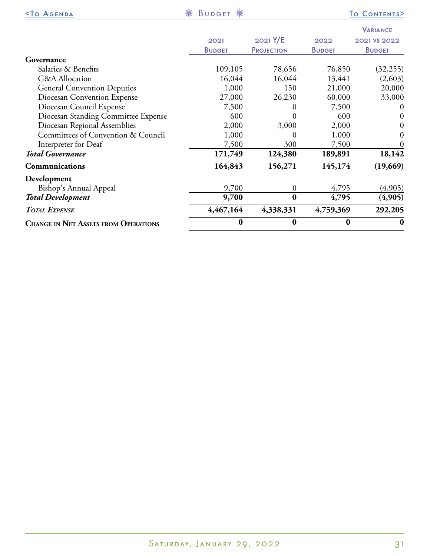| <u> <to agenda<="" u=""></to></u>           | <b>※ BUDGET ※</b> |                   |               | <u>TO CONTENTS&gt;</u>          |
|---------------------------------------------|-------------------|-------------------|---------------|---------------------------------|
|                                             | 2021              | 2021 Y/E          | 2022          | <b>VARIANCE</b><br>2021 VS 2022 |
|                                             | <b>BUDGET</b>     | <b>PROJECTION</b> | <b>BUDGET</b> | <b>BUDGET</b>                   |
| Governance                                  |                   |                   |               |                                 |
| Salaries & Benefits                         | 109,105           | 78,656            | 76,850        | (32, 255)                       |
| <b>G&amp;A</b> Allocation                   | 16,044            | 16,044            | 13,441        | (2,603)                         |
| <b>General Convention Deputies</b>          | 1,000             | 150               | 21,000        | 20,000                          |
| Diocesan Convention Expense                 | 27,000            | 26,230            | 60,000        | 33,000                          |
| Diocesan Council Expense                    | 7,500             | 0                 | 7,500         | $\theta$                        |
| Diocesan Standing Committee Expense         | 600               | $\mathbf{0}$      | 600           | $\theta$                        |
| Diocesan Regional Assemblies                | 2,000             | 3,000             | 2,000         | $\theta$                        |
| Committees of Convention & Council          | 1,000             | 0                 | 1,000         | 0                               |
| Interpreter for Deaf                        | 7,500             | 300               | 7,500         |                                 |
| <b>Total Governance</b>                     | 171,749           | 124,380           | 189,891       | 18,142                          |
| Communications                              | 164,843           | 156,271           | 145,174       | (19,669)                        |
| Development                                 |                   |                   |               |                                 |
| Bishop's Annual Appeal                      | 9,700             | $\boldsymbol{0}$  | 4,795         | (4,905)                         |
| <b>Total Development</b>                    | 9,700             | $\bf{0}$          | 4,795         | (4,905)                         |
| <b>TOTAL EXPENSE</b>                        | 4,467,164         | 4,338,331         | 4,759,369     | 292,205                         |
| <b>CHANGE IN NET ASSETS FROM OPERATIONS</b> | $\bf{0}$          | $\bf{0}$          | $\bf{0}$      | $\bf{0}$                        |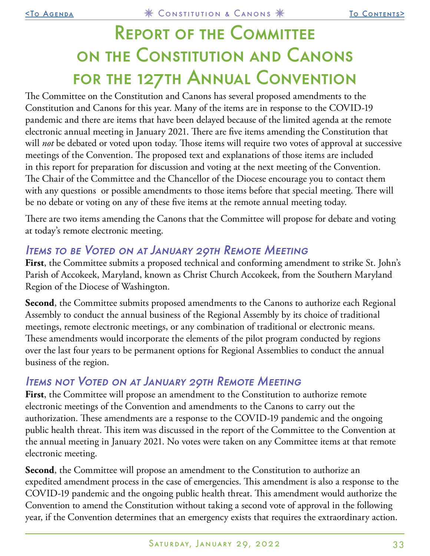## <span id="page-32-0"></span>Report of the Committee on the Constitution and Canons for the 127th Annual Convention

The Committee on the Constitution and Canons has several proposed amendments to the Constitution and Canons for this year. Many of the items are in response to the COVID-19 pandemic and there are items that have been delayed because of the limited agenda at the remote electronic annual meeting in January 2021. There are five items amending the Constitution that will *not* be debated or voted upon today. Those items will require two votes of approval at successive meetings of the Convention. The proposed text and explanations of those items are included in this report for preparation for discussion and voting at the next meeting of the Convention. The Chair of the Committee and the Chancellor of the Diocese encourage you to contact them with any questions or possible amendments to those items before that special meeting. There will be no debate or voting on any of these five items at the remote annual meeting today.

There are two items amending the Canons that the Committee will propose for debate and voting at today's remote electronic meeting.

## ITEMS TO BE VOTED ON AT JANUARY 29TH REMOTE MEETING

First, the Committee submits a proposed technical and conforming amendment to strike St. John's Parish of Accokeek, Maryland, known as Christ Church Accokeek, from the Southern Maryland Region of the Diocese of Washington.

**Second**, the Committee submits proposed amendments to the Canons to authorize each Regional Assembly to conduct the annual business of the Regional Assembly by its choice of traditional meetings, remote electronic meetings, or any combination of traditional or electronic means. These amendments would incorporate the elements of the pilot program conducted by regions over the last four years to be permanent options for Regional Assemblies to conduct the annual business of the region.

## Items not Voted on at January 29th Remote Meeting

First, the Committee will propose an amendment to the Constitution to authorize remote electronic meetings of the Convention and amendments to the Canons to carry out the authorization. These amendments are a response to the COVID-19 pandemic and the ongoing public health threat. This item was discussed in the report of the Committee to the Convention at the annual meeting in January 2021. No votes were taken on any Committee items at that remote electronic meeting.

**Second**, the Committee will propose an amendment to the Constitution to authorize an expedited amendment process in the case of emergencies. This amendment is also a response to the COVID-19 pandemic and the ongoing public health threat. This amendment would authorize the Convention to amend the Constitution without taking a second vote of approval in the following year, if the Convention determines that an emergency exists that requires the extraordinary action.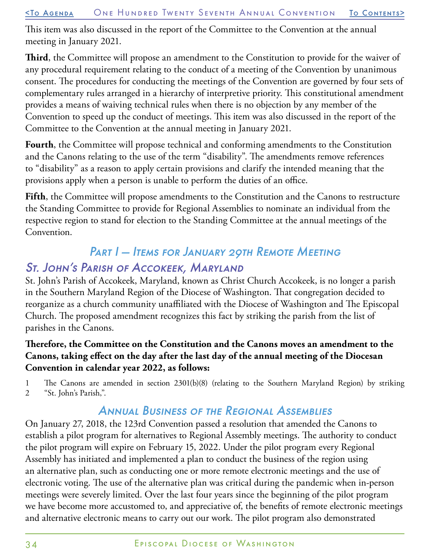This item was also discussed in the report of the Committee to the Convention at the annual meeting in January 2021.

**Third**, the Committee will propose an amendment to the Constitution to provide for the waiver of any procedural requirement relating to the conduct of a meeting of the Convention by unanimous consent. The procedures for conducting the meetings of the Convention are governed by four sets of complementary rules arranged in a hierarchy of interpretive priority. This constitutional amendment provides a means of waiving technical rules when there is no objection by any member of the Convention to speed up the conduct of meetings. This item was also discussed in the report of the Committee to the Convention at the annual meeting in January 2021.

**Fourth**, the Committee will propose technical and conforming amendments to the Constitution and the Canons relating to the use of the term "disability". The amendments remove references to "disability" as a reason to apply certain provisions and clarify the intended meaning that the provisions apply when a person is unable to perform the duties of an office.

**Fifth**, the Committee will propose amendments to the Constitution and the Canons to restructure the Standing Committee to provide for Regional Assemblies to nominate an individual from the respective region to stand for election to the Standing Committee at the annual meetings of the Convention.

## PART I - ITEMS FOR JANUARY 29TH REMOTE MEETING St. John's Parish of Accokeek, Maryland

#### St. John's Parish of Accokeek, Maryland, known as Christ Church Accokeek, is no longer a parish in the Southern Maryland Region of the Diocese of Washington. That congregation decided to reorganize as a church community unaffiliated with the Diocese of Washington and The Episcopal Church. The proposed amendment recognizes this fact by striking the parish from the list of parishes in the Canons.

#### **Therefore, the Committee on the Constitution and the Canons moves an amendment to the Canons, taking effect on the day after the last day of the annual meeting of the Diocesan Convention in calendar year 2022, as follows:**

1 The Canons are amended in section 2301(b)(8) (relating to the Southern Maryland Region) by striking 2 "St. John's Parish,".

## Annual Business of the Regional Assemblies

On January 27, 2018, the 123rd Convention passed a resolution that amended the Canons to establish a pilot program for alternatives to Regional Assembly meetings. The authority to conduct the pilot program will expire on February 15, 2022. Under the pilot program every Regional Assembly has initiated and implemented a plan to conduct the business of the region using an alternative plan, such as conducting one or more remote electronic meetings and the use of electronic voting. The use of the alternative plan was critical during the pandemic when in-person meetings were severely limited. Over the last four years since the beginning of the pilot program we have become more accustomed to, and appreciative of, the benefits of remote electronic meetings and alternative electronic means to carry out our work. The pilot program also demonstrated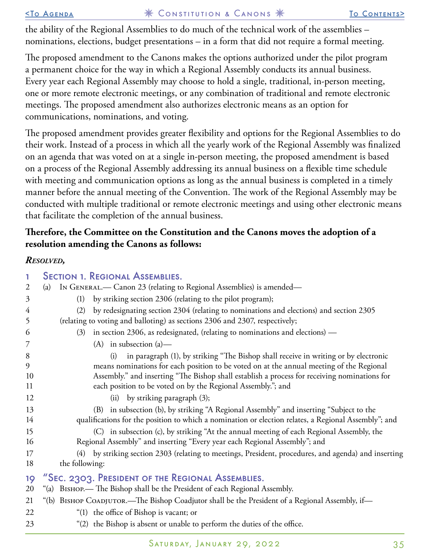the ability of the Regional Assemblies to do much of the technical work of the assemblies – nominations, elections, budget presentations – in a form that did not require a formal meeting.

The proposed amendment to the Canons makes the options authorized under the pilot program a permanent choice for the way in which a Regional Assembly conducts its annual business. Every year each Regional Assembly may choose to hold a single, traditional, in-person meeting, one or more remote electronic meetings, or any combination of traditional and remote electronic meetings. The proposed amendment also authorizes electronic means as an option for communications, nominations, and voting.

The proposed amendment provides greater flexibility and options for the Regional Assemblies to do their work. Instead of a process in which all the yearly work of the Regional Assembly was finalized on an agenda that was voted on at a single in-person meeting, the proposed amendment is based on a process of the Regional Assembly addressing its annual business on a flexible time schedule with meeting and communication options as long as the annual business is completed in a timely manner before the annual meeting of the Convention. The work of the Regional Assembly may be conducted with multiple traditional or remote electronic meetings and using other electronic means that facilitate the completion of the annual business.

#### **Therefore, the Committee on the Constitution and the Canons moves the adoption of a resolution amending the Canons as follows:**

#### *Resolved,*

| 1<br>$\overline{2}$ | <b>SECTION 1. REGIONAL ASSEMBLIES.</b><br>IN GENERAL. - Canon 23 (relating to Regional Assemblies) is amended-<br>(a)                                                                          |
|---------------------|------------------------------------------------------------------------------------------------------------------------------------------------------------------------------------------------|
| 3                   | by striking section 2306 (relating to the pilot program);<br>(1)                                                                                                                               |
| 4                   | by redesignating section 2304 (relating to nominations and elections) and section 2305<br>(2)                                                                                                  |
| 5                   | (relating to voting and balloting) as sections 2306 and 2307, respectively;                                                                                                                    |
| 6                   | in section 2306, as redesignated, (relating to nominations and elections) —<br>(3)                                                                                                             |
| 7                   | $(A)$ in subsection $(a)$ —                                                                                                                                                                    |
| 8                   | in paragraph (1), by striking "The Bishop shall receive in writing or by electronic<br>(i)                                                                                                     |
| 9                   | means nominations for each position to be voted on at the annual meeting of the Regional                                                                                                       |
| 10<br>11            | Assembly." and inserting "The Bishop shall establish a process for receiving nominations for                                                                                                   |
|                     | each position to be voted on by the Regional Assembly."; and                                                                                                                                   |
| 12                  | by striking paragraph (3);<br>(ii)                                                                                                                                                             |
| 13<br>14            | (B) in subsection (b), by striking "A Regional Assembly" and inserting "Subject to the<br>qualifications for the position to which a nomination or election relates, a Regional Assembly"; and |
| 15                  | in subsection (c), by striking "At the annual meeting of each Regional Assembly, the<br>(C)                                                                                                    |
| 16                  | Regional Assembly" and inserting "Every year each Regional Assembly"; and                                                                                                                      |
| 17                  | by striking section 2303 (relating to meetings, President, procedures, and agenda) and inserting<br>(4)                                                                                        |
| 18                  | the following:                                                                                                                                                                                 |
| 19                  | "Sec. 2303. President of the Regional Assemblies.                                                                                                                                              |
| 20                  | "(a) BISHOP.— The Bishop shall be the President of each Regional Assembly.                                                                                                                     |
| 21                  | "(b) BISHOP COADJUTOR.—The Bishop Coadjutor shall be the President of a Regional Assembly, if—                                                                                                 |
| 22                  | "(1) the office of Bishop is vacant; or                                                                                                                                                        |
| 23                  | "(2) the Bishop is absent or unable to perform the duties of the office.                                                                                                                       |
|                     |                                                                                                                                                                                                |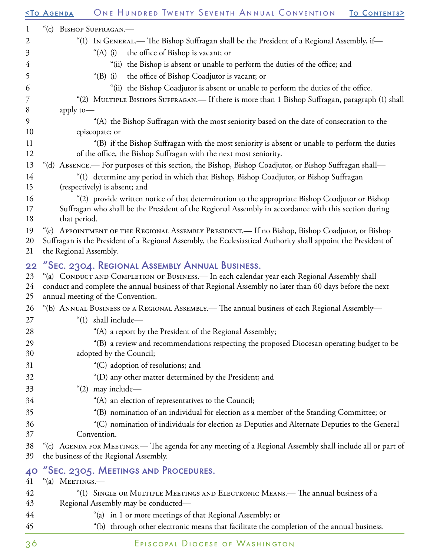|                      | ONE HUNDRED TWENTY SEVENTH ANNUAL CONVENTION<br><b><to agenda<="" b=""><br/>TO CONTENTS&gt;</to></b>                                                                                                                                                                                            |
|----------------------|-------------------------------------------------------------------------------------------------------------------------------------------------------------------------------------------------------------------------------------------------------------------------------------------------|
| $\mathbf{1}$         | "(c) BISHOP SUFFRAGAN.—                                                                                                                                                                                                                                                                         |
| $\overline{2}$       | "(1) In GENERAL.— The Bishop Suffragan shall be the President of a Regional Assembly, if—                                                                                                                                                                                                       |
| 3                    | the office of Bishop is vacant; or<br>" $(A)$ (i)                                                                                                                                                                                                                                               |
| 4                    | "(ii) the Bishop is absent or unable to perform the duties of the office; and                                                                                                                                                                                                                   |
| 5                    | the office of Bishop Coadjutor is vacant; or<br>$\degree$ (B) (i)                                                                                                                                                                                                                               |
| 6                    | "(ii) the Bishop Coadjutor is absent or unable to perform the duties of the office.                                                                                                                                                                                                             |
| 7                    | "(2) MULTIPLE BISHOPS SUFFRAGAN.— If there is more than 1 Bishop Suffragan, paragraph (1) shall                                                                                                                                                                                                 |
| 8                    | apply to-                                                                                                                                                                                                                                                                                       |
| 9                    | "(A) the Bishop Suffragan with the most seniority based on the date of consecration to the                                                                                                                                                                                                      |
| 10                   | episcopate; or                                                                                                                                                                                                                                                                                  |
| 11<br>12             | "(B) if the Bishop Suffragan with the most seniority is absent or unable to perform the duties<br>of the office, the Bishop Suffragan with the next most seniority.                                                                                                                             |
| 13                   | "(d) ABSENCE. For purposes of this section, the Bishop, Bishop Coadjutor, or Bishop Suffragan shall-                                                                                                                                                                                            |
| 14<br>15             | "(1) determine any period in which that Bishop, Bishop Coadjutor, or Bishop Suffragan<br>(respectively) is absent; and                                                                                                                                                                          |
| 16<br>17<br>18       | "(2) provide written notice of that determination to the appropriate Bishop Coadjutor or Bishop<br>Suffragan who shall be the President of the Regional Assembly in accordance with this section during<br>that period.                                                                         |
| 19<br>20<br>21       | "(e) APPOINTMENT OF THE REGIONAL ASSEMBLY PRESIDENT.— If no Bishop, Bishop Coadjutor, or Bishop<br>Suffragan is the President of a Regional Assembly, the Ecclesiastical Authority shall appoint the President of<br>the Regional Assembly.                                                     |
| 22<br>23<br>24<br>25 | "Sec. 2304. Regional Assembly Annual Business.<br>"(a) CONDUCT AND COMPLETION OF BUSINESS.— In each calendar year each Regional Assembly shall<br>conduct and complete the annual business of that Regional Assembly no later than 60 days before the next<br>annual meeting of the Convention. |
| 26                   | "(b) ANNUAL BUSINESS OF A REGIONAL ASSEMBLY.— The annual business of each Regional Assembly—                                                                                                                                                                                                    |
| 27                   | "(1) shall include-                                                                                                                                                                                                                                                                             |
| 28                   | "(A) a report by the President of the Regional Assembly;                                                                                                                                                                                                                                        |
| 29<br>30             | "(B) a review and recommendations respecting the proposed Diocesan operating budget to be<br>adopted by the Council;                                                                                                                                                                            |
| 31                   | "(C) adoption of resolutions; and                                                                                                                                                                                                                                                               |
| 32                   | "(D) any other matter determined by the President; and                                                                                                                                                                                                                                          |
| 33                   | "(2) may include-                                                                                                                                                                                                                                                                               |
| 34                   | "(A) an election of representatives to the Council;                                                                                                                                                                                                                                             |
| 35                   | "(B) nomination of an individual for election as a member of the Standing Committee; or                                                                                                                                                                                                         |
| 36                   | "(C) nomination of individuals for election as Deputies and Alternate Deputies to the General                                                                                                                                                                                                   |
| 37                   | Convention.                                                                                                                                                                                                                                                                                     |
| 38<br>39             | "(c) AGENDA FOR MEETINGS.— The agenda for any meeting of a Regional Assembly shall include all or part of<br>the business of the Regional Assembly.                                                                                                                                             |
| 40<br>41             | "Sec. 2305. MEETINGS AND PROCEDURES.<br>"(a) MEETINGS.-                                                                                                                                                                                                                                         |
| 42                   | "(1) SINGLE OR MULTIPLE MEETINGS AND ELECTRONIC MEANS.— The annual business of a                                                                                                                                                                                                                |
| 43                   | Regional Assembly may be conducted—                                                                                                                                                                                                                                                             |
| 44                   | "(a) in 1 or more meetings of that Regional Assembly; or                                                                                                                                                                                                                                        |
| 45                   | "(b) through other electronic means that facilitate the completion of the annual business.                                                                                                                                                                                                      |
|                      |                                                                                                                                                                                                                                                                                                 |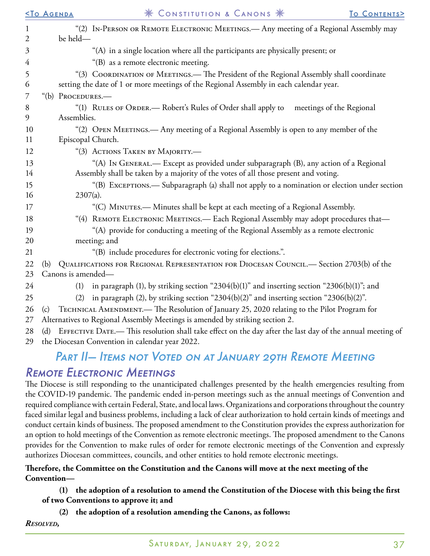|                   | <b><to agenda<="" b=""></to></b> | * CONSTITUTION & CANONS *                                                                                                                                                    | TO CONTENTS> |
|-------------------|----------------------------------|------------------------------------------------------------------------------------------------------------------------------------------------------------------------------|--------------|
| $\mathbf{1}$<br>2 | be held-                         | "(2) IN-PERSON OR REMOTE ELECTRONIC MEETINGS.— Any meeting of a Regional Assembly may                                                                                        |              |
| 3                 |                                  | "(A) in a single location where all the participants are physically present; or                                                                                              |              |
| 4                 |                                  | "(B) as a remote electronic meeting.                                                                                                                                         |              |
| 5                 |                                  | "(3) COORDINATION OF MEETINGS.— The President of the Regional Assembly shall coordinate                                                                                      |              |
| 6                 |                                  | setting the date of 1 or more meetings of the Regional Assembly in each calendar year.                                                                                       |              |
| 7                 | "(b) Procedures.—                |                                                                                                                                                                              |              |
| 8                 |                                  | "(1) RULES OF ORDER.— Robert's Rules of Order shall apply to<br>meetings of the Regional                                                                                     |              |
| 9                 | Assemblies.                      |                                                                                                                                                                              |              |
| 10                |                                  | "(2) OPEN MEETINGS.— Any meeting of a Regional Assembly is open to any member of the                                                                                         |              |
| 11                | Episcopal Church.                |                                                                                                                                                                              |              |
| 12                |                                  | "(3) ACTIONS TAKEN BY MAJORITY.—                                                                                                                                             |              |
| 13<br>14          |                                  | "(A) In GENERAL.— Except as provided under subparagraph (B), any action of a Regional<br>Assembly shall be taken by a majority of the votes of all those present and voting. |              |
| 15                |                                  | "(B) EXCEPTIONS.— Subparagraph (a) shall not apply to a nomination or election under section                                                                                 |              |
| 16                | $2307(a)$ .                      |                                                                                                                                                                              |              |
| 17                |                                  | "(C) MINUTES.— Minutes shall be kept at each meeting of a Regional Assembly.                                                                                                 |              |
| 18                |                                  | "(4) REMOTE ELECTRONIC MEETINGS.— Each Regional Assembly may adopt procedures that-                                                                                          |              |
| 19                |                                  | "(A) provide for conducting a meeting of the Regional Assembly as a remote electronic                                                                                        |              |
| 20                |                                  | meeting; and                                                                                                                                                                 |              |
| 21                |                                  | "(B) include procedures for electronic voting for elections.".                                                                                                               |              |
| 22                | (b)                              | QUALIFICATIONS FOR REGIONAL REPRESENTATION FOR DIOCESAN COUNCIL. - Section 2703(b) of the                                                                                    |              |
| 23                | Canons is amended-               |                                                                                                                                                                              |              |
| 24                | (1)                              | in paragraph (1), by striking section "2304(b)(1)" and inserting section "2306(b)(1)"; and                                                                                   |              |
| 25                | (2)                              | in paragraph (2), by striking section "2304(b)(2)" and inserting section "2306(b)(2)".                                                                                       |              |
| 26                | (c)                              | TECHNICAL AMENDMENT.— The Resolution of January 25, 2020 relating to the Pilot Program for                                                                                   |              |
| 27                |                                  | Alternatives to Regional Assembly Meetings is amended by striking section 2.                                                                                                 |              |
| 28                | (d)                              | EFFECTIVE DATE.— This resolution shall take effect on the day after the last day of the annual meeting of                                                                    |              |

#### 29 the Diocesan Convention in calendar year 2022.

## PART II– ITEMS NOT VOTED ON AT JANUARY 29TH REMOTE MEETING Remote Electronic Meetings

The Diocese is still responding to the unanticipated challenges presented by the health emergencies resulting from the COVID-19 pandemic. The pandemic ended in-person meetings such as the annual meetings of Convention and required compliance with certain Federal, State, and local laws. Organizations and corporations throughout the country faced similar legal and business problems, including a lack of clear authorization to hold certain kinds of meetings and conduct certain kinds of business. The proposed amendment to the Constitution provides the express authorization for an option to hold meetings of the Convention as remote electronic meetings. The proposed amendment to the Canons provides for the Convention to make rules of order for remote electronic meetings of the Convention and expressly authorizes Diocesan committees, councils, and other entities to hold remote electronic meetings.

#### **Therefore, the Committee on the Constitution and the Canons will move at the next meeting of the Convention—**

#### **(1) the adoption of a resolution to amend the Constitution of the Diocese with this being the first of two Conventions to approve it; and**

**(2) the adoption of a resolution amending the Canons, as follows:**

*Resolved,*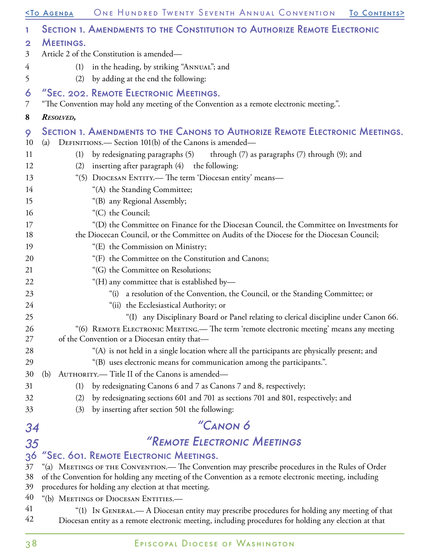|              | <u>STO AGENDA</u> | ONE HUNDRED TWENTY SEVENTH ANNUAL CONVENTION<br>TO CONTENTS>                                                                                                                                          |
|--------------|-------------------|-------------------------------------------------------------------------------------------------------------------------------------------------------------------------------------------------------|
| 1            |                   | <b>SECTION 1. AMENDMENTS TO THE CONSTITUTION TO AUTHORIZE REMOTE ELECTRONIC</b>                                                                                                                       |
| $\mathbf{2}$ | <b>MEETINGS.</b>  |                                                                                                                                                                                                       |
| 3            |                   | Article 2 of the Constitution is amended—                                                                                                                                                             |
| 4            | (1)               | in the heading, by striking "ANNUAL"; and                                                                                                                                                             |
| 5            | (2)               | by adding at the end the following:                                                                                                                                                                   |
| 6<br>7       |                   | "SEC. 202. REMOTE ELECTRONIC MEETINGS.<br>"The Convention may hold any meeting of the Convention as a remote electronic meeting.".                                                                    |
| 8            | RESOLVED,         |                                                                                                                                                                                                       |
|              |                   | SECTION 1. AMENDMENTS TO THE CANONS TO AUTHORIZE REMOTE ELECTRONIC MEETINGS.                                                                                                                          |
| 9<br>10      | (a)               | DEFINITIONS. - Section 101(b) of the Canons is amended-                                                                                                                                               |
| 11           | (1)               | by redesignating paragraphs (5) through (7) as paragraphs (7) through (9); and                                                                                                                        |
| 12           | (2)               | inserting after paragraph (4) the following:                                                                                                                                                          |
| 13           |                   | "(5) DIOCESAN ENTITY.— The term 'Diocesan entity' means-                                                                                                                                              |
| 14           |                   | "(A) the Standing Committee;                                                                                                                                                                          |
| 15           |                   | "(B) any Regional Assembly;                                                                                                                                                                           |
| 16           |                   | "(C) the Council;                                                                                                                                                                                     |
| 17           |                   | "(D) the Committee on Finance for the Diocesan Council, the Committee on Investments for                                                                                                              |
| 18           |                   | the Diocecan Council, or the Committee on Audits of the Diocese for the Diocesan Council;                                                                                                             |
| 19           |                   | "(E) the Commission on Ministry;                                                                                                                                                                      |
| 20           |                   | "(F) the Committee on the Constitution and Canons;                                                                                                                                                    |
| 21           |                   | "(G) the Committee on Resolutions;                                                                                                                                                                    |
| 22           |                   | "(H) any committee that is established by-                                                                                                                                                            |
| 23           |                   | a resolution of the Convention, the Council, or the Standing Committee; or<br>" $(i)$                                                                                                                 |
| 24           |                   | "(ii) the Ecclesiastical Authority; or                                                                                                                                                                |
| 25           |                   | "(I) any Disciplinary Board or Panel relating to clerical discipline under Canon 66.                                                                                                                  |
| 26           |                   | "(6) REMOTE ELECTRONIC MEETING.— The term 'remote electronic meeting' means any meeting                                                                                                               |
| 27           |                   | of the Convention or a Diocesan entity that-                                                                                                                                                          |
| 28           |                   | "(A) is not held in a single location where all the participants are physically present; and                                                                                                          |
| 29           |                   | "(B) uses electronic means for communication among the participants.".                                                                                                                                |
| 30           | (b)               | AUTHORITY.-Title II of the Canons is amended-                                                                                                                                                         |
| 31           | (1)               | by redesignating Canons 6 and 7 as Canons 7 and 8, respectively;                                                                                                                                      |
| 32           | (2)               | by redesignating sections 601 and 701 as sections 701 and 801, respectively; and                                                                                                                      |
| 33           | (3)               | by inserting after section 501 the following:                                                                                                                                                         |
| 34           |                   | "CANON 6                                                                                                                                                                                              |
| 35           |                   | "REMOTE ELECTRONIC MEETINGS                                                                                                                                                                           |
| 36           |                   | "Sec. 601. REMOTE ELECTRONIC MEETINGS.                                                                                                                                                                |
| 37           |                   | "(a) MEETINGS OF THE CONVENTION. - The Convention may prescribe procedures in the Rules of Order                                                                                                      |
| 38           |                   | of the Convention for holding any meeting of the Convention as a remote electronic meeting, including                                                                                                 |
| 39           |                   | procedures for holding any election at that meeting.                                                                                                                                                  |
| 40           |                   | "(b) MEETINGS OF DIOCESAN ENTITIES.—                                                                                                                                                                  |
| 41<br>42     |                   | "(1) In GENERAL.— A Diocesan entity may prescribe procedures for holding any meeting of that<br>Diocesan entity as a remote electronic meeting, including procedures for holding any election at that |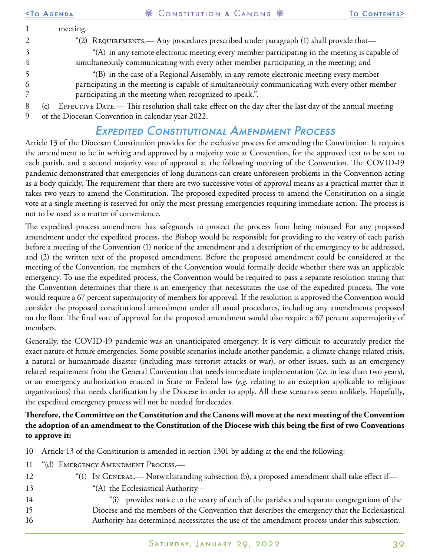|   | <b>STO AGENDA</b> | * CONSTITUTION & CANONS *                                                                              | TO CONTENTS> |
|---|-------------------|--------------------------------------------------------------------------------------------------------|--------------|
|   | meeting.          |                                                                                                        |              |
| 2 |                   | "(2) REQUIREMENTS.— Any procedures prescribed under paragraph (1) shall provide that—                  |              |
| 3 |                   | "(A) in any remote electronic meeting every member participating in the meeting is capable of          |              |
|   |                   | simultaneously communicating with every other member participating in the meeting; and                 |              |
|   |                   | "(B) in the case of a Regional Assembly, in any remote electronic meeting every member                 |              |
| 6 |                   | participating in the meeting is capable of simultaneously communicating with every other member        |              |
|   |                   | participating in the meeting when recognized to speak.".                                               |              |
| 8 | (c)               | EFFECTIVE DATE.— This resolution shall take effect on the day after the last day of the annual meeting |              |
|   |                   | $\mathcal{L}$ the Diegreen Commission in edge for the 2022                                             |              |

#### 9 of the Diocesan Convention in calendar year 2022.

### Expedited Constitutional Amendment Process

Article 13 of the Diocesan Constitution provides for the exclusive process for amending the Constitution. It requires the amendment to be in writing and approved by a majority vote at Convention, for the approved text to be sent to each parish, and a second majority vote of approval at the following meeting of the Convention. The COVID-19 pandemic demonstrated that emergencies of long durations can create unforeseen problems in the Convention acting as a body quickly. The requirement that there are two successive votes of approval means as a practical matter that it takes two years to amend the Constitution. The proposed expedited process to amend the Constitution on a single vote at a single meeting is reserved for only the most pressing emergencies requiring immediate action. The process is not to be used as a matter of convenience.

The expedited process amendment has safeguards to protect the process from being misused For any proposed amendment under the expedited process, the Bishop would be responsible for providing to the vestry of each parish before a meeting of the Convention (1) notice of the amendment and a description of the emergency to be addressed, and (2) the written text of the proposed amendment. Before the proposed amendment could be considered at the meeting of the Convention, the members of the Convention would formally decide whether there was an applicable emergency. To use the expedited process, the Convention would be required to pass a separate resolution stating that the Convention determines that there is an emergency that necessitates the use of the expedited process. The vote would require a 67 percent supermajority of members for approval. If the resolution is approved the Convention would consider the proposed constitutional amendment under all usual procedures, including any amendments proposed on the floor. The final vote of approval for the proposed amendment would also require a 67 percent supermajority of members.

Generally, the COVID-19 pandemic was an unanticipated emergency. It is very difficult to accurately predict the exact nature of future emergencies. Some possible scenarios include another pandemic, a climate change related crisis, a natural or humanmade disaster (including mass terrorist attacks or war), or other issues, such as an emergency related requirement from the General Convention that needs immediate implementation (*i.e.* in less than two years), or an emergency authorization enacted in State or Federal law (*e.g.* relating to an exception applicable to religious organizations) that needs clarification by the Diocese in order to apply. All these scenarios seem unlikely. Hopefully, the expedited emergency process will not be needed for decades.

#### **Therefore, the Committee on the Constitution and the Canons will move at the next meeting of the Convention the adoption of an amendment to the Constitution of the Diocese with this being the first of two Conventions to approve it:**

| 10 Article 13 of the Constitution is amended in section 1301 by adding at the end the following: |  |  |  |
|--------------------------------------------------------------------------------------------------|--|--|--|
|                                                                                                  |  |  |  |

- 11 "(d) Emergency Amendment Process.—
- 12 "(1) In General.— Notwithstanding subsection (b), a proposed amendment shall take effect if—
- 13 "(A) the Ecclesiastical Authority—
- 14 15 16 "(i) provides notice to the vestry of each of the parishes and separate congregations of the Diocese and the members of the Convention that describes the emergency that the Ecclesiastical Authority has determined necessitates the use of the amendment process under this subsection;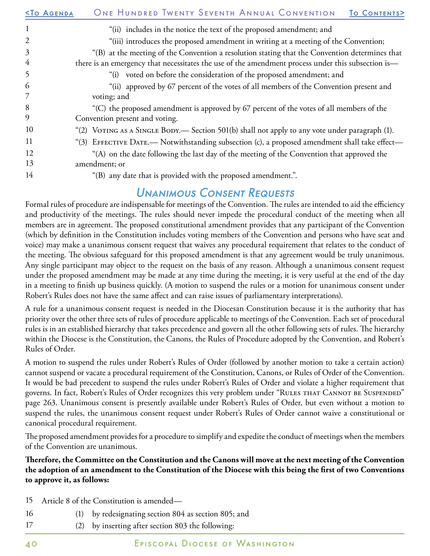| <b><to agenda<="" b=""></to></b> | ONE HUNDRED TWENTY SEVENTH ANNUAL CONVENTION<br>TO CONTENTS>                                       |
|----------------------------------|----------------------------------------------------------------------------------------------------|
| $\mathbf{1}$                     | "(ii) includes in the notice the text of the proposed amendment; and                               |
| $\overline{2}$                   | "(iii) introduces the proposed amendment in writing at a meeting of the Convention;                |
| 3                                | "(B) at the meeting of the Convention a resolution stating that the Convention determines that     |
| 4                                | there is an emergency that necessitates the use of the amendment process under this subsection is- |
| 5                                | "(i) voted on before the consideration of the proposed amendment; and                              |
| 6                                | "(ii) approved by 67 percent of the votes of all members of the Convention present and             |
| 7                                | voting; and                                                                                        |
| 8                                | "(C) the proposed amendment is approved by 67 percent of the votes of all members of the           |
| 9                                | Convention present and voting.                                                                     |
| 10                               | "(2) VOTING AS A SINGLE BODY.— Section 501(b) shall not apply to any vote under paragraph (1).     |
| 11                               | "(3) EFFECTIVE DATE.— Notwithstanding subsection (c), a proposed amendment shall take effect—      |
| 12                               | "(A) on the date following the last day of the meeting of the Convention that approved the         |
| 13                               | amendment; or                                                                                      |
| 14                               | "(B) any date that is provided with the proposed amendment.".                                      |

### Unanimous Consent Requests

Formal rules of procedure are indispensable for meetings of the Convention. The rules are intended to aid the efficiency and productivity of the meetings. The rules should never impede the procedural conduct of the meeting when all members are in agreement. The proposed constitutional amendment provides that any participant of the Convention (which by definition in the Constitution includes voting members of the Convention and persons who have seat and voice) may make a unanimous consent request that waives any procedural requirement that relates to the conduct of the meeting. The obvious safeguard for this proposed amendment is that any agreement would be truly unanimous. Any single participant may object to the request on the basis of any reason. Although a unanimous consent request under the proposed amendment may be made at any time during the meeting, it is very useful at the end of the day in a meeting to finish up business quickly. (A motion to suspend the rules or a motion for unanimous consent under Robert's Rules does not have the same affect and can raise issues of parliamentary interpretations).

A rule for a unanimous consent request is needed in the Diocesan Constitution because it is the authority that has priority over the other three sets of rules of procedure applicable to meetings of the Convention. Each set of procedural rules is in an established hierarchy that takes precedence and govern all the other following sets of rules. The hierarchy within the Diocese is the Constitution, the Canons, the Rules of Procedure adopted by the Convention, and Robert's Rules of Order.

A motion to suspend the rules under Robert's Rules of Order (followed by another motion to take a certain action) cannot suspend or vacate a procedural requirement of the Constitution, Canons, or Rules of Order of the Convention. It would be bad precedent to suspend the rules under Robert's Rules of Order and violate a higher requirement that governs. In fact, Robert's Rules of Order recognizes this very problem under "RULES THAT CANNOT BE SUSPENDED" page 263. Unanimous consent is presently available under Robert's Rules of Order, but even without a motion to suspend the rules, the unanimous consent request under Robert's Rules of Order cannot waive a constitutional or canonical procedural requirement.

The proposed amendment provides for a procedure to simplify and expedite the conduct of meetings when the members of the Convention are unanimous.

**Therefore, the Committee on the Constitution and the Canons will move at the next meeting of the Convention the adoption of an amendment to the Constitution of the Diocese with this being the first of two Conventions to approve it, as follows:**

- 15 Article 8 of the Constitution is amended—
- 16 (1) by redesignating section 804 as section 805; and
	- (2) by inserting after section 803 the following:

17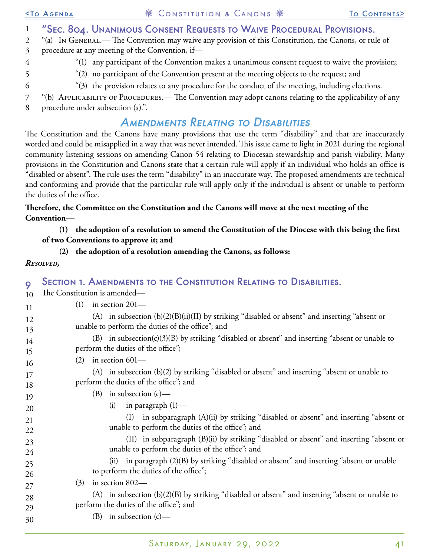| 2        | "(a) In GENERAL.— The Convention may waive any provision of this Constitution, the Canons, or rule of                                                                                                                                                                                                                                                                                                                                                                                                                                                                                                                                                                                                                                                           |
|----------|-----------------------------------------------------------------------------------------------------------------------------------------------------------------------------------------------------------------------------------------------------------------------------------------------------------------------------------------------------------------------------------------------------------------------------------------------------------------------------------------------------------------------------------------------------------------------------------------------------------------------------------------------------------------------------------------------------------------------------------------------------------------|
| 3        | procedure at any meeting of the Convention, if-                                                                                                                                                                                                                                                                                                                                                                                                                                                                                                                                                                                                                                                                                                                 |
| 4        | "(1) any participant of the Convention makes a unanimous consent request to waive the provision;                                                                                                                                                                                                                                                                                                                                                                                                                                                                                                                                                                                                                                                                |
| 5        | "(2) no participant of the Convention present at the meeting objects to the request; and                                                                                                                                                                                                                                                                                                                                                                                                                                                                                                                                                                                                                                                                        |
| 6        | "(3) the provision relates to any procedure for the conduct of the meeting, including elections.                                                                                                                                                                                                                                                                                                                                                                                                                                                                                                                                                                                                                                                                |
| 7<br>8   | "(b) APPLICABILITY OF PROCEDURES.— The Convention may adopt canons relating to the applicability of any<br>procedure under subsection (a).".                                                                                                                                                                                                                                                                                                                                                                                                                                                                                                                                                                                                                    |
|          | <b>AMENDMENTS RELATING TO DISABILITIES</b>                                                                                                                                                                                                                                                                                                                                                                                                                                                                                                                                                                                                                                                                                                                      |
|          | The Constitution and the Canons have many provisions that use the term "disability" and that are inaccurately<br>worded and could be misapplied in a way that was never intended. This issue came to light in 2021 during the regional<br>community listening sessions on amending Canon 54 relating to Diocesan stewardship and parish viability. Many<br>provisions in the Constitution and Canons state that a certain rule will apply if an individual who holds an office is<br>"disabled or absent". The rule uses the term "disability" in an inaccurate way. The proposed amendments are technical<br>and conforming and provide that the particular rule will apply only if the individual is absent or unable to perform<br>the duties of the office. |
|          | Therefore, the Committee on the Constitution and the Canons will move at the next meeting of the<br>Convention-                                                                                                                                                                                                                                                                                                                                                                                                                                                                                                                                                                                                                                                 |
|          | the adoption of a resolution to amend the Constitution of the Diocese with this being the first<br>(1)                                                                                                                                                                                                                                                                                                                                                                                                                                                                                                                                                                                                                                                          |
|          | of two Conventions to approve it; and                                                                                                                                                                                                                                                                                                                                                                                                                                                                                                                                                                                                                                                                                                                           |
|          | the adoption of a resolution amending the Canons, as follows:<br>(2)                                                                                                                                                                                                                                                                                                                                                                                                                                                                                                                                                                                                                                                                                            |
|          | <b>RESOLVED,</b>                                                                                                                                                                                                                                                                                                                                                                                                                                                                                                                                                                                                                                                                                                                                                |
|          |                                                                                                                                                                                                                                                                                                                                                                                                                                                                                                                                                                                                                                                                                                                                                                 |
| 9        | <b>SECTION 1. AMENDMENTS TO THE CONSTITUTION RELATING TO DISABILITIES.</b><br>The Constitution is amended—                                                                                                                                                                                                                                                                                                                                                                                                                                                                                                                                                                                                                                                      |
| 10       | in section 201-<br>(1)                                                                                                                                                                                                                                                                                                                                                                                                                                                                                                                                                                                                                                                                                                                                          |
| 11       | (A) in subsection $(b)(2)(B)(ii)(II)$ by striking "disabled or absent" and inserting "absent or                                                                                                                                                                                                                                                                                                                                                                                                                                                                                                                                                                                                                                                                 |
| 12       | unable to perform the duties of the office"; and                                                                                                                                                                                                                                                                                                                                                                                                                                                                                                                                                                                                                                                                                                                |
| 13       | (B) in subsection(c)(3)(B) by striking "disabled or absent" and inserting "absent or unable to                                                                                                                                                                                                                                                                                                                                                                                                                                                                                                                                                                                                                                                                  |
| 14       | perform the duties of the office";                                                                                                                                                                                                                                                                                                                                                                                                                                                                                                                                                                                                                                                                                                                              |
| 15       | in section 601-<br>(2)                                                                                                                                                                                                                                                                                                                                                                                                                                                                                                                                                                                                                                                                                                                                          |
| 16       | (A) in subsection (b)(2) by striking "disabled or absent" and inserting "absent or unable to                                                                                                                                                                                                                                                                                                                                                                                                                                                                                                                                                                                                                                                                    |
| 17<br>18 | perform the duties of the office"; and                                                                                                                                                                                                                                                                                                                                                                                                                                                                                                                                                                                                                                                                                                                          |
| 19       | (B) in subsection (c)-                                                                                                                                                                                                                                                                                                                                                                                                                                                                                                                                                                                                                                                                                                                                          |
|          | in paragraph $(1)$ —<br>(i)                                                                                                                                                                                                                                                                                                                                                                                                                                                                                                                                                                                                                                                                                                                                     |
| 20       |                                                                                                                                                                                                                                                                                                                                                                                                                                                                                                                                                                                                                                                                                                                                                                 |
| 21<br>22 |                                                                                                                                                                                                                                                                                                                                                                                                                                                                                                                                                                                                                                                                                                                                                                 |
|          | in subparagraph (A)(ii) by striking "disabled or absent" and inserting "absent or<br>(I)<br>unable to perform the duties of the office"; and                                                                                                                                                                                                                                                                                                                                                                                                                                                                                                                                                                                                                    |
|          |                                                                                                                                                                                                                                                                                                                                                                                                                                                                                                                                                                                                                                                                                                                                                                 |
| 23       | (II) in subparagraph (B)(ii) by striking "disabled or absent" and inserting "absent or<br>unable to perform the duties of the office"; and                                                                                                                                                                                                                                                                                                                                                                                                                                                                                                                                                                                                                      |
| 24       | in paragraph (2)(B) by striking "disabled or absent" and inserting "absent or unable<br>(ii)                                                                                                                                                                                                                                                                                                                                                                                                                                                                                                                                                                                                                                                                    |
| 25<br>26 | to perform the duties of the office";                                                                                                                                                                                                                                                                                                                                                                                                                                                                                                                                                                                                                                                                                                                           |
| 27       | in section 802-<br>(3)                                                                                                                                                                                                                                                                                                                                                                                                                                                                                                                                                                                                                                                                                                                                          |
| 28       | $(A)$ in subsection $(b)(2)(B)$ by striking "disabled or absent" and inserting "absent or unable to                                                                                                                                                                                                                                                                                                                                                                                                                                                                                                                                                                                                                                                             |
| 29       | perform the duties of the office"; and<br>(B) in subsection $(c)$ —                                                                                                                                                                                                                                                                                                                                                                                                                                                                                                                                                                                                                                                                                             |

[<To Agenda](#page-20-0) Constitution & Canons [To Contents](#page-0-0)>

"Sec. 804. Unanimous Consent Requests to Waive Procedural Provisions.

1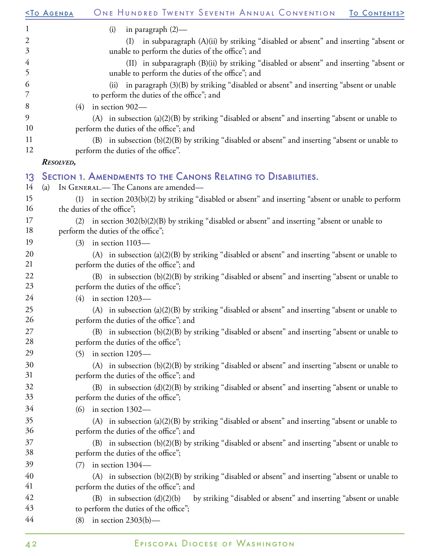|                | ONE HUNDRED TWENTY SEVENTH ANNUAL CONVENTION<br><b><to agenda<="" b=""><br/>TO CONTENTS&gt;</to></b>                                      |
|----------------|-------------------------------------------------------------------------------------------------------------------------------------------|
| $\mathbf{1}$   | in paragraph $(2)$ —<br>(i)                                                                                                               |
| $\mathfrak{2}$ | (I) in subparagraph (A)(ii) by striking "disabled or absent" and inserting "absent or                                                     |
| $\mathfrak{Z}$ | unable to perform the duties of the office"; and                                                                                          |
| $\overline{4}$ | (II) in subparagraph (B)(ii) by striking "disabled or absent" and inserting "absent or                                                    |
| 5              | unable to perform the duties of the office"; and                                                                                          |
| 6              | in paragraph (3)(B) by striking "disabled or absent" and inserting "absent or unable<br>(ii)                                              |
| 7              | to perform the duties of the office"; and                                                                                                 |
| 8              | in section 902-<br>(4)                                                                                                                    |
| 9              | (A) in subsection (a)(2)(B) by striking "disabled or absent" and inserting "absent or unable to                                           |
| 10             | perform the duties of the office"; and                                                                                                    |
| 11             | (B) in subsection (b)(2)(B) by striking "disabled or absent" and inserting "absent or unable to                                           |
| 12             | perform the duties of the office".                                                                                                        |
|                | <b>RESOLVED,</b>                                                                                                                          |
| 13             | SECTION 1. AMENDMENTS TO THE CANONS RELATING TO DISABILITIES.                                                                             |
| 14             | IN GENERAL.— The Canons are amended—<br>(a)                                                                                               |
| 15             | in section 203(b)(2) by striking "disabled or absent" and inserting "absent or unable to perform<br>(1)                                   |
| 16             | the duties of the office";                                                                                                                |
| 17             | in section 302(b)(2)(B) by striking "disabled or absent" and inserting "absent or unable to<br>(2)                                        |
| 18             | perform the duties of the office";                                                                                                        |
| 19             | in section 1103-<br>(3)                                                                                                                   |
| 20             | (A) in subsection (a)(2)(B) by striking "disabled or absent" and inserting "absent or unable to                                           |
| 21             | perform the duties of the office"; and                                                                                                    |
| 22<br>23       | (B) in subsection (b)(2)(B) by striking "disabled or absent" and inserting "absent or unable to                                           |
|                | perform the duties of the office";                                                                                                        |
| 24             | in section 1203-<br>(4)                                                                                                                   |
| 25<br>26       | (A) in subsection (a)(2)(B) by striking "disabled or absent" and inserting "absent or unable to<br>perform the duties of the office"; and |
| 27             | (B) in subsection (b)(2)(B) by striking "disabled or absent" and inserting "absent or unable to                                           |
| 28             | perform the duties of the office";                                                                                                        |
| 29             | in section 1205-<br>(5)                                                                                                                   |
| 30             | (A) in subsection (b)(2)(B) by striking "disabled or absent" and inserting "absent or unable to                                           |
| 31             | perform the duties of the office"; and                                                                                                    |
| 32             | (B) in subsection (d)(2)(B) by striking "disabled or absent" and inserting "absent or unable to                                           |
| 33             | perform the duties of the office";                                                                                                        |
| 34             | $(6)$ in section 1302—                                                                                                                    |
| 35             | (A) in subsection (a)(2)(B) by striking "disabled or absent" and inserting "absent or unable to                                           |
| 36             | perform the duties of the office"; and                                                                                                    |
| 37             | (B) in subsection (b)(2)(B) by striking "disabled or absent" and inserting "absent or unable to                                           |
| 38             | perform the duties of the office";                                                                                                        |
| 39             | in section 1304-<br>(7)                                                                                                                   |
| 40             | (A) in subsection (b)(2)(B) by striking "disabled or absent" and inserting "absent or unable to                                           |
| 41             | perform the duties of the office"; and                                                                                                    |
| 42             | (B) in subsection $(d)(2)(b)$<br>by striking "disabled or absent" and inserting "absent or unable                                         |
| 43             | to perform the duties of the office";                                                                                                     |
| 44             | in section $2303(b)$ —<br>(8)                                                                                                             |
|                |                                                                                                                                           |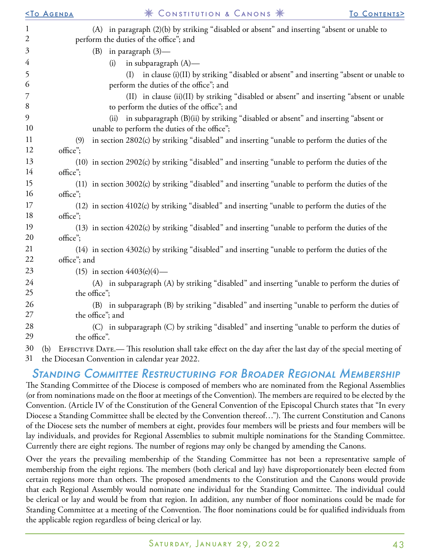|                | <b><to agenda<="" b=""></to></b>               | * CONSTITUTION & CANONS *                                                                                                              | TO CONTENTS> |
|----------------|------------------------------------------------|----------------------------------------------------------------------------------------------------------------------------------------|--------------|
| $\mathbf{1}$   |                                                | (A) in paragraph (2)(b) by striking "disabled or absent" and inserting "absent or unable to                                            |              |
| $\mathfrak{2}$ | perform the duties of the office"; and         |                                                                                                                                        |              |
| $\mathfrak{Z}$ | (B) in paragraph (3)-                          |                                                                                                                                        |              |
| $\overline{4}$ | (i)                                            | in subparagraph $(A)$ —                                                                                                                |              |
| 5<br>6         |                                                | (I) in clause (i)(II) by striking "disabled or absent" and inserting "absent or unable to<br>perform the duties of the office"; and    |              |
| 7<br>8         |                                                | (II) in clause (ii)(II) by striking "disabled or absent" and inserting "absent or unable<br>to perform the duties of the office"; and  |              |
| 9<br>10        |                                                | (ii) in subparagraph (B)(ii) by striking "disabled or absent" and inserting "absent or<br>unable to perform the duties of the office"; |              |
| 11             | (9)                                            | in section 2802(c) by striking "disabled" and inserting "unable to perform the duties of the                                           |              |
| 12             | office";                                       |                                                                                                                                        |              |
| 13<br>14       | office";                                       | (10) in section 2902(c) by striking "disabled" and inserting "unable to perform the duties of the                                      |              |
| 15             |                                                | (11) in section 3002(c) by striking "disabled" and inserting "unable to perform the duties of the                                      |              |
| 16             | office";                                       |                                                                                                                                        |              |
| 17<br>18       | office";                                       | (12) in section 4102(c) by striking "disabled" and inserting "unable to perform the duties of the                                      |              |
| 19             |                                                | (13) in section 4202(c) by striking "disabled" and inserting "unable to perform the duties of the                                      |              |
| 20             | office";                                       |                                                                                                                                        |              |
| 21             |                                                | (14) in section 4302(c) by striking "disabled" and inserting "unable to perform the duties of the                                      |              |
| 22             | office"; and                                   |                                                                                                                                        |              |
| 23             | (15) in section $4403(e)(4)$ —                 |                                                                                                                                        |              |
| 24<br>25       | the office";                                   | (A) in subparagraph (A) by striking "disabled" and inserting "unable to perform the duties of                                          |              |
| 26<br>27       | the office"; and                               | (B) in subparagraph (B) by striking "disabled" and inserting "unable to perform the duties of                                          |              |
| 28<br>29       | the office".                                   | (C) in subparagraph (C) by striking "disabled" and inserting "unable to perform the duties of                                          |              |
| 30             | (b)                                            | EFFECTIVE DATE.- This resolution shall take effect on the day after the last day of the special meeting of                             |              |
| 31             | the Diocesan Convention in calendar year 2022. |                                                                                                                                        |              |

### Standing Committee Restructuring for Broader Regional Membership

The Standing Committee of the Diocese is composed of members who are nominated from the Regional Assemblies (or from nominations made on the floor at meetings of the Convention). The members are required to be elected by the Convention. (Article IV of the Constitution of the General Convention of the Episcopal Church states that "In every Diocese a Standing Committee shall be elected by the Convention thereof…"). The current Constitution and Canons of the Diocese sets the number of members at eight, provides four members will be priests and four members will be lay individuals, and provides for Regional Assemblies to submit multiple nominations for the Standing Committee. Currently there are eight regions. The number of regions may only be changed by amending the Canons.

Over the years the prevailing membership of the Standing Committee has not been a representative sample of membership from the eight regions. The members (both clerical and lay) have disproportionately been elected from certain regions more than others. The proposed amendments to the Constitution and the Canons would provide that each Regional Assembly would nominate one individual for the Standing Committee. The individual could be clerical or lay and would be from that region. In addition, any number of floor nominations could be made for Standing Committee at a meeting of the Convention. The floor nominations could be for qualified individuals from the applicable region regardless of being clerical or lay.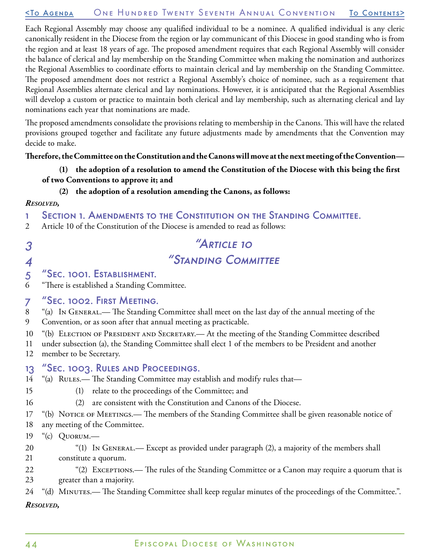#### [<To Agenda](#page-20-0) One Hundred Twenty Seventh Annual Convention [To Contents](#page-0-0)>

Each Regional Assembly may choose any qualified individual to be a nominee. A qualified individual is any cleric canonically resident in the Diocese from the region or lay communicant of this Diocese in good standing who is from the region and at least 18 years of age. The proposed amendment requires that each Regional Assembly will consider the balance of clerical and lay membership on the Standing Committee when making the nomination and authorizes the Regional Assemblies to coordinate efforts to maintain clerical and lay membership on the Standing Committee. The proposed amendment does not restrict a Regional Assembly's choice of nominee, such as a requirement that Regional Assemblies alternate clerical and lay nominations. However, it is anticipated that the Regional Assemblies will develop a custom or practice to maintain both clerical and lay membership, such as alternating clerical and lay nominations each year that nominations are made.

The proposed amendments consolidate the provisions relating to membership in the Canons. This will have the related provisions grouped together and facilitate any future adjustments made by amendments that the Convention may decide to make.

#### **Therefore, the Committee on the Constitution and the Canons will move at the next meeting of the Convention—**

#### **(1) the adoption of a resolution to amend the Constitution of the Diocese with this being the first of two Conventions to approve it; and**

#### **(2) the adoption of a resolution amending the Canons, as follows:**

#### *Resolved,*

3

15 16

- 1 Section 1. Amendments to the Constitution on the Standing Committee.
- 2 Article 10 of the Constitution of the Diocese is amended to read as follows:

## "Article 10 "Standing Committee

#### 4 5 "Sec. 1001. Establishment.

6 "There is established a Standing Committee.

#### 7 "Sec. 1002. First Meeting.

- 8 9 "(a) In General.— The Standing Committee shall meet on the last day of the annual meeting of the Convention, or as soon after that annual meeting as practicable.
- 10 "(b) ELECTION OF PRESIDENT AND SECRETARY.— At the meeting of the Standing Committee described
- 11 under subsection (a), the Standing Committee shall elect 1 of the members to be President and another
- 12 member to be Secretary.

#### 13 "Sec. 1003. Rules and Proceedings.

- 14 "(a) RULES.— The Standing Committee may establish and modify rules that—
	- (1) relate to the proceedings of the Committee; and
	- (2) are consistent with the Constitution and Canons of the Diocese.
- 17 "(b) NOTICE OF MEETINGS.— The members of the Standing Committee shall be given reasonable notice of
- 18 any meeting of the Committee.
- 19 "(c) Quorum.—
- 20 21 "(1) In General.— Except as provided under paragraph (2), a majority of the members shall constitute a quorum.
- 22 23 "(2) Exceptions.— The rules of the Standing Committee or a Canon may require a quorum that is greater than a majority.

#### 24 "(d) MINUTES.— The Standing Committee shall keep regular minutes of the proceedings of the Committee.". *Resolved,*

#### 44 Episcopal Diocese of Washington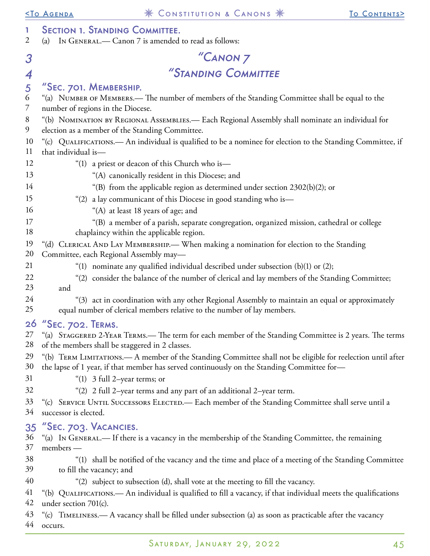| 1<br>$\overline{2}$ | <b>SECTION 1. STANDING COMMITTEE.</b><br>IN GENERAL.— Canon 7 is amended to read as follows:<br>(a)                                                                                                                                         |
|---------------------|---------------------------------------------------------------------------------------------------------------------------------------------------------------------------------------------------------------------------------------------|
| 3                   | "CANON <sub>7</sub>                                                                                                                                                                                                                         |
| $\overline{4}$      | "STANDING COMMITTEE                                                                                                                                                                                                                         |
| 5<br>6<br>7         | "SEC. 701. MEMBERSHIP.<br>"(a) NUMBER OF MEMBERS.— The number of members of the Standing Committee shall be equal to the<br>number of regions in the Diocese.                                                                               |
| 8<br>9              | "(b) NOMINATION BY REGIONAL ASSEMBLIES. - Each Regional Assembly shall nominate an individual for<br>election as a member of the Standing Committee.                                                                                        |
| 10<br>11            | "(c) QUALIFICATIONS.— An individual is qualified to be a nominee for election to the Standing Committee, if<br>that individual is-                                                                                                          |
| 12                  | "(1) a priest or deacon of this Church who is-                                                                                                                                                                                              |
| 13                  | "(A) canonically resident in this Diocese; and                                                                                                                                                                                              |
| 14                  | "(B) from the applicable region as determined under section 2302(b)(2); or                                                                                                                                                                  |
| 15                  | "(2) a lay communicant of this Diocese in good standing who is-                                                                                                                                                                             |
| 16                  | "(A) at least 18 years of age; and                                                                                                                                                                                                          |
| 17<br>18            | "(B) a member of a parish, separate congregation, organized mission, cathedral or college<br>chaplaincy within the applicable region.                                                                                                       |
| 19                  | "(d) CLERICAL AND LAY MEMBERSHIP.— When making a nomination for election to the Standing                                                                                                                                                    |
| 20                  | Committee, each Regional Assembly may-                                                                                                                                                                                                      |
| 21                  | "(1) nominate any qualified individual described under subsection (b)(1) or (2);                                                                                                                                                            |
| 22                  | "(2) consider the balance of the number of clerical and lay members of the Standing Committee;                                                                                                                                              |
| 23                  | and                                                                                                                                                                                                                                         |
| 24<br>25            | "(3) act in coordination with any other Regional Assembly to maintain an equal or approximately<br>equal number of clerical members relative to the number of lay members.                                                                  |
|                     | 26 "SEC. 702. TERMS.                                                                                                                                                                                                                        |
| 28                  | 27 "(a) STAGGERED 2-YEAR TERMS.— The term for each member of the Standing Committee is 2 years. The terms<br>of the members shall be staggered in 2 classes.                                                                                |
| 29<br>30<br>31      | "(b) TERM LIMITATIONS.— A member of the Standing Committee shall not be eligible for reelection until after<br>the lapse of 1 year, if that member has served continuously on the Standing Committee for-<br>"(1) $3$ full 2-year terms; or |
| 32                  | "(2) 2 full 2-year terms and any part of an additional 2-year term.                                                                                                                                                                         |
| 33<br>34            | "(c) SERVICE UNTIL SUCCESSORS ELECTED. - Each member of the Standing Committee shall serve until a<br>successor is elected.                                                                                                                 |
| 35<br>36<br>37      | "Sec. 703. VACANCIES.<br>"(a) In GENERAL.— If there is a vacancy in the membership of the Standing Committee, the remaining<br>members -                                                                                                    |
| 38<br>39            | "(1) shall be notified of the vacancy and the time and place of a meeting of the Standing Committee<br>to fill the vacancy; and                                                                                                             |
| 40                  | "(2) subject to subsection (d), shall vote at the meeting to fill the vacancy.                                                                                                                                                              |
| 41<br>42            | "(b) QUALIFICATIONS.— An individual is qualified to fill a vacancy, if that individual meets the qualifications<br>under section 701(c).                                                                                                    |
| 43<br>44            | "(c) TIMELINESS.— A vacancy shall be filled under subsection (a) as soon as practicable after the vacancy<br>occurs.                                                                                                                        |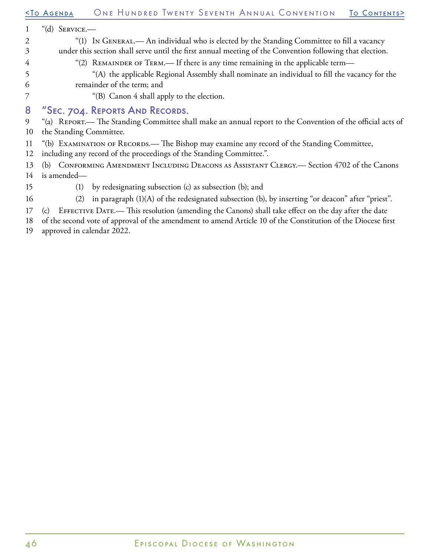#### [<To Agenda](#page-20-0) One Hundred Twenty Seventh Annual Convention [To Contents](#page-0-0)> 1 2 3 4 5 6 7 8 9 10 11 12 13 14 15 16 17 18 "(d) Service.— "(1) In General.— An individual who is elected by the Standing Committee to fill a vacancy under this section shall serve until the first annual meeting of the Convention following that election. "(2) REMAINDER OF TERM.— If there is any time remaining in the applicable term— "(A) the applicable Regional Assembly shall nominate an individual to fill the vacancy for the remainder of the term; and "(B) Canon 4 shall apply to the election. "Sec. 704. Reports And Records. "(a) Report.— The Standing Committee shall make an annual report to the Convention of the official acts of the Standing Committee. "(b) EXAMINATION OF RECORDS.— The Bishop may examine any record of the Standing Committee, including any record of the proceedings of the Standing Committee.". (b) Conforming Amendment Including Deacons as Assistant Clergy.— Section 4702 of the Canons is amended— (1) by redesignating subsection (c) as subsection (b); and (2) in paragraph (1)(A) of the redesignated subsection (b), by inserting "or deacon" after "priest". (c) Effective Date.— This resolution (amending the Canons) shall take effect on the day after the date of the second vote of approval of the amendment to amend Article 10 of the Constitution of the Diocese first

19 approved in calendar 2022.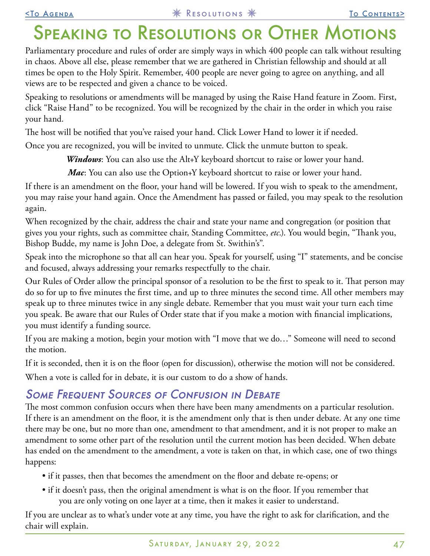## <span id="page-46-0"></span>Speaking to Resolutions or Other Motions

Parliamentary procedure and rules of order are simply ways in which 400 people can talk without resulting in chaos. Above all else, please remember that we are gathered in Christian fellowship and should at all times be open to the Holy Spirit. Remember, 400 people are never going to agree on anything, and all views are to be respected and given a chance to be voiced.

Speaking to resolutions or amendments will be managed by using the Raise Hand feature in Zoom. First, click "Raise Hand" to be recognized. You will be recognized by the chair in the order in which you raise your hand.

The host will be notified that you've raised your hand. Click Lower Hand to lower it if needed.

Once you are recognized, you will be invited to unmute. Click the unmute button to speak.

*Windows*: You can also use the Alt+Y keyboard shortcut to raise or lower your hand.

*Mac*: You can also use the Option+Y keyboard shortcut to raise or lower your hand.

If there is an amendment on the floor, your hand will be lowered. If you wish to speak to the amendment, you may raise your hand again. Once the Amendment has passed or failed, you may speak to the resolution again.

When recognized by the chair, address the chair and state your name and congregation (or position that gives you your rights, such as committee chair, Standing Committee, *etc*.). You would begin, "Thank you, Bishop Budde, my name is John Doe, a delegate from St. Swithin's".

Speak into the microphone so that all can hear you. Speak for yourself, using "I" statements, and be concise and focused, always addressing your remarks respectfully to the chair.

Our Rules of Order allow the principal sponsor of a resolution to be the first to speak to it. That person may do so for up to five minutes the first time, and up to three minutes the second time. All other members may speak up to three minutes twice in any single debate. Remember that you must wait your turn each time you speak. Be aware that our Rules of Order state that if you make a motion with financial implications, you must identify a funding source.

If you are making a motion, begin your motion with "I move that we do…" Someone will need to second the motion.

If it is seconded, then it is on the floor (open for discussion), otherwise the motion will not be considered.

When a vote is called for in debate, it is our custom to do a show of hands.

## **SOME FREQUENT SOURCES OF CONFUSION IN DEBATE**

The most common confusion occurs when there have been many amendments on a particular resolution. If there is an amendment on the floor, it is the amendment only that is then under debate. At any one time there may be one, but no more than one, amendment to that amendment, and it is not proper to make an amendment to some other part of the resolution until the current motion has been decided. When debate has ended on the amendment to the amendment, a vote is taken on that, in which case, one of two things happens:

- if it passes, then that becomes the amendment on the floor and debate re-opens; or
- if it doesn't pass, then the original amendment is what is on the floor. If you remember that you are only voting on one layer at a time, then it makes it easier to understand.

If you are unclear as to what's under vote at any time, you have the right to ask for clarification, and the chair will explain.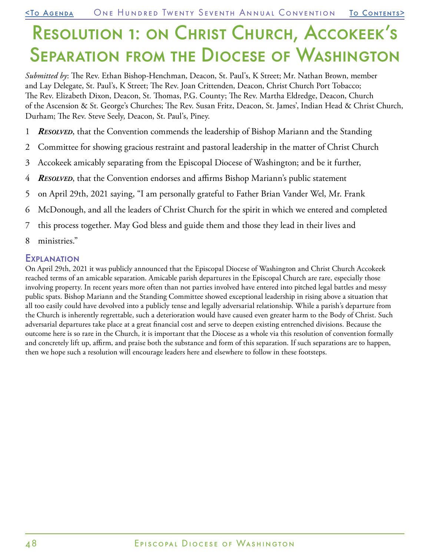# <span id="page-47-0"></span>Resolution 1: on Christ Church, Accokeek's **SEPARATION FROM THE DIOCESE OF WASHINGTON**

*Submitted by*: The Rev. Ethan Bishop-Henchman, Deacon, St. Paul's, K Street; Mr. Nathan Brown, member and Lay Delegate, St. Paul's, K Street; The Rev. Joan Crittenden, Deacon, Christ Church Port Tobacco; The Rev. Elizabeth Dixon, Deacon, St. Thomas, P.G. County; The Rev. Martha Eldredge, Deacon, Church of the Ascension & St. George's Churches; The Rev. Susan Fritz, Deacon, St. James', Indian Head & Christ Church, Durham; The Rev. Steve Seely, Deacon, St. Paul's, Piney.

- 1 *Resolved*, that the Convention commends the leadership of Bishop Mariann and the Standing
- 2 Committee for showing gracious restraint and pastoral leadership in the matter of Christ Church
- 3 Accokeek amicably separating from the Episcopal Diocese of Washington; and be it further,
- 4 *Resolved*, that the Convention endorses and affirms Bishop Mariann's public statement
- 5 on April 29th, 2021 saying, "I am personally grateful to Father Brian Vander Wel, Mr. Frank
- 6 McDonough, and all the leaders of Christ Church for the spirit in which we entered and completed
- 7 this process together. May God bless and guide them and those they lead in their lives and
- 8 ministries."

#### **EXPLANATION**

On April 29th, 2021 it was publicly announced that the Episcopal Diocese of Washington and Christ Church Accokeek reached terms of an amicable separation. Amicable parish departures in the Episcopal Church are rare, especially those involving property. In recent years more often than not parties involved have entered into pitched legal battles and messy public spats. Bishop Mariann and the Standing Committee showed exceptional leadership in rising above a situation that all too easily could have devolved into a publicly tense and legally adversarial relationship. While a parish's departure from the Church is inherently regrettable, such a deterioration would have caused even greater harm to the Body of Christ. Such adversarial departures take place at a great financial cost and serve to deepen existing entrenched divisions. Because the outcome here is so rare in the Church, it is important that the Diocese as a whole via this resolution of convention formally and concretely lift up, affirm, and praise both the substance and form of this separation. If such separations are to happen, then we hope such a resolution will encourage leaders here and elsewhere to follow in these footsteps.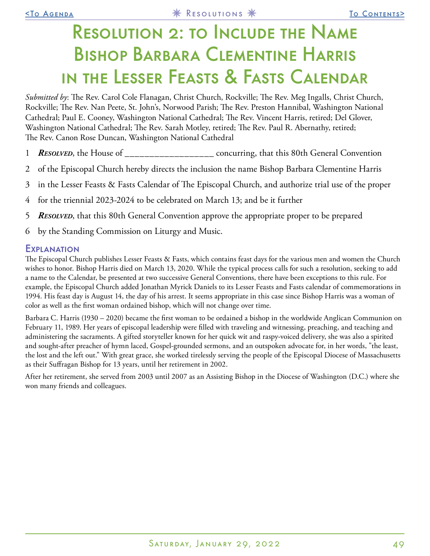## <span id="page-48-0"></span>Resolution 2: to Include the Name Bishop Barbara Clementine Harris in the Lesser Feasts & Fasts Calendar

*Submitted by*: The Rev. Carol Cole Flanagan, Christ Church, Rockville; The Rev. Meg Ingalls, Christ Church, Rockville; The Rev. Nan Peete, St. John's, Norwood Parish; The Rev. Preston Hannibal, Washington National Cathedral; Paul E. Cooney, Washington National Cathedral; The Rev. Vincent Harris, retired; Del Glover, Washington National Cathedral; The Rev. Sarah Motley, retired; The Rev. Paul R. Abernathy, retired; The Rev. Canon Rose Duncan, Washington National Cathedral

- 1 *Resolved*, the House of \_\_\_\_\_\_\_\_\_\_\_\_\_\_\_\_\_\_ concurring, that this 80th General Convention
- 2 of the Episcopal Church hereby directs the inclusion the name Bishop Barbara Clementine Harris
- 3 in the Lesser Feasts & Fasts Calendar of The Episcopal Church, and authorize trial use of the proper
- 4 for the triennial 2023-2024 to be celebrated on March 13; and be it further
- 5 *Resolved*, that this 80th General Convention approve the appropriate proper to be prepared
- 6 by the Standing Commission on Liturgy and Music.

#### Explanation

The Episcopal Church publishes Lesser Feasts & Fasts, which contains feast days for the various men and women the Church wishes to honor. Bishop Harris died on March 13, 2020. While the typical process calls for such a resolution, seeking to add a name to the Calendar, be presented at two successive General Conventions, there have been exceptions to this rule. For example, the Episcopal Church added Jonathan Myrick Daniels to its Lesser Feasts and Fasts calendar of commemorations in 1994. His feast day is August 14, the day of his arrest. It seems appropriate in this case since Bishop Harris was a woman of color as well as the first woman ordained bishop, which will not change over time.

Barbara C. Harris (1930 – 2020) became the first woman to be ordained a bishop in the worldwide Anglican Communion on February 11, 1989. Her years of episcopal leadership were filled with traveling and witnessing, preaching, and teaching and administering the sacraments. A gifted storyteller known for her quick wit and raspy-voiced delivery, she was also a spirited and sought-after preacher of hymn laced, Gospel-grounded sermons, and an outspoken advocate for, in her words, "the least, the lost and the left out." With great grace, she worked tirelessly serving the people of the Episcopal Diocese of Massachusetts as their Suffragan Bishop for 13 years, until her retirement in 2002.

After her retirement, she served from 2003 until 2007 as an Assisting Bishop in the Diocese of Washington (D.C.) where she won many friends and colleagues.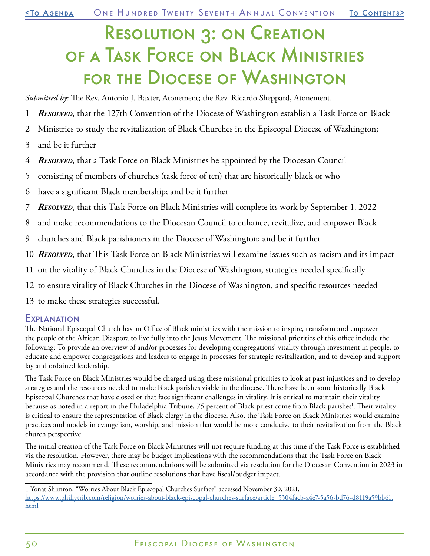## <span id="page-49-0"></span>Resolution 3: on Creation of a Task Force on Black Ministries for the Diocese of Washington

*Submitted by*: The Rev. Antonio J. Baxter, Atonement; the Rev. Ricardo Sheppard, Atonement.

- 1 *Resolved*, that the 127th Convention of the Diocese of Washington establish a Task Force on Black
- 2 Ministries to study the revitalization of Black Churches in the Episcopal Diocese of Washington;
- 3 and be it further
- 4 *Resolved*, that a Task Force on Black Ministries be appointed by the Diocesan Council
- 5 consisting of members of churches (task force of ten) that are historically black or who
- 6 have a significant Black membership; and be it further
- 7 *Resolved*, that this Task Force on Black Ministries will complete its work by September 1, 2022
- 8 and make recommendations to the Diocesan Council to enhance, revitalize, and empower Black
- 9 churches and Black parishioners in the Diocese of Washington; and be it further
- 10 *Resolved*, that This Task Force on Black Ministries will examine issues such as racism and its impact
- 11 on the vitality of Black Churches in the Diocese of Washington, strategies needed specifically
- 12 to ensure vitality of Black Churches in the Diocese of Washington, and specific resources needed
- 13 to make these strategies successful.

#### **EXPLANATION**

The National Episcopal Church has an Office of Black ministries with the mission to inspire, transform and empower the people of the African Diaspora to live fully into the Jesus Movement. The missional priorities of this office include the following: To provide an overview of and/or processes for developing congregations' vitality through investment in people, to educate and empower congregations and leaders to engage in processes for strategic revitalization, and to develop and support lay and ordained leadership.

The Task Force on Black Ministries would be charged using these missional priorities to look at past injustices and to develop strategies and the resources needed to make Black parishes viable in the diocese. There have been some historically Black Episcopal Churches that have closed or that face significant challenges in vitality. It is critical to maintain their vitality because as noted in a report in the Philadelphia Tribune, 75 percent of Black priest come from Black parishes<sup>1</sup>. Their vitality is critical to ensure the representation of Black clergy in the diocese. Also, the Task Force on Black Ministries would examine practices and models in evangelism, worship, and mission that would be more conducive to their revitalization from the Black church perspective.

The initial creation of the Task Force on Black Ministries will not require funding at this time if the Task Force is established via the resolution. However, there may be budget implications with the recommendations that the Task Force on Black Ministries may recommend. These recommendations will be submitted via resolution for the Diocesan Convention in 2023 in accordance with the provision that outline resolutions that have fiscal/budget impact.

<sup>1</sup> Yonat Shimron. "Worries About Black Episcopal Churches Surface" accessed November 30, 2021, [https://www.phillytrib.com/religion/worries-about-black-episcopal-churches-surface/article\\_5304facb-a4e7-5a56-bd76-d8119a59bb61.](https://www.phillytrib.com/religion/worries-about-black-episcopal-churches-surface/article_5304facb-a4e7-5a56-bd76-d8119a59bb61.html) [html](https://www.phillytrib.com/religion/worries-about-black-episcopal-churches-surface/article_5304facb-a4e7-5a56-bd76-d8119a59bb61.html)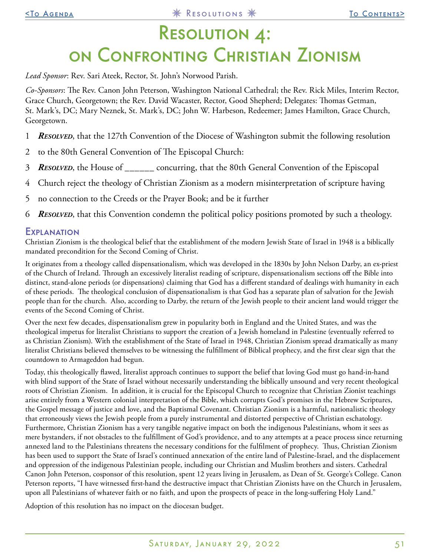# <span id="page-50-0"></span>Resolution 4: on Confronting Christian Zionism

*Lead Sponsor*: Rev. Sari Ateek, Rector, St. John's Norwood Parish.

*Co-Sponsors*: The Rev. Canon John Peterson, Washington National Cathedral; the Rev. Rick Miles, Interim Rector, Grace Church, Georgetown; the Rev. David Wacaster, Rector, Good Shepherd; Delegates: Thomas Getman, St. Mark's, DC; Mary Neznek, St. Mark's, DC; John W. Harbeson, Redeemer; James Hamilton, Grace Church, Georgetown.

- 1 *Resolved*, that the 127th Convention of the Diocese of Washington submit the following resolution
- 2 to the 80th General Convention of The Episcopal Church:
- 3 *Resolved*, the House of \_\_\_\_\_\_ concurring, that the 80th General Convention of the Episcopal
- 4 Church reject the theology of Christian Zionism as a modern misinterpretation of scripture having
- 5 no connection to the Creeds or the Prayer Book; and be it further
- 6 *Resolved*, that this Convention condemn the political policy positions promoted by such a theology.

#### **EXPLANATION**

Christian Zionism is the theological belief that the establishment of the modern Jewish State of Israel in 1948 is a biblically mandated precondition for the Second Coming of Christ.

It originates from a theology called dispensationalism, which was developed in the 1830s by John Nelson Darby, an ex-priest of the Church of Ireland. Through an excessively literalist reading of scripture, dispensationalism sections off the Bible into distinct, stand-alone periods (or dispensations) claiming that God has a different standard of dealings with humanity in each of these periods. The theological conclusion of dispensationalism is that God has a separate plan of salvation for the Jewish people than for the church. Also, according to Darby, the return of the Jewish people to their ancient land would trigger the events of the Second Coming of Christ.

Over the next few decades, dispensationalism grew in popularity both in England and the United States, and was the theological impetus for literalist Christians to support the creation of a Jewish homeland in Palestine (eventually referred to as Christian Zionism). With the establishment of the State of Israel in 1948, Christian Zionism spread dramatically as many literalist Christians believed themselves to be witnessing the fulfillment of Biblical prophecy, and the first clear sign that the countdown to Armageddon had begun.

Today, this theologically flawed, literalist approach continues to support the belief that loving God must go hand-in-hand with blind support of the State of Israel without necessarily understanding the biblically unsound and very recent theological roots of Christian Zionism. In addition, it is crucial for the Episcopal Church to recognize that Christian Zionist teachings arise entirely from a Western colonial interpretation of the Bible, which corrupts God's promises in the Hebrew Scriptures, the Gospel message of justice and love, and the Baptismal Covenant. Christian Zionism is a harmful, nationalistic theology that erroneously views the Jewish people from a purely instrumental and distorted perspective of Christian eschatology. Furthermore, Christian Zionism has a very tangible negative impact on both the indigenous Palestinians, whom it sees as mere bystanders, if not obstacles to the fulfillment of God's providence, and to any attempts at a peace process since returning annexed land to the Palestinians threatens the necessary conditions for the fulfilment of prophecy. Thus, Christian Zionism has been used to support the State of Israel's continued annexation of the entire land of Palestine-Israel, and the displacement and oppression of the indigenous Palestinian people, including our Christian and Muslim brothers and sisters. Cathedral Canon John Peterson, cosponsor of this resolution, spent 12 years living in Jerusalem, as Dean of St. George's College. Canon Peterson reports, "I have witnessed first-hand the destructive impact that Christian Zionists have on the Church in Jerusalem, upon all Palestinians of whatever faith or no faith, and upon the prospects of peace in the long-suffering Holy Land."

Adoption of this resolution has no impact on the diocesan budget.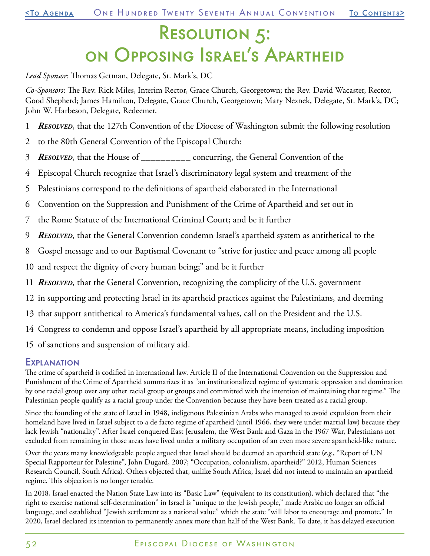# <span id="page-51-0"></span>Resolution 5: on Opposing Israel's Apartheid

*Lead Sponsor*: Thomas Getman, Delegate, St. Mark's, DC

*Co-Sponsors*: The Rev. Rick Miles, Interim Rector, Grace Church, Georgetown; the Rev. David Wacaster, Rector, Good Shepherd; James Hamilton, Delegate, Grace Church, Georgetown; Mary Neznek, Delegate, St. Mark's, DC; John W. Harbeson, Delegate, Redeemer.

- 1 *Resolved*, that the 127th Convention of the Diocese of Washington submit the following resolution
- 2 to the 80th General Convention of the Episcopal Church:
- 3 *Resolved*, that the House of \_\_\_\_\_\_\_\_\_\_ concurring, the General Convention of the
- 4 Episcopal Church recognize that Israel's discriminatory legal system and treatment of the
- 5 Palestinians correspond to the definitions of apartheid elaborated in the International
- 6 Convention on the Suppression and Punishment of the Crime of Apartheid and set out in
- 7 the Rome Statute of the International Criminal Court; and be it further
- 9 *Resolved*, that the General Convention condemn Israel's apartheid system as antithetical to the
- 8 Gospel message and to our Baptismal Covenant to "strive for justice and peace among all people
- 10 and respect the dignity of every human being;" and be it further
- 11 *Resolved*, that the General Convention, recognizing the complicity of the U.S. government
- 12 in supporting and protecting Israel in its apartheid practices against the Palestinians, and deeming
- 13 that support antithetical to America's fundamental values, call on the President and the U.S.
- 14 Congress to condemn and oppose Israel's apartheid by all appropriate means, including imposition
- 15 of sanctions and suspension of military aid.

#### **EXPLANATION**

The crime of apartheid is codified in international law. Article II of the International Convention on the Suppression and Punishment of the Crime of Apartheid summarizes it as "an institutionalized regime of systematic oppression and domination by one racial group over any other racial group or groups and committed with the intention of maintaining that regime." The Palestinian people qualify as a racial group under the Convention because they have been treated as a racial group.

Since the founding of the state of Israel in 1948, indigenous Palestinian Arabs who managed to avoid expulsion from their homeland have lived in Israel subject to a de facto regime of apartheid (until 1966, they were under martial law) because they lack Jewish "nationality". After Israel conquered East Jerusalem, the West Bank and Gaza in the 1967 War, Palestinians not excluded from remaining in those areas have lived under a military occupation of an even more severe apartheid-like nature.

Over the years many knowledgeable people argued that Israel should be deemed an apartheid state (*e.g.*, "Report of UN Special Rapporteur for Palestine", John Dugard, 2007; "Occupation, colonialism, apartheid?" 2012, Human Sciences Research Council, South Africa). Others objected that, unlike South Africa, Israel did not intend to maintain an apartheid regime. This objection is no longer tenable.

In 2018, Israel enacted the Nation State Law into its "Basic Law" (equivalent to its constitution), which declared that "the right to exercise national self-determination" in Israel is "unique to the Jewish people," made Arabic no longer an official language, and established "Jewish settlement as a national value" which the state "will labor to encourage and promote." In 2020, Israel declared its intention to permanently annex more than half of the West Bank. To date, it has delayed execution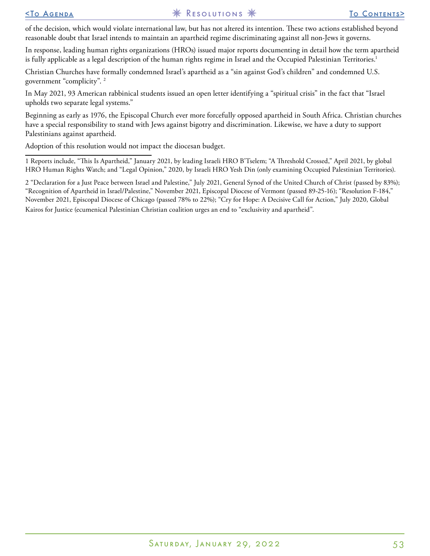of the decision, which would violate international law, but has not altered its intention. These two actions established beyond reasonable doubt that Israel intends to maintain an apartheid regime discriminating against all non-Jews it governs.

In response, leading human rights organizations (HROs) issued major reports documenting in detail how the term apartheid is fully applicable as a legal description of the human rights regime in Israel and the Occupied Palestinian Territories. 1

Christian Churches have formally condemned Israel's apartheid as a "sin against God's children" and condemned U.S. government "complicity". <sup>2</sup>

In May 2021, 93 American rabbinical students issued an open letter identifying a "spiritual crisis" in the fact that "Israel upholds two separate legal systems."

Beginning as early as 1976, the Episcopal Church ever more forcefully opposed apartheid in South Africa. Christian churches have a special responsibility to stand with Jews against bigotry and discrimination. Likewise, we have a duty to support Palestinians against apartheid.

Adoption of this resolution would not impact the diocesan budget.

1 Reports include, "This Is Apartheid," January 2021, by leading Israeli HRO B'Tselem; "A Threshold Crossed," April 2021, by global HRO Human Rights Watch; and "Legal Opinion," 2020, by Israeli HRO Yesh Din (only examining Occupied Palestinian Territories).

2 "Declaration for a Just Peace between Israel and Palestine," July 2021, General Synod of the United Church of Christ (passed by 83%); "Recognition of Apartheid in Israel/Palestine," November 2021, Episcopal Diocese of Vermont (passed 89-25-16); "Resolution F-184," November 2021, Episcopal Diocese of Chicago (passed 78% to 22%); "Cry for Hope: A Decisive Call for Action," July 2020, Global Kairos for Justice (ecumenical Palestinian Christian coalition urges an end to "exclusivity and apartheid".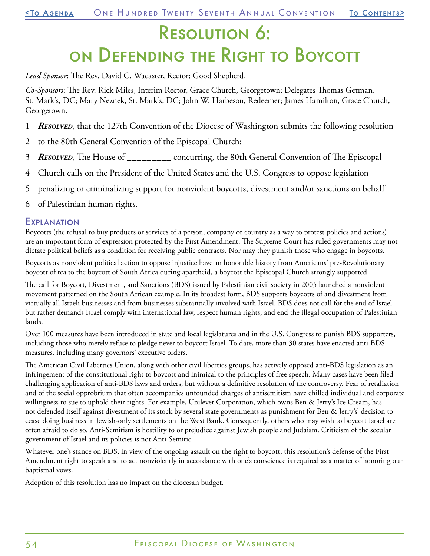## <span id="page-53-0"></span>Resolution 6: on Defending the Right to Boycott

*Lead Sponsor*: The Rev. David C. Wacaster, Rector; Good Shepherd.

*Co-Sponsors*: The Rev. Rick Miles, Interim Rector, Grace Church, Georgetown; Delegates Thomas Getman, St. Mark's, DC; Mary Neznek, St. Mark's, DC; John W. Harbeson, Redeemer; James Hamilton, Grace Church, Georgetown.

- 1 *Resolved*, that the 127th Convention of the Diocese of Washington submits the following resolution
- 2 to the 80th General Convention of the Episcopal Church:
- 3 *Resolved*, The House of \_\_\_\_\_\_\_\_\_ concurring, the 80th General Convention of The Episcopal
- 4 Church calls on the President of the United States and the U.S. Congress to oppose legislation
- 5 penalizing or criminalizing support for nonviolent boycotts, divestment and/or sanctions on behalf
- 6 of Palestinian human rights.

#### **EXPLANATION**

Boycotts (the refusal to buy products or services of a person, company or country as a way to protest policies and actions) are an important form of expression protected by the First Amendment. The Supreme Court has ruled governments may not dictate political beliefs as a condition for receiving public contracts. Nor may they punish those who engage in boycotts.

Boycotts as nonviolent political action to oppose injustice have an honorable history from Americans' pre-Revolutionary boycott of tea to the boycott of South Africa during apartheid, a boycott the Episcopal Church strongly supported.

The call for Boycott, Divestment, and Sanctions (BDS) issued by Palestinian civil society in 2005 launched a nonviolent movement patterned on the South African example. In its broadest form, BDS supports boycotts of and divestment from virtually all Israeli businesses and from businesses substantially involved with Israel. BDS does not call for the end of Israel but rather demands Israel comply with international law, respect human rights, and end the illegal occupation of Palestinian lands.

Over 100 measures have been introduced in state and local legislatures and in the U.S. Congress to punish BDS supporters, including those who merely refuse to pledge never to boycott Israel. To date, more than 30 states have enacted anti-BDS measures, including many governors' executive orders.

The American Civil Liberties Union, along with other civil liberties groups, has actively opposed anti-BDS legislation as an infringement of the constitutional right to boycott and inimical to the principles of free speech. Many cases have been filed challenging application of anti-BDS laws and orders, but without a definitive resolution of the controversy. Fear of retaliation and of the social opprobrium that often accompanies unfounded charges of antisemitism have chilled individual and corporate willingness to sue to uphold their rights. For example, Unilever Corporation, which owns Ben & Jerry's Ice Cream, has not defended itself against divestment of its stock by several state governments as punishment for Ben & Jerry's' decision to cease doing business in Jewish-only settlements on the West Bank. Consequently, others who may wish to boycott Israel are often afraid to do so. Anti-Semitism is hostility to or prejudice against Jewish people and Judaism. Criticism of the secular government of Israel and its policies is not Anti-Semitic.

Whatever one's stance on BDS, in view of the ongoing assault on the right to boycott, this resolution's defense of the First Amendment right to speak and to act nonviolently in accordance with one's conscience is required as a matter of honoring our baptismal vows.

Adoption of this resolution has no impact on the diocesan budget.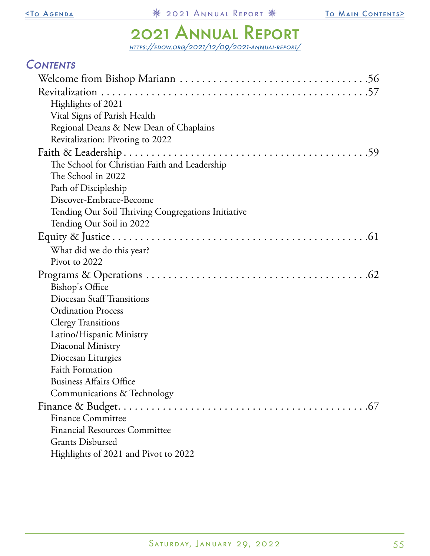## 2021 Annual Report

<https://edow.org/2021/12/09/2021-annual-report/>

<span id="page-54-0"></span>

| <b>CONTENTS</b>                                    |
|----------------------------------------------------|
|                                                    |
|                                                    |
| Highlights of 2021                                 |
| Vital Signs of Parish Health                       |
| Regional Deans & New Dean of Chaplains             |
| Revitalization: Pivoting to 2022                   |
|                                                    |
| The School for Christian Faith and Leadership      |
| The School in 2022                                 |
| Path of Discipleship                               |
| Discover-Embrace-Become                            |
| Tending Our Soil Thriving Congregations Initiative |
| Tending Our Soil in 2022                           |
|                                                    |
| What did we do this year?                          |
| Pivot to 2022                                      |
|                                                    |
| Bishop's Office                                    |
| Diocesan Staff Transitions                         |
| <b>Ordination Process</b>                          |
| <b>Clergy Transitions</b>                          |
| Latino/Hispanic Ministry                           |
| Diaconal Ministry                                  |
| Diocesan Liturgies                                 |
| Faith Formation                                    |
| <b>Business Affairs Office</b>                     |
| Communications & Technology                        |
|                                                    |
| <b>Finance Committee</b>                           |
| <b>Financial Resources Committee</b>               |
| <b>Grants Disbursed</b>                            |
| Highlights of 2021 and Pivot to 2022               |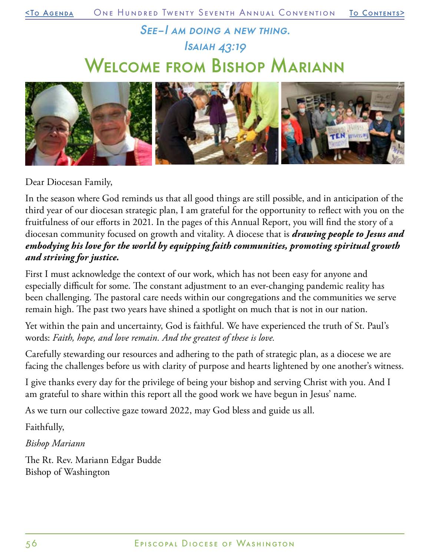## See–I am doing a new thing. Isaiah 43:19 Welcome from Bishop Mariann

<span id="page-55-0"></span>

Dear Diocesan Family,

In the season where God reminds us that all good things are still possible, and in anticipation of the third year of our diocesan strategic plan, I am grateful for the opportunity to reflect with you on the fruitfulness of our efforts in 2021. In the pages of this Annual Report, you will find the story of a diocesan community focused on growth and vitality. A diocese that is *drawing people to Jesus and embodying his love for the world by equipping faith communities, promoting spiritual growth and striving for justice.*

First I must acknowledge the context of our work, which has not been easy for anyone and especially difficult for some. The constant adjustment to an ever-changing pandemic reality has been challenging. The pastoral care needs within our congregations and the communities we serve remain high. The past two years have shined a spotlight on much that is not in our nation.

Yet within the pain and uncertainty, God is faithful. We have experienced the truth of St. Paul's words: *Faith, hope, and love remain. And the greatest of these is love.*

Carefully stewarding our resources and adhering to the path of strategic plan, as a diocese we are facing the challenges before us with clarity of purpose and hearts lightened by one another's witness.

I give thanks every day for the privilege of being your bishop and serving Christ with you. And I am grateful to share within this report all the good work we have begun in Jesus' name.

As we turn our collective gaze toward 2022, may God bless and guide us all.

Faithfully,

*Bishop Mariann*

The Rt. Rev. Mariann Edgar Budde Bishop of Washington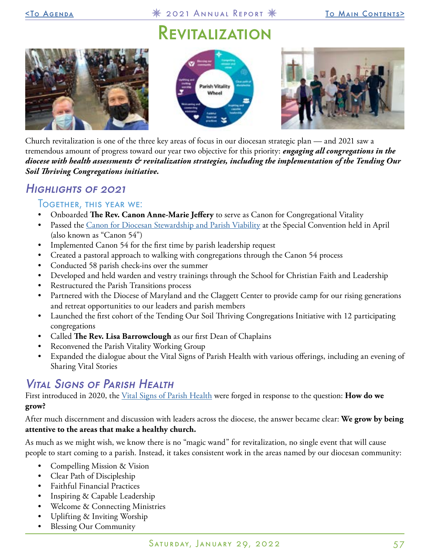## Revitalization

<span id="page-56-0"></span>





Church revitalization is one of the three key areas of focus in our diocesan strategic plan — and 2021 saw a tremendous amount of progress toward our year two objective for this priority: *engaging all congregations in the diocese with health assessments & revitalization strategies, including the implementation of the Tending Our Soil Thriving Congregations initiative.*

## Highlights of 2021

#### **TOGETHER, THIS YEAR WE:**

- Onboarded **The Rev. Canon Anne-Marie Jeffery** to serve as Canon for Congregational Vitality
- Passed the [Canon for Diocesan Stewardship and Parish Viability](https://media.edownetwork.org/wp-content/uploads/sites/2/2021/10/28221200/Canon_54_4-10-21_as_Amended.pdf) at the Special Convention held in April (also known as "Canon 54")
- Implemented Canon 54 for the first time by parish leadership request
- Created a pastoral approach to walking with congregations through the Canon 54 process
- Conducted 58 parish check-ins over the summer
- Developed and held warden and vestry trainings through the School for Christian Faith and Leadership
- Restructured the Parish Transitions process
- Partnered with the Diocese of Maryland and the Claggett Center to provide camp for our rising generations and retreat opportunities to our leaders and parish members
- Launched the first cohort of the Tending Our Soil Thriving Congregations Initiative with 12 participating congregations
- Called **The Rev. Lisa Barrowclough** as our first Dean of Chaplains
- Reconvened the Parish Vitality Working Group
- Expanded the dialogue about the Vital Signs of Parish Health with various offerings, including an evening of Sharing Vital Stories

## Vital Signs of Parish Health

First introduced in 2020, the [Vital Signs of Parish Health](https://edow.org/congregational-resources/congregational-vitality/parish-vital-signs-how-are-we-doing/) were forged in response to the question: **How do we grow?**

After much discernment and discussion with leaders across the diocese, the answer became clear: **We grow by being attentive to the areas that make a healthy church.**

As much as we might wish, we know there is no "magic wand" for revitalization, no single event that will cause people to start coming to a parish. Instead, it takes consistent work in the areas named by our diocesan community:

- Compelling Mission & Vision
- Clear Path of Discipleship
- Faithful Financial Practices
- Inspiring & Capable Leadership
- Welcome & Connecting Ministries
- Uplifting & Inviting Worship
- Blessing Our Community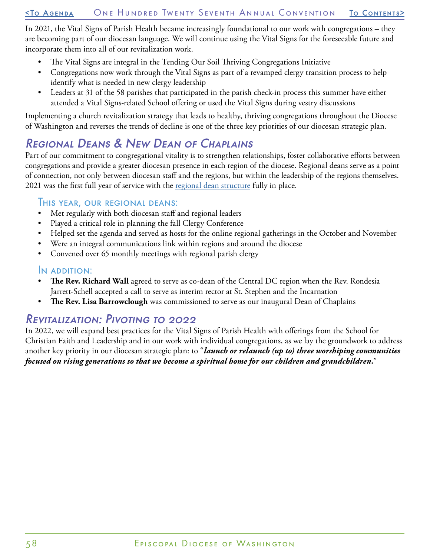In 2021, the Vital Signs of Parish Health became increasingly foundational to our work with congregations – they are becoming part of our diocesan language. We will continue using the Vital Signs for the foreseeable future and incorporate them into all of our revitalization work.

- The Vital Signs are integral in the Tending Our Soil Thriving Congregations Initiative
- Congregations now work through the Vital Signs as part of a revamped clergy transition process to help identify what is needed in new clergy leadership
- Leaders at 31 of the 58 parishes that participated in the parish check-in process this summer have either attended a Vital Signs-related School offering or used the Vital Signs during vestry discussions

Implementing a church revitalization strategy that leads to healthy, thriving congregations throughout the Diocese of Washington and reverses the trends of decline is one of the three key priorities of our diocesan strategic plan.

## Regional Deans & New Dean of Chaplains

Part of our commitment to congregational vitality is to strengthen relationships, foster collaborative efforts between congregations and provide a greater diocesan presence in each region of the diocese. Regional deans serve as a point of connection, not only between diocesan staff and the regions, but within the leadership of the regions themselves. 2021 was the first full year of service with the [regional dean structure](https://edow.org/diocesan-resources/diocesan-regions/#REGIONAL-STRUCTURE) fully in place.

#### **IHIS YEAR, OUR REGIONAL DEANS:**

- Met regularly with both diocesan staff and regional leaders
- Played a critical role in planning the fall Clergy Conference
- Helped set the agenda and served as hosts for the online regional gatherings in the October and November
- Were an integral communications link within regions and around the diocese
- Convened over 65 monthly meetings with regional parish clergy

#### In addition:

- **The Rev. Richard Wall** agreed to serve as co-dean of the Central DC region when the Rev. Rondesia Jarrett-Schell accepted a call to serve as interim rector at St. Stephen and the Incarnation
- **The Rev. Lisa Barrowclough** was commissioned to serve as our inaugural Dean of Chaplains

### Revitalization: Pivoting to 2022

In 2022, we will expand best practices for the Vital Signs of Parish Health with offerings from the School for Christian Faith and Leadership and in our work with individual congregations, as we lay the groundwork to address another key priority in our diocesan strategic plan: to "*launch or relaunch (up to) three worshiping communities focused on rising generations so that we become a spiritual home for our children and grandchildren.*"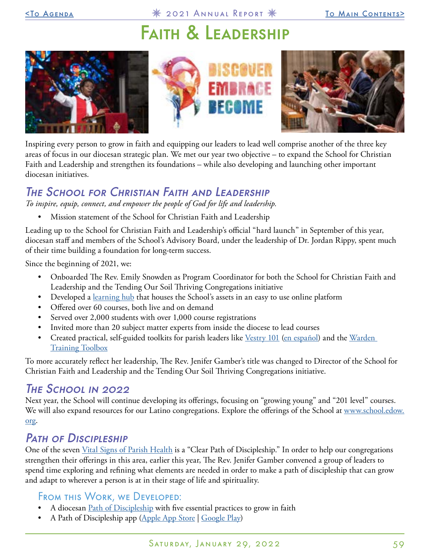## Faith & Leadership

<span id="page-58-0"></span>



Inspiring every person to grow in faith and equipping our leaders to lead well comprise another of the three key areas of focus in our diocesan strategic plan. We met our year two objective – to expand the School for Christian Faith and Leadership and strengthen its foundations – while also developing and launching other important diocesan initiatives.

## The School for Christian Faith and Leadership

*To inspire, equip, connect, and empower the people of God for life and leadership.*

• Mission statement of the School for Christian Faith and Leadership

Leading up to the School for Christian Faith and Leadership's official "hard launch" in September of this year, diocesan staff and members of the School's Advisory Board, under the leadership of Dr. Jordan Rippy, spent much of their time building a foundation for long-term success.

Since the beginning of 2021, we:

- Onboarded The Rev. Emily Snowden as Program Coordinator for both the School for Christian Faith and Leadership and the Tending Our Soil Thriving Congregations initiative
- Developed a [learning hub](http://learn.edow.org/) that houses the School's assets in an easy to use online platform
- Offered over 60 courses, both live and on demand
- Served over 2,000 students with over 1,000 course registrations
- Invited more than 20 subject matter experts from inside the diocese to lead courses
- Created practical, self-guided toolkits for parish leaders like [Vestry 101](https://media.edownetwork.org/wp-content/uploads/sites/2/2021/10/28171526/Vestry_101_Toolkit.pdf) [\(en español\)](https://media.edownetwork.org/wp-content/uploads/sites/2/2021/10/28171226/Caja_de_Herramientas_-_Junta_Parroquial_101_2.pdf) and the Warden [Training Toolbox](https://drive.google.com/drive/folders/1rwqGw0QK8pmKlTy9tIGcwFseopoITNzi)

To more accurately reflect her leadership, The Rev. Jenifer Gamber's title was changed to Director of the School for Christian Faith and Leadership and the Tending Our Soil Thriving Congregations initiative.

### THE SCHOOL IN 2022

Next year, the School will continue developing its offerings, focusing on "growing young" and "201 level" courses. We will also expand resources for our Latino congregations. Explore the offerings of the School at [www.school.edow.](http://www.school.edow.org/) [org.](http://www.school.edow.org/)

## PATH OF DISCIPLESHIP

One of the seven [Vital Signs of Parish Health](https://edow.org/congregational-resources/congregational-vitality/parish-vital-signs-how-are-we-doing/) is a "Clear Path of Discipleship." In order to help our congregations strengthen their offerings in this area, earlier this year, The Rev. Jenifer Gamber convened a group of leaders to spend time exploring and refining what elements are needed in order to make a path of discipleship that can grow and adapt to wherever a person is at in their stage of life and spirituality.

#### From this Work, we Developed:

- A diocesan *[Path of Discipleship](https://edow.org/congregational-resources/faith-formation/path-of-discipleship/)* with five essential practices to grow in faith
- A Path of Discipleship app ([Apple App Store](https://apps.apple.com/us/app/path-of-discipleship/id1578765033) | [Google Play](https://play.google.com/store/apps/details?id=com.narthex.pathways_of_discipleship))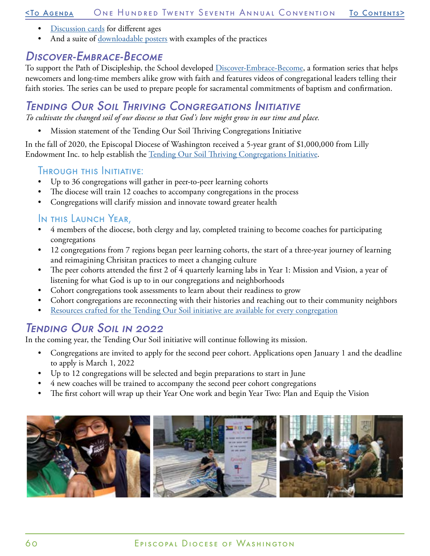#### [<To Agenda](#page-20-0) One Hundred Twenty Seventh Annual Convention [To Contents](#page-0-0)>

- [Discussion cards](https://wackadu.com/category/EpiscopalDiocese) for different ages
- And a suite of [downloadable posters](https://media.edownetwork.org/wp-content/uploads/sites/2/2021/11/11113058/FIVE-ESSENTIAL-PRACTICES-TO-GROW-IN-FAITH-COMPLETE-SET.pdf) with examples of the practices

## Discover-Embrace-Become

To support the Path of Discipleship, the School developed [Discover-Embrace-Become,](https://edow.org/congregational-resources/faith-formation/discover-embrace-become/) a formation series that helps newcomers and long-time members alike grow with faith and features videos of congregational leaders telling their faith stories. The series can be used to prepare people for sacramental commitments of baptism and confirmation.

## Tending Our Soil Thriving Congregations Initiative

*To cultivate the changed soil of our diocese so that God's love might grow in our time and place.*

• Mission statement of the Tending Our Soil Thriving Congregations Initiative

In the fall of 2020, the Episcopal Diocese of Washington received a 5-year grant of \$1,000,000 from Lilly Endowment Inc. to help establish the [Tending Our Soil Thriving Congregations Initiative](https://edow.org/congregational-resources/tending-our-soil/).

#### Through this Initiative:

- Up to 36 congregations will gather in peer-to-peer learning cohorts
- The diocese will train 12 coaches to accompany congregations in the process
- Congregations will clarify mission and innovate toward greater health

#### In this Launch Year,

- 4 members of the diocese, both clergy and lay, completed training to become coaches for participating congregations
- 12 congregations from 7 regions began peer learning cohorts, the start of a three-year journey of learning and reimagining Chrisitan practices to meet a changing culture
- The peer cohorts attended the first 2 of 4 quarterly learning labs in Year 1: Mission and Vision, a year of listening for what God is up to in our congregations and neighborhoods
- Cohort congregations took assessments to learn about their readiness to grow
- Cohort congregations are reconnecting with their histories and reaching out to their community neighbors
- [Resources crafted for the Tending Our Soil initiative are available for every congregation](https://edow.org/congregational-resources/congregational-vitality/parish-vitality-resources/)

## Tending Our Soil in 2022

In the coming year, the Tending Our Soil initiative will continue following its mission.

- Congregations are invited to apply for the second peer cohort. Applications open January 1 and the deadline to apply is March 1, 2022
- Up to 12 congregations will be selected and begin preparations to start in June
- 4 new coaches will be trained to accompany the second peer cohort congregations
- The first cohort will wrap up their Year One work and begin Year Two: Plan and Equip the Vision

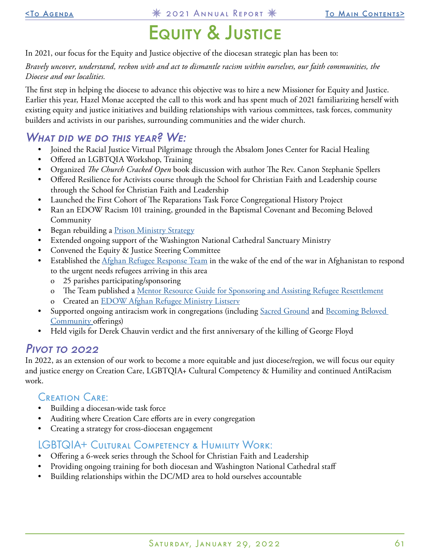# Equity & Justice

<span id="page-60-0"></span>In 2021, our focus for the Equity and Justice objective of the diocesan strategic plan has been to:

*Bravely uncover, understand, reckon with and act to dismantle racism within ourselves, our faith communities, the Diocese and our localities.*

The first step in helping the diocese to advance this objective was to hire a new Missioner for Equity and Justice. Earlier this year, Hazel Monae accepted the call to this work and has spent much of 2021 familiarizing herself with existing equity and justice initiatives and building relationships with various committees, task forces, community builders and activists in our parishes, surrounding communities and the wider church.

### WHAT DID WE DO THIS YEAR? WE:

- Joined the Racial Justice Virtual Pilgrimage through the Absalom Jones Center for Racial Healing
- Offered an LGBTQIA Workshop, Training
- Organized *The Church Cracked Open* book discussion with author The Rev. Canon Stephanie Spellers
- Offered Resilience for Activists course through the School for Christian Faith and Leadership course through the School for Christian Faith and Leadership
- Launched the First Cohort of The Reparations Task Force Congregational History Project
- Ran an EDOW Racism 101 training, grounded in the Baptismal Covenant and Becoming Beloved Community
- Began rebuilding a [Prison Ministry Strategy](https://edow.org/ministries-programs/equity-and-justice/prison-ministry/)
- Extended ongoing support of the Washington National Cathedral Sanctuary Ministry
- Convened the Equity & Justice Steering Committee
- Established the *Afghan Refugee Response Team* in the wake of the end of the war in Afghanistan to respond to the urgent needs refugees arriving in this area
	- o 25 parishes participating/sponsoring
	- o The Team published a [Mentor Resource Guide for Sponsoring and Assisting Refugee Resettlement](https://media.edownetwork.org/wp-content/uploads/sites/2/2021/11/08144945/Afghan-Refugee-Mentor-Resource-Guide-for-Sponsoring-and-Assisting-Refugee-Resettlement.pdf)
	- Created an [EDOW Afghan Refugee Ministry Listserv](https://docs.google.com/forms/d/e/1FAIpQLSflexnQZOAplQCZlgq7v7UVkQN9zZ0zcgKZH8M5WubMLS4BuA/viewform?usp=sf_link)
- Supported ongoing antiracism work in congregations (including [Sacred Ground](https://www.episcopalchurch.org/sacred-ground/about/) and Becoming Beloved [Community o](https://www.episcopalchurch.org/beloved-community/)fferings)
- Held vigils for Derek Chauvin verdict and the first anniversary of the killing of George Floyd

### Pivot to 2022

In 2022, as an extension of our work to become a more equitable and just diocese/region, we will focus our equity and justice energy on Creation Care, LGBTQIA+ Cultural Competency & Humility and continued AntiRacism work.

#### Creation Care:

- Building a diocesan-wide task force
- Auditing where Creation Care efforts are in every congregation
- Creating a strategy for cross-diocesan engagement

### LGBTQIA+ Cultural Competency & Humility Work:

- Offering a 6-week series through the School for Christian Faith and Leadership
- Providing ongoing training for both diocesan and Washington National Cathedral staff
- Building relationships within the DC/MD area to hold ourselves accountable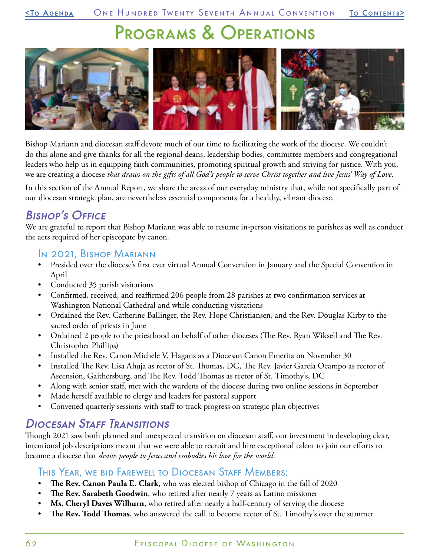## Programs & Operations

<span id="page-61-0"></span>

Bishop Mariann and diocesan staff devote much of our time to facilitating the work of the diocese. We couldn't do this alone and give thanks for all the regional deans, leadership bodies, committee members and congregational leaders who help us in equipping faith communities, promoting spiritual growth and striving for justice. With you, we are creating a diocese *that draws on the gifts of all God's people to serve Christ together and live Jesus' Way of Love*.

In this section of the Annual Report, we share the areas of our everyday ministry that, while not specifically part of our diocesan strategic plan, are nevertheless essential components for a healthy, vibrant diocese.

## Bishop's Office

We are grateful to report that Bishop Mariann was able to resume in-person visitations to parishes as well as conduct the acts required of her episcopate by canon.

#### In 2021, Bishop Mariann

- Presided over the diocese's first ever virtual Annual Convention in January and the Special Convention in April
- Conducted 35 parish visitations
- Confirmed, received, and reaffirmed 206 people from 28 parishes at two confirmation services at Washington National Cathedral and while conducting visitations
- Ordained the Rev. Catherine Ballinger, the Rev. Hope Christiansen, and the Rev. Douglas Kirby to the sacred order of priests in June
- Ordained 2 people to the priesthood on behalf of other dioceses (The Rev. Ryan Wiksell and The Rev. Christopher Phillips)
- Installed the Rev. Canon Michele V. Hagans as a Diocesan Canon Emerita on November 30
- Installed The Rev. Lisa Ahuja as rector of St. Thomas, DC, The Rev. Javier Garcia Ocampo as rector of Ascension, Gaithersburg, and The Rev. Todd Thomas as rector of St. Timothy's, DC
- Along with senior staff, met with the wardens of the diocese during two online sessions in September
- Made herself available to clergy and leaders for pastoral support
- Convened quarterly sessions with staff to track progress on strategic plan objectives

## Diocesan Staff Transitions

Though 2021 saw both planned and unexpected transition on diocesan staff, our investment in developing clear, intentional job descriptions meant that we were able to recruit and hire exceptional talent to join our efforts to become a diocese that *draws people to Jesus and embodies his love for the world.*

#### This Year, we bid Farewell to Diocesan Staff Members:

- **The Rev. Canon Paula E. Clark**, who was elected bishop of Chicago in the fall of 2020
- **The Rev. Sarabeth Goodwin**, who retired after nearly 7 years as Latino missioner
- **Ms. Cheryl Daves Wilburn**, who retired after nearly a half-century of serving the diocese
- **The Rev. Todd Thomas**, who answered the call to become rector of St. Timothy's over the summer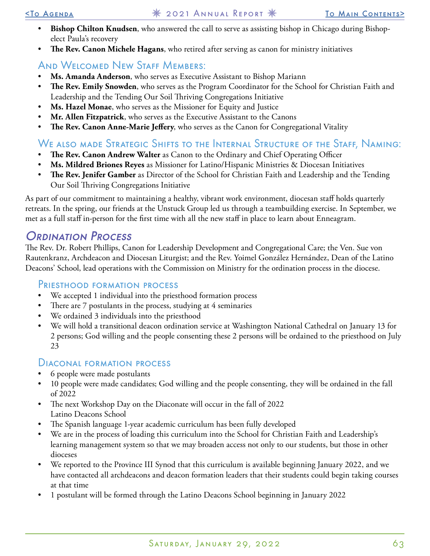- **Bishop Chilton Knudsen**, who answered the call to serve as assisting bishop in Chicago during Bishopelect Paula's recovery
- **The Rev. Canon Michele Hagans**, who retired after serving as canon for ministry initiatives

### AND WELCOMED NEW STAFF MEMBERS:

- **Ms. Amanda Anderson**, who serves as Executive Assistant to Bishop Mariann
- **The Rev. Emily Snowden**, who serves as the Program Coordinator for the School for Christian Faith and Leadership and the Tending Our Soil Thriving Congregations Initiative
- **Ms. Hazel Monae**, who serves as the Missioner for Equity and Justice
- **Mr. Allen Fitzpatrick**, who serves as the Executive Assistant to the Canons
- **The Rev. Canon Anne-Marie Jeffery**, who serves as the Canon for Congregational Vitality

### We also made Strategic Shifts to the Internal Structure of the Staff, Naming:

- **The Rev. Canon Andrew Walter** as Canon to the Ordinary and Chief Operating Officer
- **Ms. Mildred Briones Reyes** as Missioner for Latino/Hispanic Ministries & Diocesan Initiatives
- **The Rev. Jenifer Gamber** as Director of the School for Christian Faith and Leadership and the Tending Our Soil Thriving Congregations Initiative

As part of our commitment to maintaining a healthy, vibrant work environment, diocesan staff holds quarterly retreats. In the spring, our friends at the Unstuck Group led us through a teambuilding exercise. In September, we met as a full staff in-person for the first time with all the new staff in place to learn about Enneagram.

## Ordination Process

The Rev. Dr. Robert Phillips, Canon for Leadership Development and Congregational Care; the Ven. Sue von Rautenkranz, Archdeacon and Diocesan Liturgist; and the Rev. Yoimel González Hernández, Dean of the Latino Deacons' School, lead operations with the Commission on Ministry for the ordination process in the diocese.

#### Priesthood formation process

- We accepted 1 individual into the priesthood formation process
- There are 7 postulants in the process, studying at 4 seminaries
- We ordained 3 individuals into the priesthood
- We will hold a transitional deacon ordination service at Washington National Cathedral on January 13 for 2 persons; God willing and the people consenting these 2 persons will be ordained to the priesthood on July 23

#### Diaconal formation process

- 6 people were made postulants
- 10 people were made candidates; God willing and the people consenting, they will be ordained in the fall of 2022
- The next Workshop Day on the Diaconate will occur in the fall of 2022 Latino Deacons School
- The Spanish language 1-year academic curriculum has been fully developed
- We are in the process of loading this curriculum into the School for Christian Faith and Leadership's learning management system so that we may broaden access not only to our students, but those in other dioceses
- We reported to the Province III Synod that this curriculum is available beginning January 2022, and we have contacted all archdeacons and deacon formation leaders that their students could begin taking courses at that time
- 1 postulant will be formed through the Latino Deacons School beginning in January 2022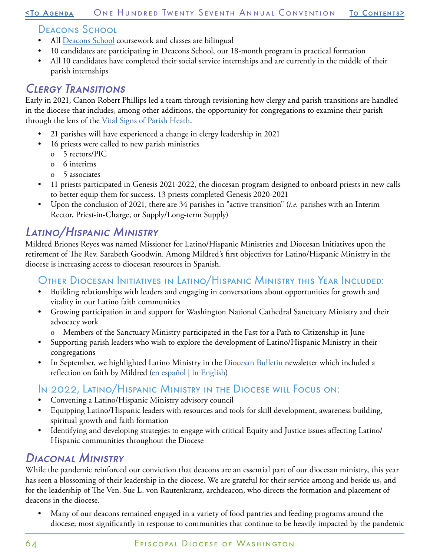#### [<To Agenda](#page-20-0) One Hundred Twenty Seventh Annual Convention [To Contents](#page-0-0)>

### Deacons School

- All [Deacons School](https://edow.org/diocesan-resources/lay-ordained-ministry/ministry-of-the-diaconate/deacon-school/) coursework and classes are bilingual
- 10 candidates are participating in Deacons School, our 18-month program in practical formation
- All 10 candidates have completed their social service internships and are currently in the middle of their parish internships

## Clergy Transitions

Early in 2021, Canon Robert Phillips led a team through revisioning how clergy and parish transitions are handled in the diocese that includes, among other additions, the opportunity for congregations to examine their parish through the lens of the <u>Vital Signs of Parish Heath</u>.

- 21 parishes will have experienced a change in clergy leadership in 2021
- 16 priests were called to new parish ministries
	- o 5 rectors/PIC
	- o 6 interims
	- o 5 associates
- 11 priests participated in Genesis 2021-2022, the diocesan program designed to onboard priests in new calls to better equip them for success. 13 priests completed Genesis 2020-2021
- Upon the conclusion of 2021, there are 34 parishes in "active transition" (*i.e.* parishes with an Interim Rector, Priest-in-Charge, or Supply/Long-term Supply)

## Latino/Hispanic Ministry

Mildred Briones Reyes was named Missioner for Latino/Hispanic Ministries and Diocesan Initiatives upon the retirement of The Rev. Sarabeth Goodwin. Among Mildred's first objectives for Latino/Hispanic Ministry in the diocese is increasing access to diocesan resources in Spanish.

### Other Diocesan Initiatives in Latino/Hispanic Ministry this Year Included:

- Building relationships with leaders and engaging in conversations about opportunities for growth and vitality in our Latino faith communities
- Growing participation in and support for Washington National Cathedral Sanctuary Ministry and their advocacy work
	- o Members of the Sanctuary Ministry participated in the Fast for a Path to Citizenship in June
- Supporting parish leaders who wish to explore the development of Latino/Hispanic Ministry in their congregations
- In September, we highlighted Latino Ministry in the [Diocesan Bulletin](https://myemail.constantcontact.com/Honoring-National-Hispanic-Heritage-Month--September-16--2021.html?soid=1108352395623&aid=TZrlFtlFqc0) newsletter which included a reflection on faith by Mildred [\(en español](https://www.ecfvp.org/vestry-papers/article/951/dlar-de-arena-lleno-de-fe) | [in English\)](https://www.ecfvp.org/vestry-papers/article/947/faith-in-a-sand-dollar)

#### In 2022, Latino/Hispanic Ministry in the Diocese will Focus on:

- Convening a Latino/Hispanic Ministry advisory council
- Equipping Latino/Hispanic leaders with resources and tools for skill development, awareness building, spiritual growth and faith formation
- Identifying and developing strategies to engage with critical Equity and Justice issues affecting Latino/ Hispanic communities throughout the Diocese

## Diaconal Ministry

While the pandemic reinforced our conviction that deacons are an essential part of our diocesan ministry, this year has seen a blossoming of their leadership in the diocese. We are grateful for their service among and beside us, and for the leadership of The Ven. Sue L. von Rautenkranz, archdeacon, who directs the formation and placement of deacons in the diocese.

• Many of our deacons remained engaged in a variety of food pantries and feeding programs around the diocese; most significantly in response to communities that continue to be heavily impacted by the pandemic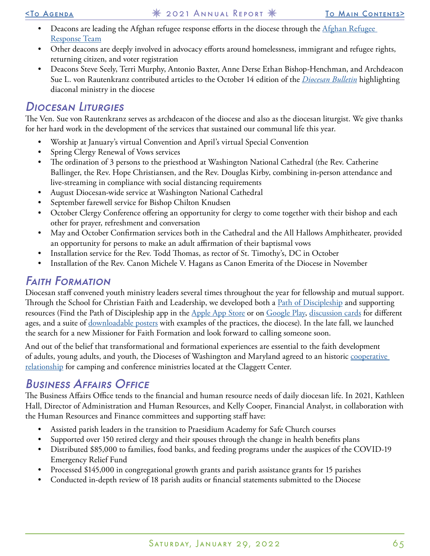- Deacons are leading the Afghan refugee response efforts in the diocese through the Afghan Refugee [Response Team](https://edow.org/ministries-programs/equity-and-justice/immigrants-refugees-partnerships/)
- Other deacons are deeply involved in advocacy efforts around homelessness, immigrant and refugee rights, returning citizen, and voter registration
- Deacons Steve Seely, Terri Murphy, Antonio Baxter, Anne Derse Ethan Bishop-Henchman, and Archdeacon Sue L. von Rautenkranz contributed articles to the October 14 edition of the *[Diocesan Bulletin](https://myemail.constantcontact.com/The-Ministry-of-Deacons--The-Bulletin--September-17--2020.html?soid=1108352395623&aid=_rDgw1xFKVU)* highlighting diaconal ministry in the diocese

### Diocesan Liturgies

The Ven. Sue von Rautenkranz serves as archdeacon of the diocese and also as the diocesan liturgist. We give thanks for her hard work in the development of the services that sustained our communal life this year.

- Worship at January's virtual Convention and April's virtual Special Convention
- Spring Clergy Renewal of Vows services
- The ordination of 3 persons to the priesthood at Washington National Cathedral (the Rev. Catherine Ballinger, the Rev. Hope Christiansen, and the Rev. Douglas Kirby, combining in-person attendance and live-streaming in compliance with social distancing requirements
- August Diocesan-wide service at Washington National Cathedral
- September farewell service for Bishop Chilton Knudsen
- October Clergy Conference offering an opportunity for clergy to come together with their bishop and each other for prayer, refreshment and conversation
- May and October Confirmation services both in the Cathedral and the All Hallows Amphitheater, provided an opportunity for persons to make an adult affirmation of their baptismal vows
- Installation service for the Rev. Todd Thomas, as rector of St. Timothy's, DC in October
- Installation of the Rev. Canon Michele V. Hagans as Canon Emerita of the Diocese in November

## Faith Formation

Diocesan staff convened youth ministry leaders several times throughout the year for fellowship and mutual support. Through the School for Christian Faith and Leadership, we developed both a [Path of Discipleship](https://edow.org/congregational-resources/faith-formation/path-of-discipleship/) and supporting resources (Find the Path of Discipleship app in the [Apple App Store](https://apps.apple.com/us/app/path-of-discipleship/id1578765033) or on [Google Play](https://play.google.com/store/apps/details?id=com.narthex.pathways_of_discipleship), [discussion cards](https://wackadu.com/category/EpiscopalDiocese) for different ages, and a suite of [downloadable posters](https://media.edownetwork.org/wp-content/uploads/sites/2/2021/11/11113058/FIVE-ESSENTIAL-PRACTICES-TO-GROW-IN-FAITH-COMPLETE-SET.pdf) with examples of the practices, the diocese). In the late fall, we launched the search for a new Missioner for Faith Formation and look forward to calling someone soon.

And out of the belief that transformational and formational experiences are essential to the faith development of adults, young adults, and youth, the Dioceses of Washington and Maryland agreed to an historic [cooperative](https://edow.org/2021/04/29/edom-edow-partnership-at-the-claggett-center/)  [relationship](https://edow.org/2021/04/29/edom-edow-partnership-at-the-claggett-center/) for camping and conference ministries located at the Claggett Center.

## Business Affairs Office

The Business Affairs Office tends to the financial and human resource needs of daily diocesan life. In 2021, Kathleen Hall, Director of Administration and Human Resources, and Kelly Cooper, Financial Analyst, in collaboration with the Human Resources and Finance committees and supporting staff have:

- Assisted parish leaders in the transition to Praesidium Academy for Safe Church courses
- Supported over 150 retired clergy and their spouses through the change in health benefits plans
- Distributed \$85,000 to families, food banks, and feeding programs under the auspices of the COVID-19 Emergency Relief Fund
- Processed \$145,000 in congregational growth grants and parish assistance grants for 15 parishes
- Conducted in-depth review of 18 parish audits or financial statements submitted to the Diocese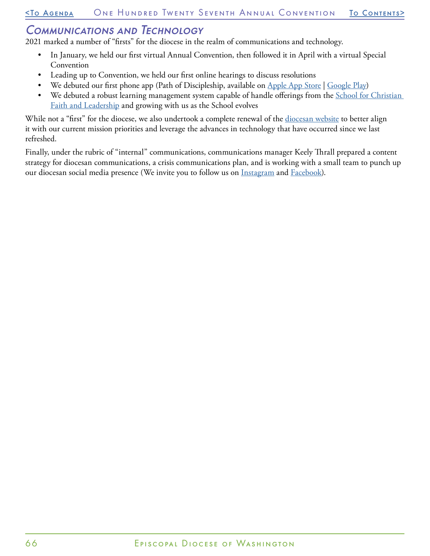#### Communications and Technology

2021 marked a number of "firsts" for the diocese in the realm of communications and technology.

- In January, we held our first virtual Annual Convention, then followed it in April with a virtual Special Convention
- Leading up to Convention, we held our first online hearings to discuss resolutions
- We debuted our first phone app (Path of Discipleship, available on [Apple App Store](https://apps.apple.com/us/app/path-of-discipleship/id1578765033) | [Google Play\)](https://play.google.com/store/apps/details?id=com.narthex.pathways_of_discipleship)
- We debuted a robust learning management system capable of handle offerings from the *School for Christian* [Faith and Leadership](http://school.edow.org/) and growing with us as the School evolves

While not a "first" for the diocese, we also undertook a complete renewal of the [diocesan website](http://www.edow.org/) to better align it with our current mission priorities and leverage the advances in technology that have occurred since we last refreshed.

Finally, under the rubric of "internal" communications, communications manager Keely Thrall prepared a content strategy for diocesan communications, a crisis communications plan, and is working with a small team to punch up our diocesan social media presence (We invite you to follow us on **Instagram** and **Facebook**).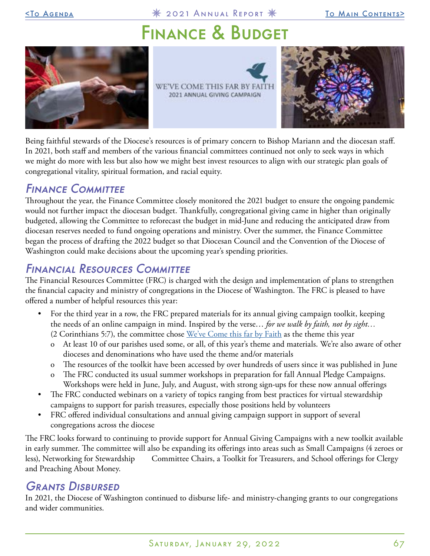<span id="page-66-0"></span>[<To Agenda](#page-20-0) 2021 Annual Report [To Main Contents](#page-0-0)>

## FINANCE & BUDGET







Being faithful stewards of the Diocese's resources is of primary concern to Bishop Mariann and the diocesan staff. In 2021, both staff and members of the various financial committees continued not only to seek ways in which we might do more with less but also how we might best invest resources to align with our strategic plan goals of congregational vitality, spiritual formation, and racial equity.

## Finance Committee

Throughout the year, the Finance Committee closely monitored the 2021 budget to ensure the ongoing pandemic would not further impact the diocesan budget. Thankfully, congregational giving came in higher than originally budgeted, allowing the Committee to reforecast the budget in mid-June and reducing the anticipated draw from diocesan reserves needed to fund ongoing operations and ministry. Over the summer, the Finance Committee began the process of drafting the 2022 budget so that Diocesan Council and the Convention of the Diocese of Washington could make decisions about the upcoming year's spending priorities.

## Financial Resources Committee

The Financial Resources Committee (FRC) is charged with the design and implementation of plans to strengthen the financial capacity and ministry of congregations in the Diocese of Washington. The FRC is pleased to have offered a number of helpful resources this year:

- For the third year in a row, the FRC prepared materials for its annual giving campaign toolkit, keeping the needs of an online campaign in mind. Inspired by the verse… *for we walk by faith, not by sight…*  (2 Corinthians 5:7), the committee chose  $We've$  Come this far by Faith as the theme this year
	- o At least 10 of our parishes used some, or all, of this year's theme and materials. We're also aware of other dioceses and denominations who have used the theme and/or materials
	- The resources of the toolkit have been accessed by over hundreds of users since it was published in June
	- The FRC conducted its usual summer workshops in preparation for fall Annual Pledge Campaigns. Workshops were held in June, July, and August, with strong sign-ups for these now annual offerings
- The FRC conducted webinars on a variety of topics ranging from best practices for virtual stewardship campaigns to support for parish treasures, especially those positions held by volunteers
- FRC offered individual consultations and annual giving campaign support in support of several congregations across the diocese

The FRC looks forward to continuing to provide support for Annual Giving Campaigns with a new toolkit available in early summer. The committee will also be expanding its offerings into areas such as Small Campaigns (4 zeroes or less), Networking for Stewardship Committee Chairs, a Toolkit for Treasurers, and School offerings for Clergy and Preaching About Money.

### Grants Disbursed

In 2021, the Diocese of Washington continued to disburse life- and ministry-changing grants to our congregations and wider communities.